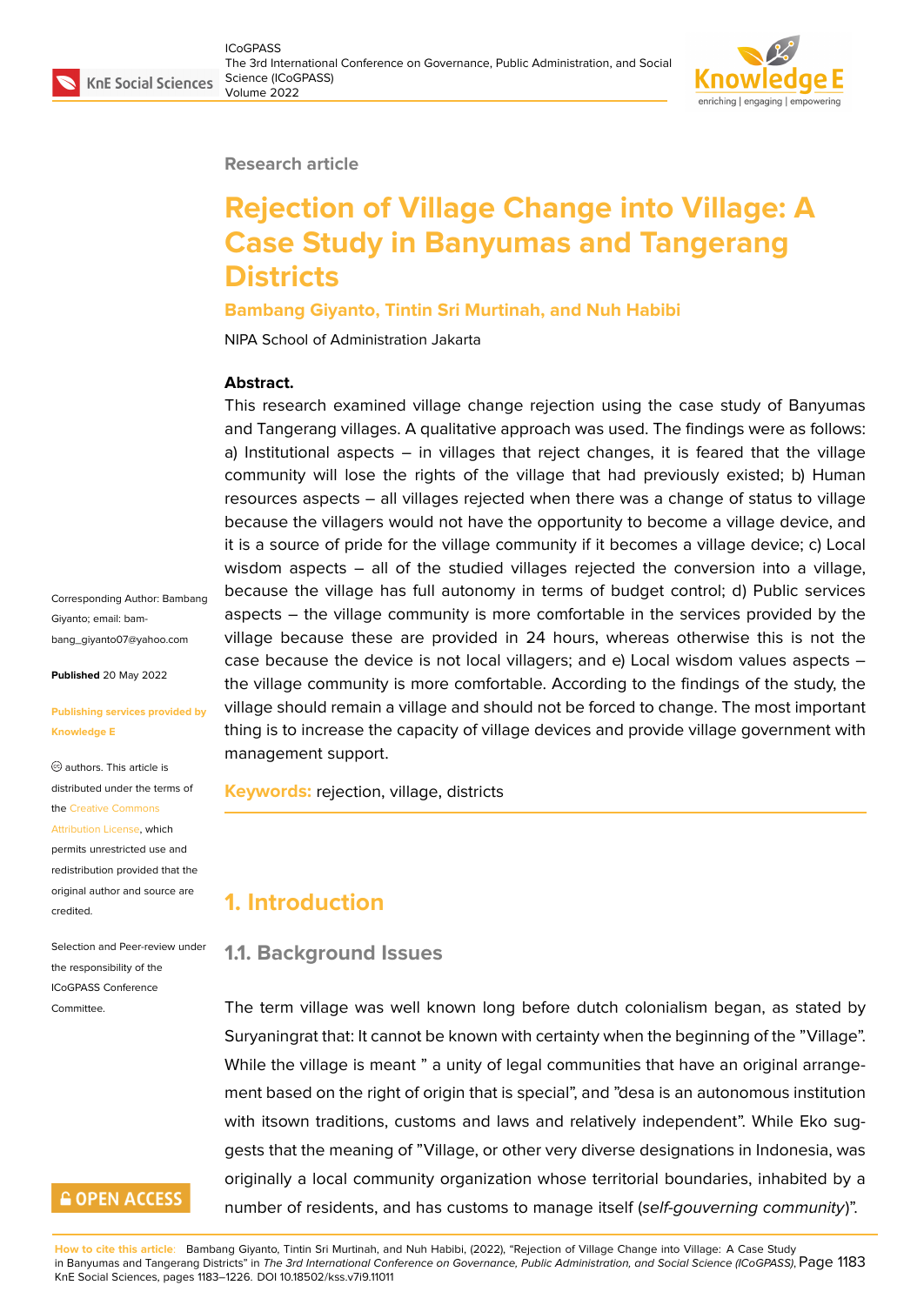### **Research article**

# **Rejection of Village Change into Village: A Case Study in Banyumas and Tangerang Districts**

## **Bambang Giyanto, Tintin Sri Murtinah, and Nuh Habibi**

NIPA School of Administration Jakarta

## **Abstract.**

This research examined village change rejection using the case study of Banyumas and Tangerang villages. A qualitative approach was used. The findings were as follows: a) Institutional aspects  $-$  in villages that reject changes, it is feared that the village community will lose the rights of the village that had previously existed; b) Human resources aspects – all villages rejected when there was a change of status to village because the villagers would not have the opportunity to become a village device, and it is a source of pride for the village community if it becomes a village device; c) Local wisdom aspects – all of the studied villages rejected the conversion into a village, because the village has full autonomy in terms of budget control; d) Public services aspects – the village community is more comfortable in the services provided by the village because these are provided in 24 hours, whereas otherwise this is not the case because the device is not local villagers; and e) Local wisdom values aspects – the village community is more comfortable. According to the findings of the study, the village should remain a village and should not be forced to change. The most important thing is to increase the capacity of village devices and provide village government with management support.

**Keywords:** rejection, village, districts

## **1. Introduction**

## **1.1. Background Issues**

The term village was well known long before dutch colonialism began, as stated by Suryaningrat that: It cannot be known with certainty when the beginning of the "Village". While the village is meant " a unity of legal communities that have an original arrangement based on the right of origin that is special", and "desa is an autonomous institution with itsown traditions, customs and laws and relatively independent". While Eko suggests that the meaning of "Village, or other very diverse designations in Indonesia, was originally a local community organization whose territorial boundaries, inhabited by a number of residents, and has customs to manage itself (*self-gouverning community*)".

**How to cite this article**: Bambang Giyanto, Tintin Sri Murtinah, and Nuh Habibi, (2022), "Rejection of Village Change into Village: A Case Study in Banyumas and Tangerang Districts" in *The 3rd International Conference on Governance, Public Administration, and Social Science (ICoGPASS)*, Page 1183 KnE Social Sciences, pages 1183–1226. DOI 10.18502/kss.v7i9.11011

Corresponding Author: Bambang Giyanto; email: bambang\_giyanto07@yahoo.com

**Published** 20 May 2022

#### **[Publishing services provided](mailto:bambang_giyanto07@yahoo.com) by Knowledge E**

authors. This article is distributed under the terms of the Creative Commons Attribution License, which

permits unrestricted use and redistribution provided that the orig[inal author and sou](https://creativecommons.org/licenses/by/4.0/)rce are [credited.](https://creativecommons.org/licenses/by/4.0/)

Selection and Peer-review under the responsibility of the ICoGPASS Conference **Committee** 

## **GOPEN ACCESS**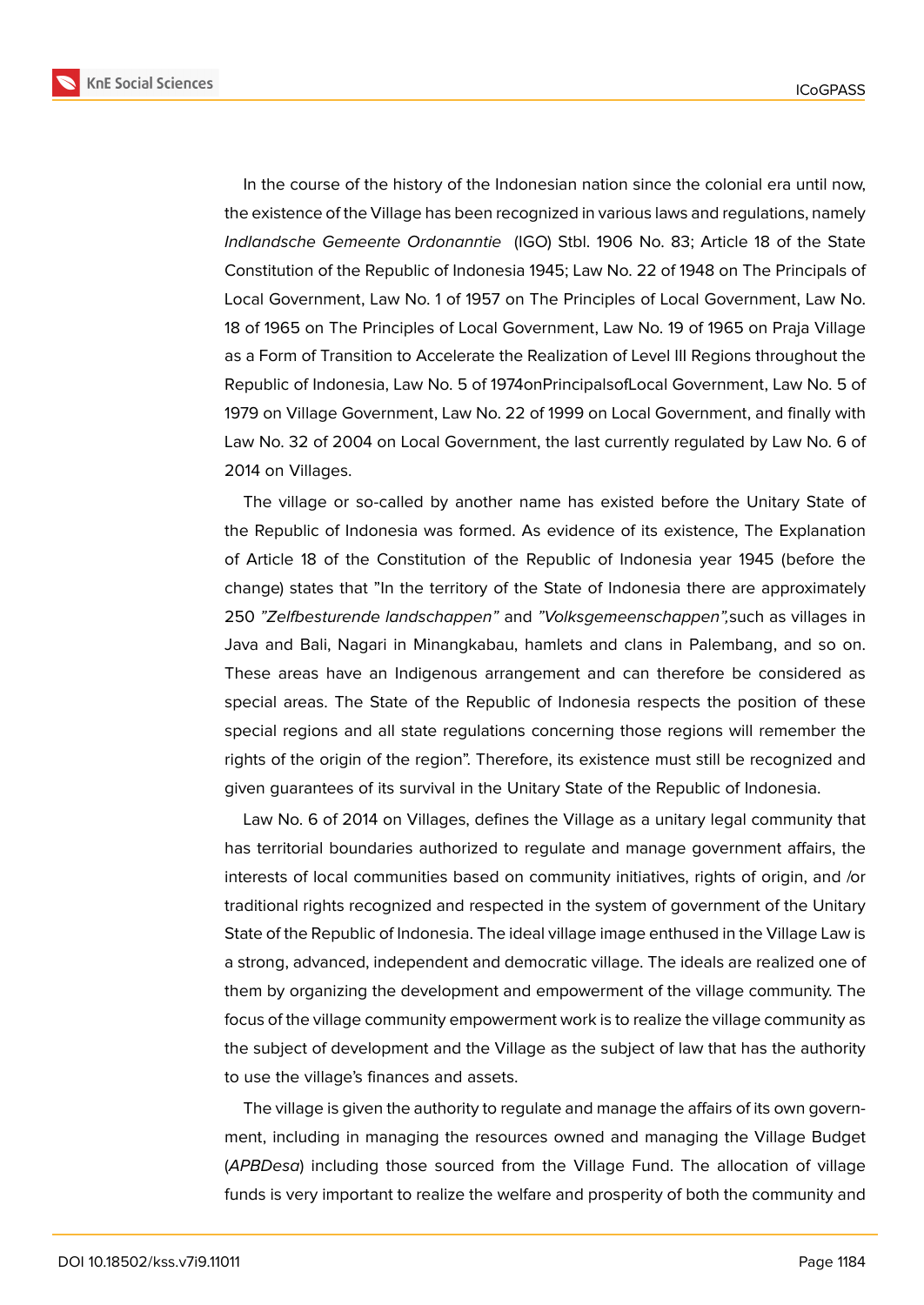

In the course of the history of the Indonesian nation since the colonial era until now, the existence of the Village has been recognized in various laws and regulations, namely *Indlandsche Gemeente Ordonanntie* (IGO) Stbl. 1906 No. 83; Article 18 of the State Constitution of the Republic of Indonesia 1945; Law No. 22 of 1948 on The Principals of Local Government, Law No. 1 of 1957 on The Principles of Local Government, Law No. 18 of 1965 on The Principles of Local Government, Law No. 19 of 1965 on Praja Village as a Form of Transition to Accelerate the Realization of Level III Regions throughout the Republic of Indonesia, Law No. 5 of 1974onPrincipalsofLocal Government, Law No. 5 of 1979 on Village Government, Law No. 22 of 1999 on Local Government, and finally with Law No. 32 of 2004 on Local Government, the last currently regulated by Law No. 6 of 2014 on Villages.

The village or so-called by another name has existed before the Unitary State of the Republic of Indonesia was formed. As evidence of its existence, The Explanation of Article 18 of the Constitution of the Republic of Indonesia year 1945 (before the change) states that "In the territory of the State of Indonesia there are approximately 250 *"Zelfbesturende landschappen"* and *"Volksgemeenschappen",*such as villages in Java and Bali, Nagari in Minangkabau, hamlets and clans in Palembang, and so on. These areas have an Indigenous arrangement and can therefore be considered as special areas. The State of the Republic of Indonesia respects the position of these special regions and all state regulations concerning those regions will remember the rights of the origin of the region". Therefore, its existence must still be recognized and given guarantees of its survival in the Unitary State of the Republic of Indonesia.

Law No. 6 of 2014 on Villages, defines the Village as a unitary legal community that has territorial boundaries authorized to regulate and manage government affairs, the interests of local communities based on community initiatives, rights of origin, and /or traditional rights recognized and respected in the system of government of the Unitary State of the Republic of Indonesia. The ideal village image enthused in the Village Law is a strong, advanced, independent and democratic village. The ideals are realized one of them by organizing the development and empowerment of the village community. The focus of the village community empowerment work is to realize the village community as the subject of development and the Village as the subject of law that has the authority to use the village's finances and assets.

The village is given the authority to regulate and manage the affairs of its own government, including in managing the resources owned and managing the Village Budget (*APBDesa*) including those sourced from the Village Fund. The allocation of village funds is very important to realize the welfare and prosperity of both the community and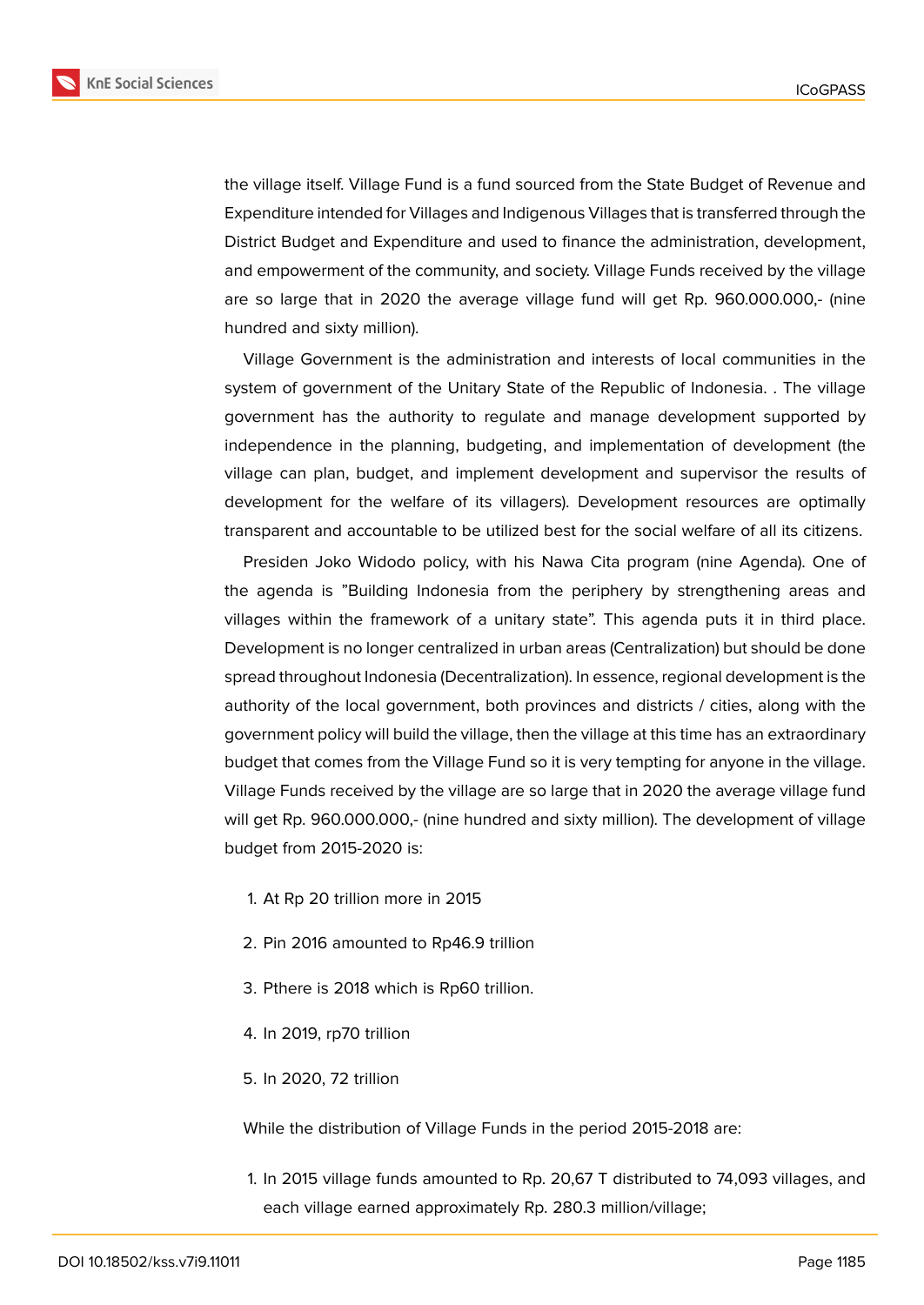

the village itself. Village Fund is a fund sourced from the State Budget of Revenue and Expenditure intended for Villages and Indigenous Villages that is transferred through the District Budget and Expenditure and used to finance the administration, development, and empowerment of the community, and society. Village Funds received by the village are so large that in 2020 the average village fund will get Rp. 960.000.000,- (nine hundred and sixty million).

Village Government is the administration and interests of local communities in the system of government of the Unitary State of the Republic of Indonesia. . The village government has the authority to regulate and manage development supported by independence in the planning, budgeting, and implementation of development (the village can plan, budget, and implement development and supervisor the results of development for the welfare of its villagers). Development resources are optimally transparent and accountable to be utilized best for the social welfare of all its citizens.

Presiden Joko Widodo policy, with his Nawa Cita program (nine Agenda). One of the agenda is "Building Indonesia from the periphery by strengthening areas and villages within the framework of a unitary state". This agenda puts it in third place. Development is no longer centralized in urban areas (Centralization) but should be done spread throughout Indonesia (Decentralization). In essence, regional development is the authority of the local government, both provinces and districts / cities, along with the government policy will build the village, then the village at this time has an extraordinary budget that comes from the Village Fund so it is very tempting for anyone in the village. Village Funds received by the village are so large that in 2020 the average village fund will get Rp. 960.000.000,- (nine hundred and sixty million). The development of village budget from 2015-2020 is:

- 1. At Rp 20 trillion more in 2015
- 2. Pin 2016 amounted to Rp46.9 trillion
- 3. Pthere is 2018 which is Rp60 trillion.
- 4. In 2019, rp70 trillion
- 5. In 2020, 72 trillion

While the distribution of Village Funds in the period 2015-2018 are:

1. In 2015 village funds amounted to Rp. 20,67 T distributed to 74,093 villages, and each village earned approximately Rp. 280.3 million/village;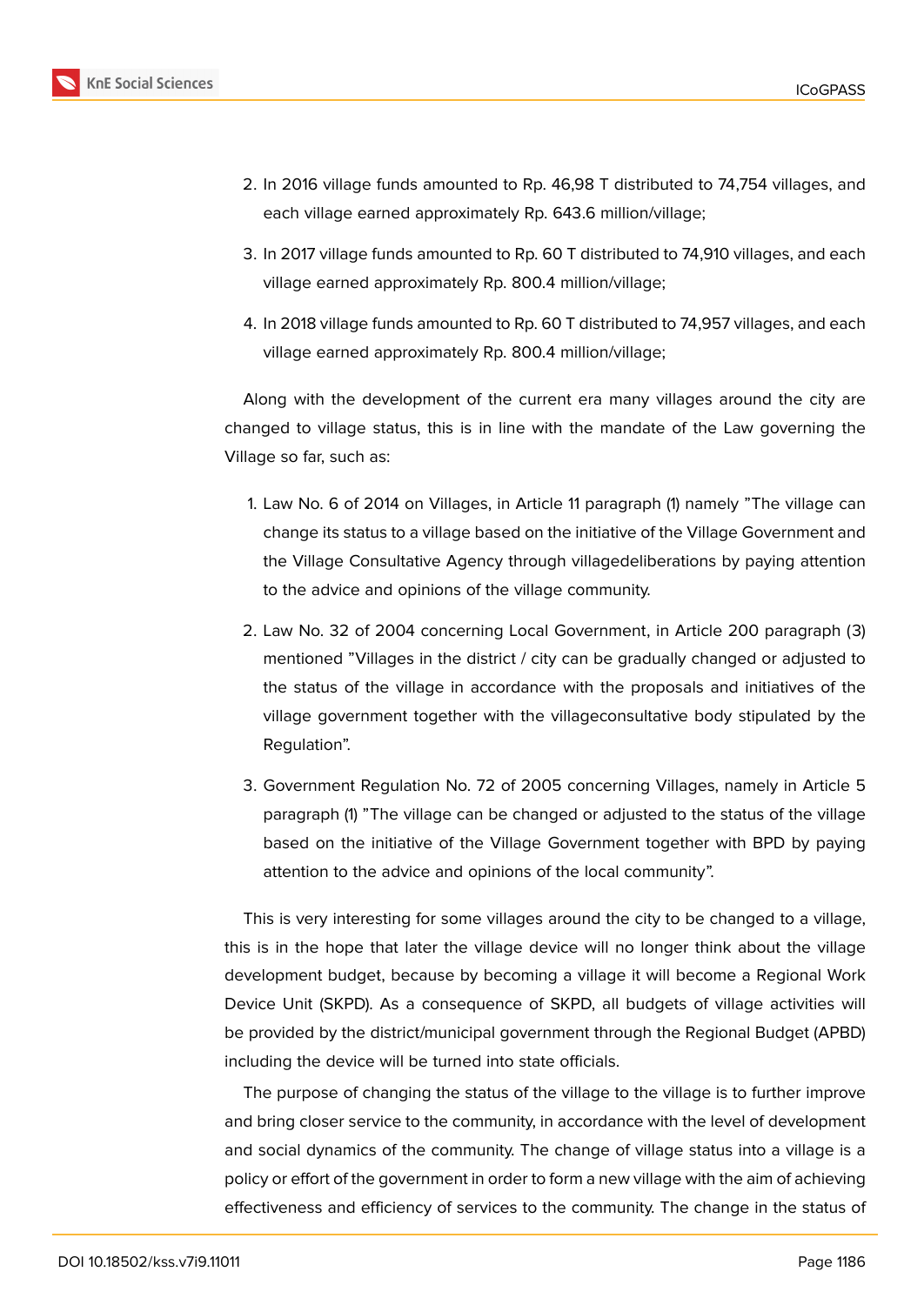

- 2. In 2016 village funds amounted to Rp. 46,98 T distributed to 74,754 villages, and each village earned approximately Rp. 643.6 million/village;
- 3. In 2017 village funds amounted to Rp. 60 T distributed to 74,910 villages, and each village earned approximately Rp. 800.4 million/village;
- 4. In 2018 village funds amounted to Rp. 60 T distributed to 74,957 villages, and each village earned approximately Rp. 800.4 million/village;

Along with the development of the current era many villages around the city are changed to village status, this is in line with the mandate of the Law governing the Village so far, such as:

- 1. Law No. 6 of 2014 on Villages, in Article 11 paragraph (1) namely "The village can change its status to a village based on the initiative of the Village Government and the Village Consultative Agency through villagedeliberations by paying attention to the advice and opinions of the village community.
- 2. Law No. 32 of 2004 concerning Local Government, in Article 200 paragraph (3) mentioned "Villages in the district / city can be gradually changed or adjusted to the status of the village in accordance with the proposals and initiatives of the village government together with the villageconsultative body stipulated by the Regulation".
- 3. Government Regulation No. 72 of 2005 concerning Villages, namely in Article 5 paragraph (1) "The village can be changed or adjusted to the status of the village based on the initiative of the Village Government together with BPD by paying attention to the advice and opinions of the local community".

This is very interesting for some villages around the city to be changed to a village, this is in the hope that later the village device will no longer think about the village development budget, because by becoming a village it will become a Regional Work Device Unit (SKPD). As a consequence of SKPD, all budgets of village activities will be provided by the district/municipal government through the Regional Budget (APBD) including the device will be turned into state officials.

The purpose of changing the status of the village to the village is to further improve and bring closer service to the community, in accordance with the level of development and social dynamics of the community. The change of village status into a village is a policy or effort of the government in order to form a new village with the aim of achieving effectiveness and efficiency of services to the community. The change in the status of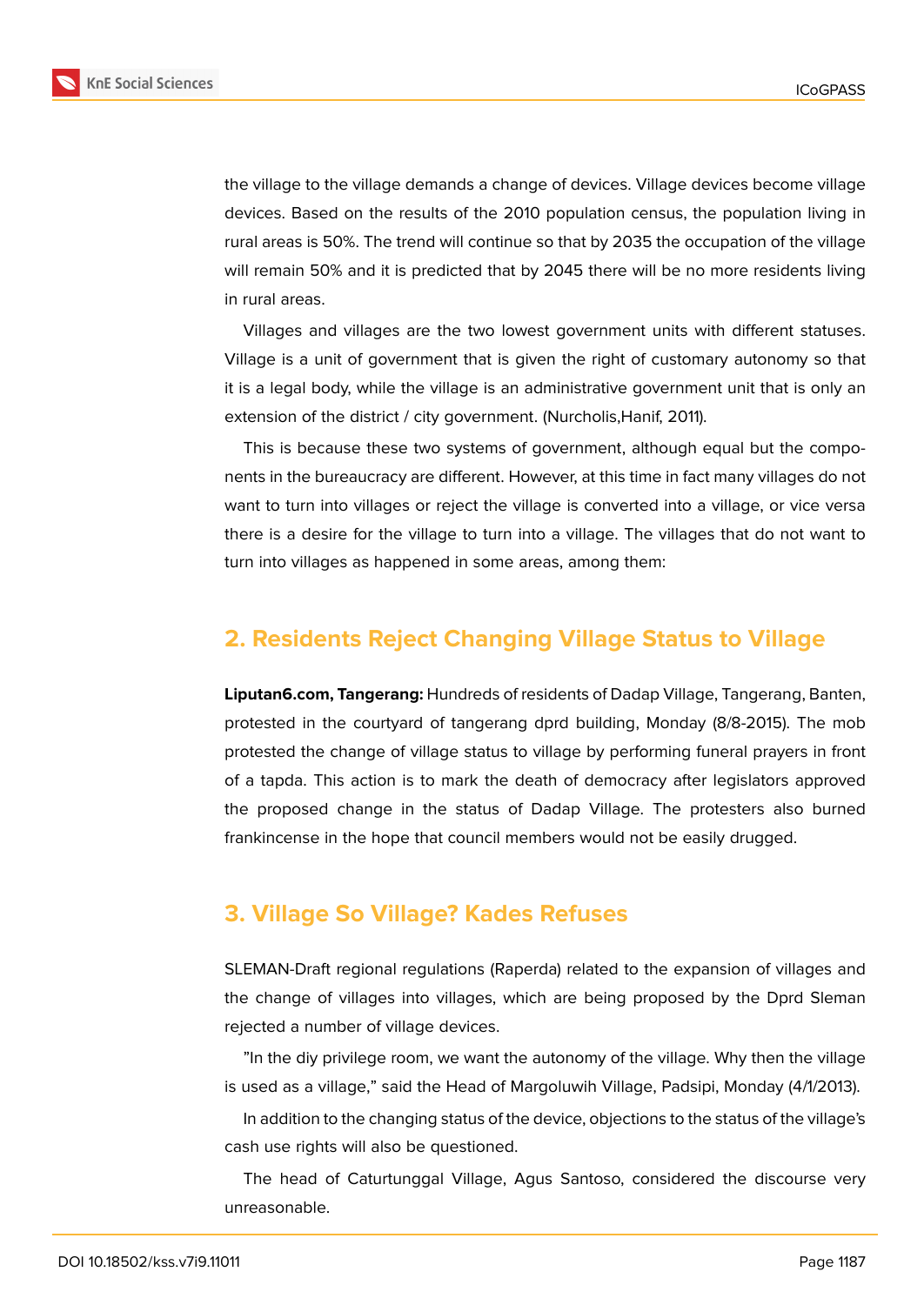

the village to the village demands a change of devices. Village devices become village devices. Based on the results of the 2010 population census, the population living in rural areas is 50%. The trend will continue so that by 2035 the occupation of the village will remain 50% and it is predicted that by 2045 there will be no more residents living in rural areas.

Villages and villages are the two lowest government units with different statuses. Village is a unit of government that is given the right of customary autonomy so that it is a legal body, while the village is an administrative government unit that is only an extension of the district / city government. (Nurcholis,Hanif, 2011).

This is because these two systems of government, although equal but the components in the bureaucracy are different. However, at this time in fact many villages do not want to turn into villages or reject the village is converted into a village, or vice versa there is a desire for the village to turn into a village. The villages that do not want to turn into villages as happened in some areas, among them:

## **2. Residents Reject Changing Village Status to Village**

**Liputan6.com, Tangerang:** Hundreds of residents of Dadap Village, Tangerang, Banten, protested in the courtyard of tangerang dprd building, Monday (8/8-2015). The mob protested the change of village status to village by performing funeral prayers in front of a tapda. This action is to mark the death of democracy after legislators approved the proposed change in the status of Dadap Village. The protesters also burned frankincense in the hope that council members would not be easily drugged.

## **3. Village So Village? Kades Refuses**

SLEMAN-Draft regional regulations (Raperda) related to the expansion of villages and the change of villages into villages, which are being proposed by the Dprd Sleman rejected a number of village devices.

"In the diy privilege room, we want the autonomy of the village. Why then the village is used as a village," said the Head of Margoluwih Village, Padsipi, Monday (4/1/2013).

In addition to the changing status of the device, objections to the status of the village's cash use rights will also be questioned.

The head of Caturtunggal Village, Agus Santoso, considered the discourse very unreasonable.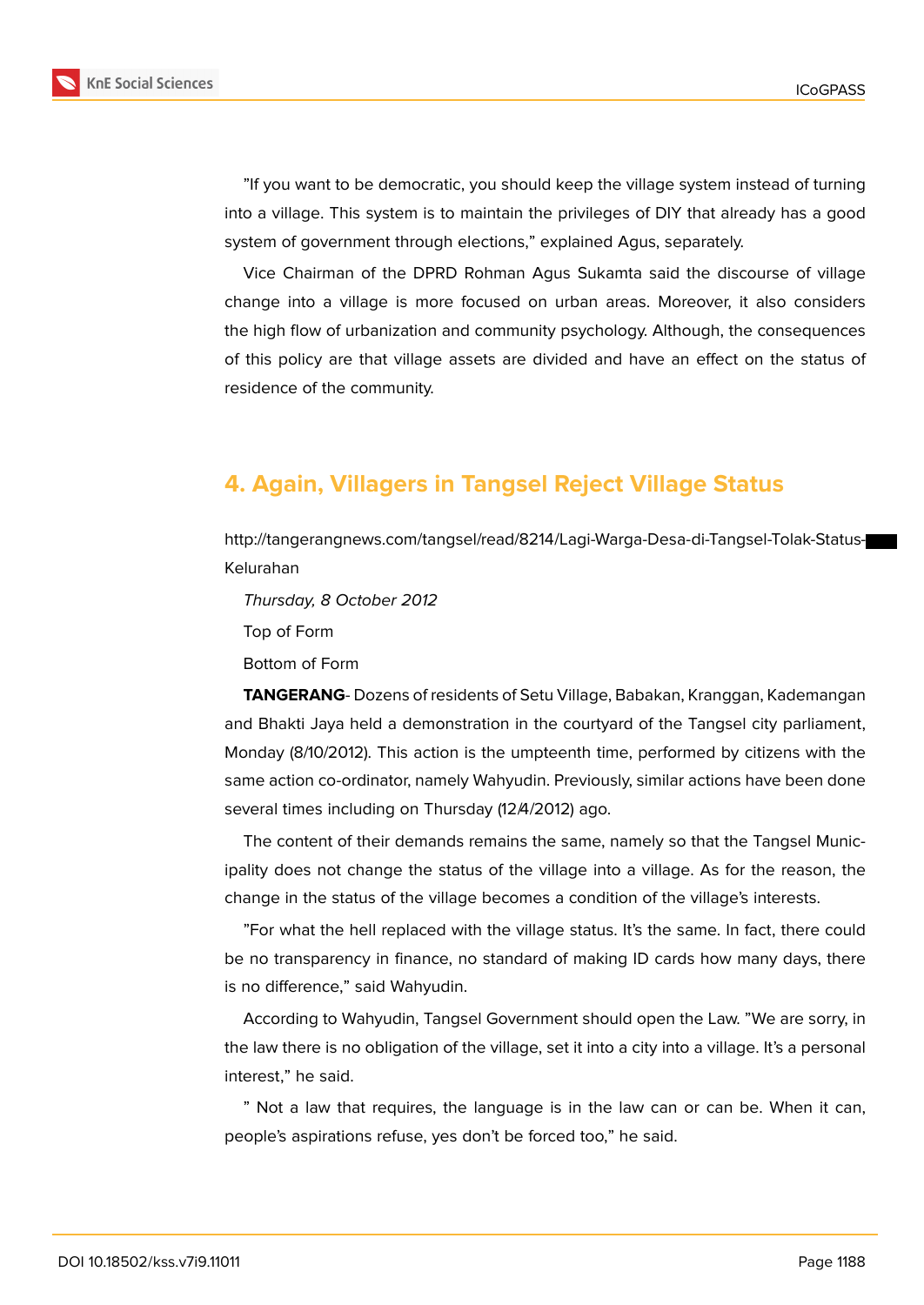

"If you want to be democratic, you should keep the village system instead of turning into a village. This system is to maintain the privileges of DIY that already has a good system of government through elections," explained Agus, separately.

Vice Chairman of the DPRD Rohman Agus Sukamta said the discourse of village change into a village is more focused on urban areas. Moreover, it also considers the high flow of urbanization and community psychology. Although, the consequences of this policy are that village assets are divided and have an effect on the status of residence of the community.

## **4. Again, Villagers in Tangsel Reject Village Status**

http://tangerangnews.com/tangsel/read/8214/Lagi-Warga-Desa-di-Tangsel-Tolak-Status-Kelurahan

*Thursday, 8 October 2012*

Top of Form

Bottom of Form

**TANGERANG**- Dozens of residents of Setu Village, Babakan, Kranggan, Kademangan and Bhakti Jaya held a demonstration in the courtyard of the Tangsel city parliament, Monday (8/10/2012). This action is the umpteenth time, performed by citizens with the same action co-ordinator, namely Wahyudin. Previously, similar actions have been done several times including on Thursday (12/4/2012) ago.

The content of their demands remains the same, namely so that the Tangsel Municipality does not change the status of the village into a village. As for the reason, the change in the status of the village becomes a condition of the village's interests.

"For what the hell replaced with the village status. It's the same. In fact, there could be no transparency in finance, no standard of making ID cards how many days, there is no difference," said Wahyudin.

According to Wahyudin, Tangsel Government should open the Law. "We are sorry, in the law there is no obligation of the village, set it into a city into a village. It's a personal interest," he said.

" Not a law that requires, the language is in the law can or can be. When it can, people's aspirations refuse, yes don't be forced too," he said.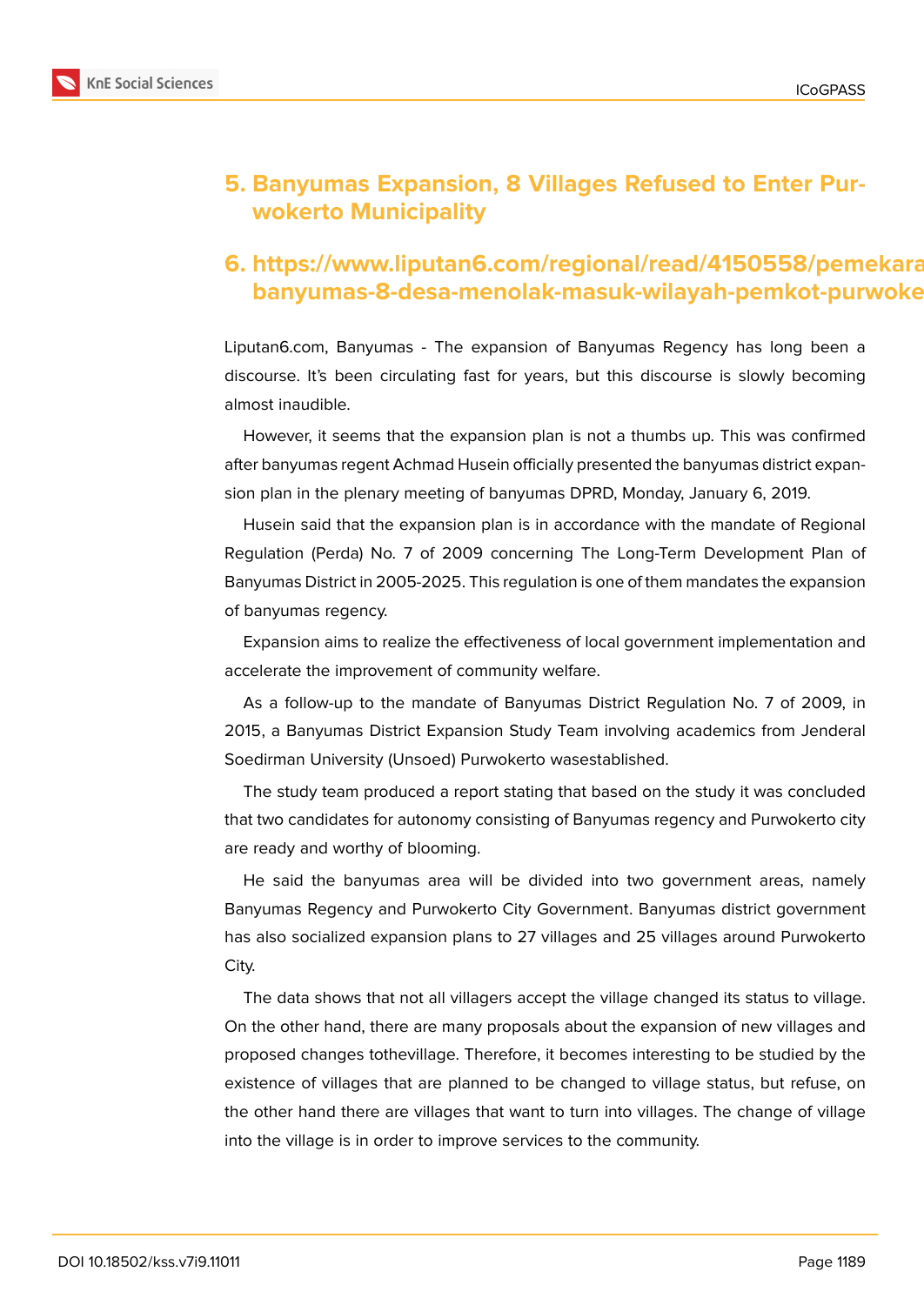

## **5. Banyumas Expansion, 8 Villages Refused to Enter Purwokerto Municipality**

## **6. https://www.liputan6.com/regional/read/4150558/pemekaran**banyumas-8-desa-menolak-masuk-wilayah-pemkot-purwoke

Liputan6.com, Banyumas - The expansion of Banyumas Regency has long been a discourse. It's been circulating fast for years, but this discourse is slowly becoming almost inaudible.

However, it seems that the expansion plan is not a thumbs up. This was confirmed after banyumas regent Achmad Husein officially presented the banyumas district expansion plan in the plenary meeting of banyumas DPRD, Monday, January 6, 2019.

Husein said that the expansion plan is in accordance with the mandate of Regional Regulation (Perda) No. 7 of 2009 concerning The Long-Term Development Plan of Banyumas District in 2005-2025. This regulation is one of them mandates the expansion of banyumas regency.

Expansion aims to realize the effectiveness of local government implementation and accelerate the improvement of community welfare.

As a follow-up to the mandate of Banyumas District Regulation No. 7 of 2009, in 2015, a Banyumas District Expansion Study Team involving academics from Jenderal Soedirman University (Unsoed) Purwokerto wasestablished.

The study team produced a report stating that based on the study it was concluded that two candidates for autonomy consisting of Banyumas regency and Purwokerto city are ready and worthy of blooming.

He said the banyumas area will be divided into two government areas, namely Banyumas Regency and Purwokerto City Government. Banyumas district government has also socialized expansion plans to 27 villages and 25 villages around Purwokerto City.

The data shows that not all villagers accept the village changed its status to village. On the other hand, there are many proposals about the expansion of new villages and proposed changes tothevillage. Therefore, it becomes interesting to be studied by the existence of villages that are planned to be changed to village status, but refuse, on the other hand there are villages that want to turn into villages. The change of village into the village is in order to improve services to the community.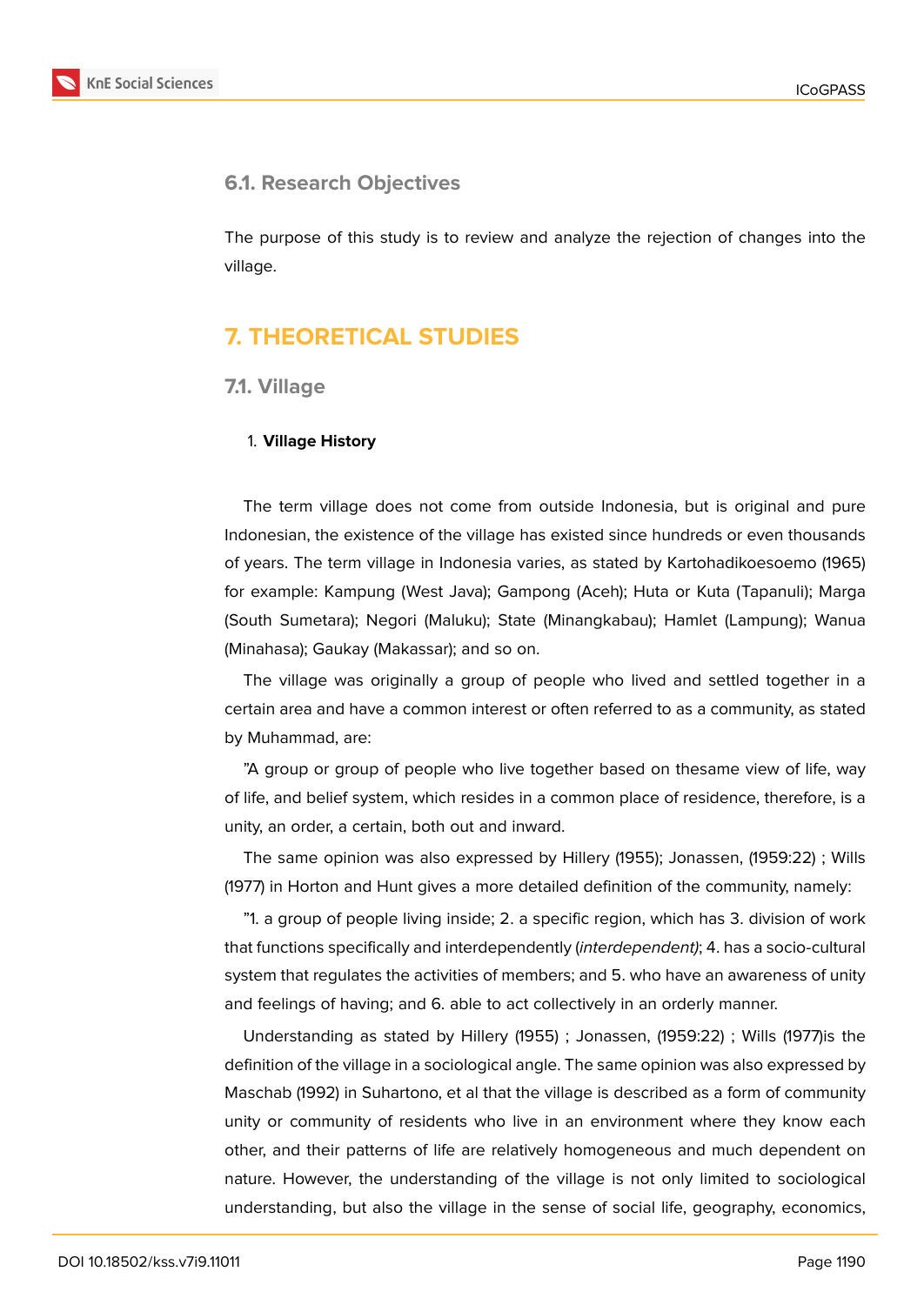

## **6.1. Research Objectives**

The purpose of this study is to review and analyze the rejection of changes into the village.

## **7. THEORETICAL STUDIES**

### **7.1. Village**

#### 1. **Village History**

The term village does not come from outside Indonesia, but is original and pure Indonesian, the existence of the village has existed since hundreds or even thousands of years. The term village in Indonesia varies, as stated by Kartohadikoesoemo (1965) for example: Kampung (West Java); Gampong (Aceh); Huta or Kuta (Tapanuli); Marga (South Sumetara); Negori (Maluku); State (Minangkabau); Hamlet (Lampung); Wanua (Minahasa); Gaukay (Makassar); and so on.

The village was originally a group of people who lived and settled together in a certain area and have a common interest or often referred to as a community, as stated by Muhammad, are:

"A group or group of people who live together based on thesame view of life, way of life, and belief system, which resides in a common place of residence, therefore, is a unity, an order, a certain, both out and inward.

The same opinion was also expressed by Hillery (1955); Jonassen, (1959:22) ; Wills (1977) in Horton and Hunt gives a more detailed definition of the community, namely:

"1. a group of people living inside; 2. a specific region, which has 3. division of work that functions specifically and interdependently (*interdependent)*; 4. has a socio-cultural system that regulates the activities of members; and 5. who have an awareness of unity and feelings of having; and 6. able to act collectively in an orderly manner.

Understanding as stated by Hillery (1955) ; Jonassen, (1959:22) ; Wills (1977)is the definition of the village in a sociological angle. The same opinion was also expressed by Maschab (1992) in Suhartono, et al that the village is described as a form of community unity or community of residents who live in an environment where they know each other, and their patterns of life are relatively homogeneous and much dependent on nature. However, the understanding of the village is not only limited to sociological understanding, but also the village in the sense of social life, geography, economics,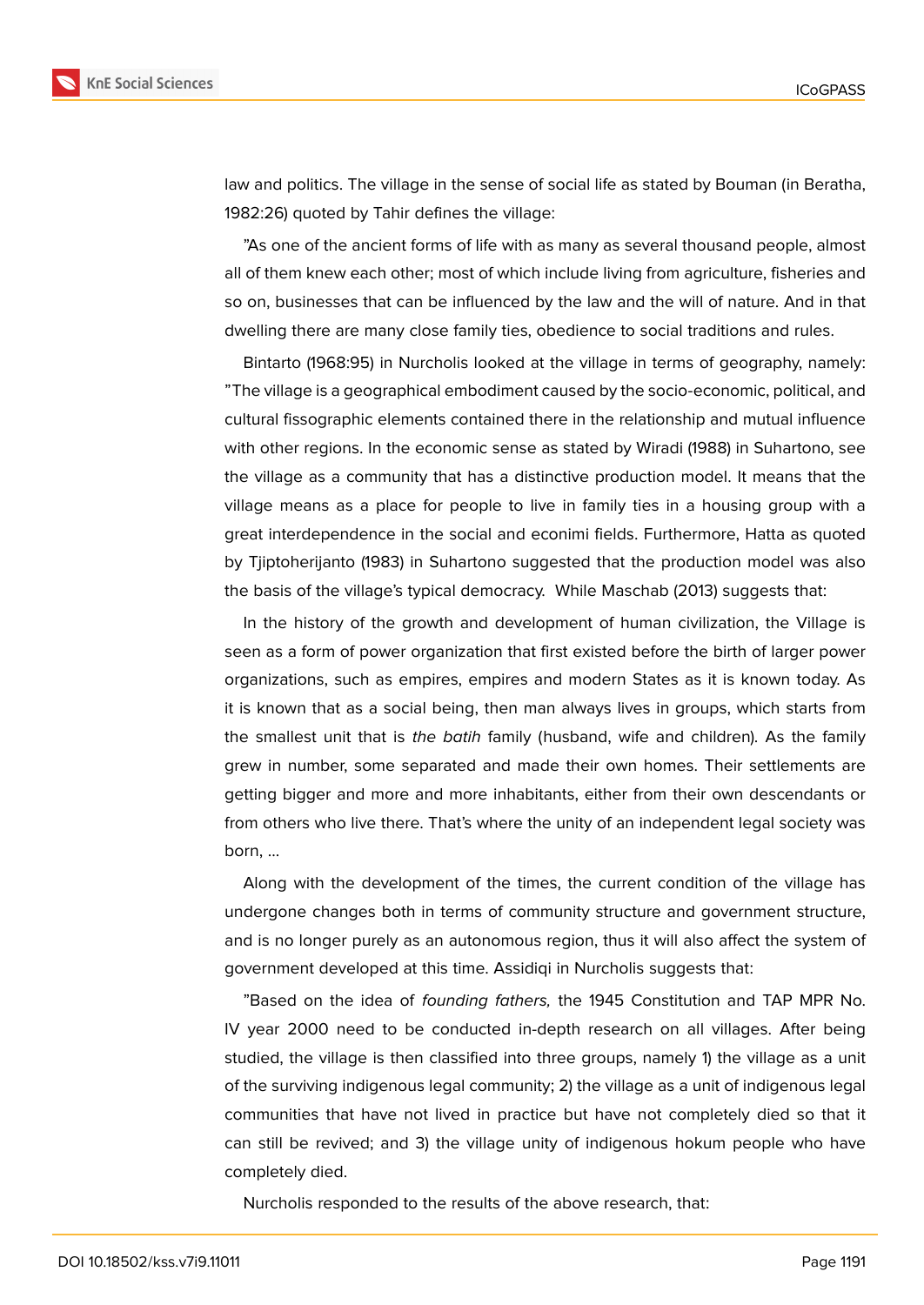

law and politics. The village in the sense of social life as stated by Bouman (in Beratha, 1982:26) quoted by Tahir defines the village:

"As one of the ancient forms of life with as many as several thousand people, almost all of them knew each other; most of which include living from agriculture, fisheries and so on, businesses that can be influenced by the law and the will of nature. And in that dwelling there are many close family ties, obedience to social traditions and rules.

Bintarto (1968:95) in Nurcholis looked at the village in terms of geography, namely: "The village is a geographical embodiment caused by the socio-economic, political, and cultural fissographic elements contained there in the relationship and mutual influence with other regions. In the economic sense as stated by Wiradi (1988) in Suhartono, see the village as a community that has a distinctive production model. It means that the village means as a place for people to live in family ties in a housing group with a great interdependence in the social and econimi fields. Furthermore, Hatta as quoted by Tjiptoherijanto (1983) in Suhartono suggested that the production model was also the basis of the village's typical democracy. While Maschab (2013) suggests that:

In the history of the growth and development of human civilization, the Village is seen as a form of power organization that first existed before the birth of larger power organizations, such as empires, empires and modern States as it is known today. As it is known that as a social being, then man always lives in groups, which starts from the smallest unit that is *the batih* family (husband, wife and children). As the family grew in number, some separated and made their own homes. Their settlements are getting bigger and more and more inhabitants, either from their own descendants or from others who live there. That's where the unity of an independent legal society was born, ...

Along with the development of the times, the current condition of the village has undergone changes both in terms of community structure and government structure, and is no longer purely as an autonomous region, thus it will also affect the system of government developed at this time. Assidiqi in Nurcholis suggests that:

"Based on the idea of *founding fathers,* the 1945 Constitution and TAP MPR No. IV year 2000 need to be conducted in-depth research on all villages. After being studied, the village is then classified into three groups, namely 1) the village as a unit of the surviving indigenous legal community; 2) the village as a unit of indigenous legal communities that have not lived in practice but have not completely died so that it can still be revived; and 3) the village unity of indigenous hokum people who have completely died.

Nurcholis responded to the results of the above research, that: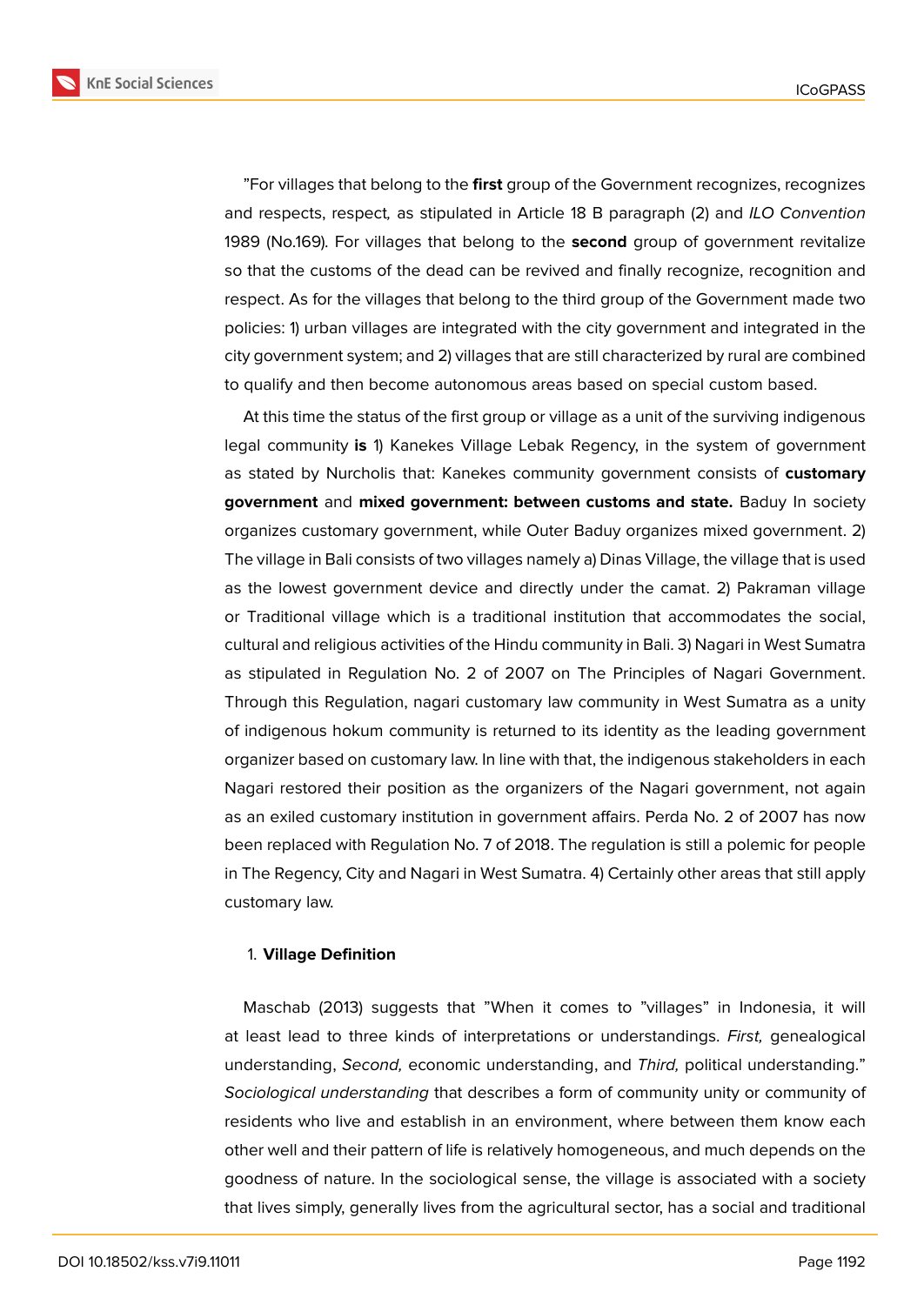

"For villages that belong to the **first** group of the Government recognizes, recognizes and respects, respect*,* as stipulated in Article 18 B paragraph (2) and *ILO Convention* 1989 (No.169). For villages that belong to the **second** group of government revitalize so that the customs of the dead can be revived and finally recognize, recognition and respect. As for the villages that belong to the third group of the Government made two policies: 1) urban villages are integrated with the city government and integrated in the city government system; and 2) villages that are still characterized by rural are combined to qualify and then become autonomous areas based on special custom based.

At this time the status of the first group or village as a unit of the surviving indigenous legal community **is** 1) Kanekes Village Lebak Regency, in the system of government as stated by Nurcholis that: Kanekes community government consists of **customary government** and **mixed government: between customs and state.** Baduy In society organizes customary government, while Outer Baduy organizes mixed government. 2) The village in Bali consists of two villages namely a) Dinas Village, the village that is used as the lowest government device and directly under the camat. 2) Pakraman village or Traditional village which is a traditional institution that accommodates the social, cultural and religious activities of the Hindu community in Bali. 3) Nagari in West Sumatra as stipulated in Regulation No. 2 of 2007 on The Principles of Nagari Government. Through this Regulation, nagari customary law community in West Sumatra as a unity of indigenous hokum community is returned to its identity as the leading government organizer based on customary law. In line with that, the indigenous stakeholders in each Nagari restored their position as the organizers of the Nagari government, not again as an exiled customary institution in government affairs. Perda No. 2 of 2007 has now been replaced with Regulation No. 7 of 2018. The regulation is still a polemic for people in The Regency, City and Nagari in West Sumatra. 4) Certainly other areas that still apply customary law.

#### 1. **Village Definition**

Maschab (2013) suggests that "When it comes to "villages" in Indonesia, it will at least lead to three kinds of interpretations or understandings. *First,* genealogical understanding, *Second,* economic understanding, and *Third,* political understanding." *Sociological understanding* that describes a form of community unity or community of residents who live and establish in an environment, where between them know each other well and their pattern of life is relatively homogeneous, and much depends on the goodness of nature. In the sociological sense, the village is associated with a society that lives simply, generally lives from the agricultural sector, has a social and traditional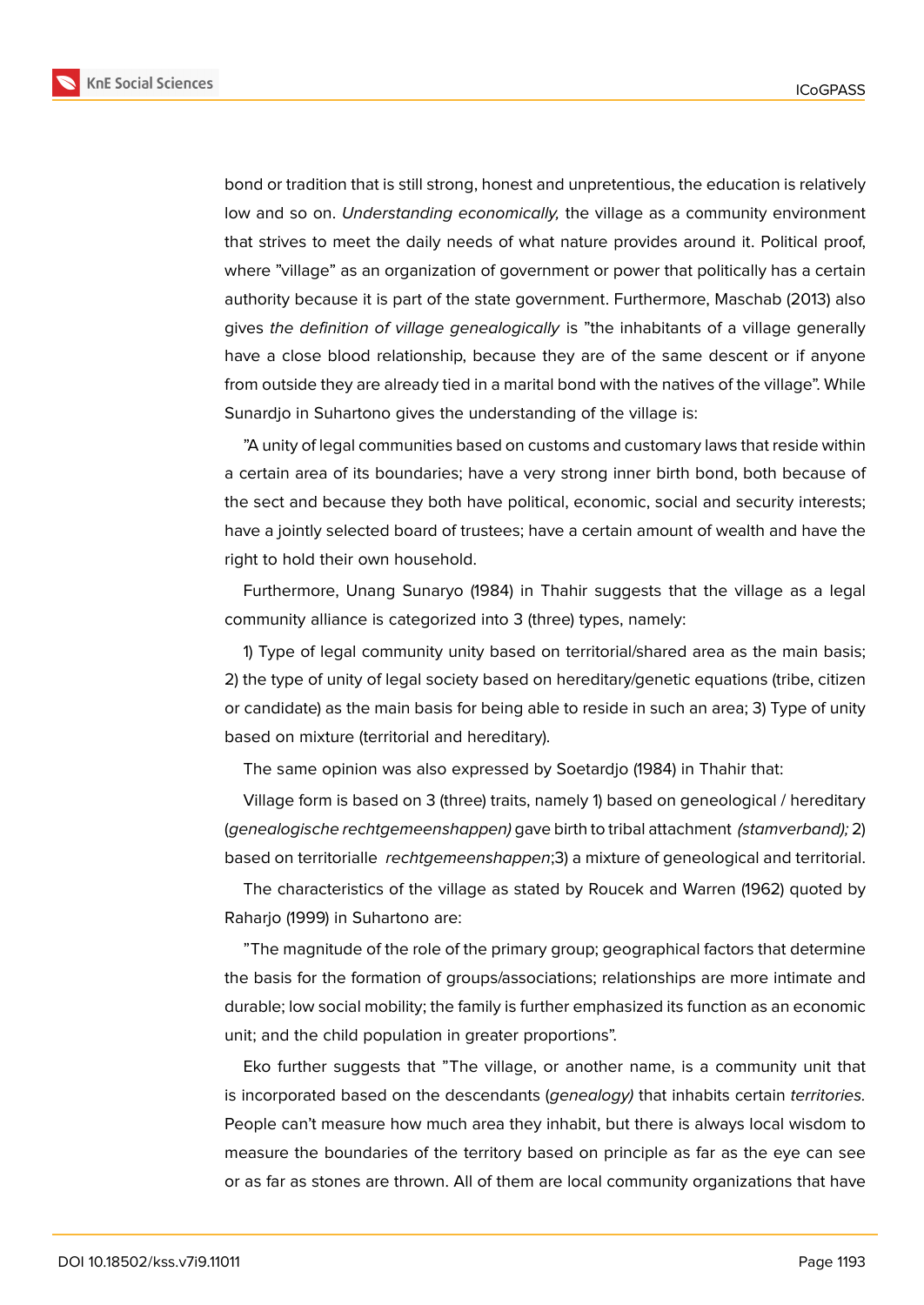

bond or tradition that is still strong, honest and unpretentious, the education is relatively low and so on. *Understanding economically,* the village as a community environment that strives to meet the daily needs of what nature provides around it. Political proof, where "village" as an organization of government or power that politically has a certain authority because it is part of the state government. Furthermore, Maschab (2013) also gives *the definition of village genealogically* is "the inhabitants of a village generally have a close blood relationship, because they are of the same descent or if anyone from outside they are already tied in a marital bond with the natives of the village". While Sunardjo in Suhartono gives the understanding of the village is:

"A unity of legal communities based on customs and customary laws that reside within a certain area of its boundaries; have a very strong inner birth bond, both because of the sect and because they both have political, economic, social and security interests; have a jointly selected board of trustees; have a certain amount of wealth and have the right to hold their own household.

Furthermore, Unang Sunaryo (1984) in Thahir suggests that the village as a legal community alliance is categorized into 3 (three) types, namely:

1) Type of legal community unity based on territorial/shared area as the main basis; 2) the type of unity of legal society based on hereditary/genetic equations (tribe, citizen or candidate) as the main basis for being able to reside in such an area; 3) Type of unity based on mixture (territorial and hereditary).

The same opinion was also expressed by Soetardjo (1984) in Thahir that:

Village form is based on 3 (three) traits, namely 1) based on geneological / hereditary (*genealogische rechtgemeenshappen)* gave birth to tribal attachment *(stamverband);* 2) based on territorialle *rechtgemeenshappen*;3) a mixture of geneological and territorial.

The characteristics of the village as stated by Roucek and Warren (1962) quoted by Raharjo (1999) in Suhartono are:

"The magnitude of the role of the primary group; geographical factors that determine the basis for the formation of groups/associations; relationships are more intimate and durable; low social mobility; the family is further emphasized its function as an economic unit; and the child population in greater proportions".

Eko further suggests that "The village, or another name, is a community unit that is incorporated based on the descendants (*genealogy)* that inhabits certain *territories.* People can't measure how much area they inhabit, but there is always local wisdom to measure the boundaries of the territory based on principle as far as the eye can see or as far as stones are thrown. All of them are local community organizations that have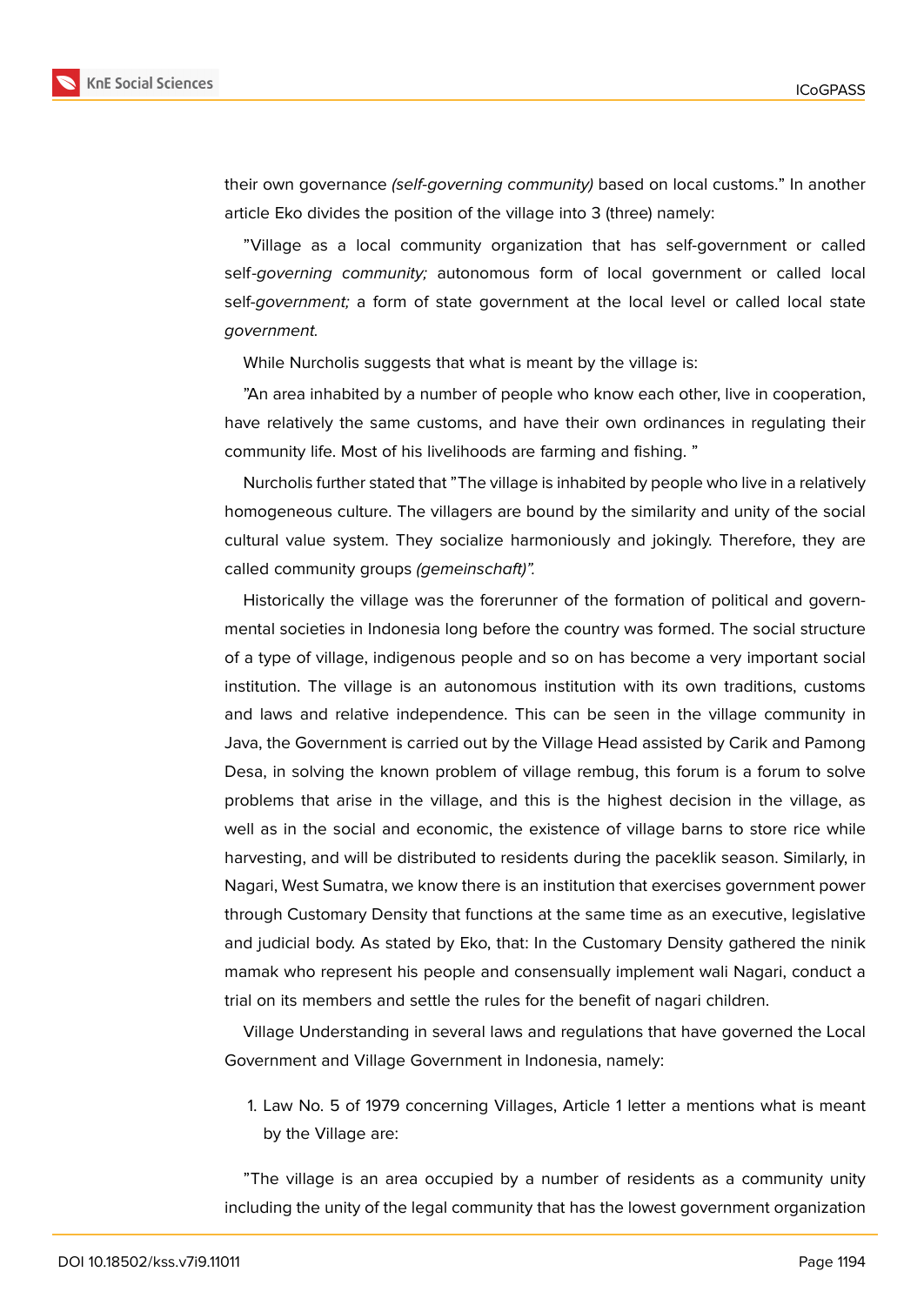

their own governance *(self-governing community)* based on local customs." In another article Eko divides the position of the village into 3 (three) namely:

"Village as a local community organization that has self-government or called self*-governing community;* autonomous form of local government or called local self-*government;* a form of state government at the local level or called local state *government.*

While Nurcholis suggests that what is meant by the village is:

"An area inhabited by a number of people who know each other, live in cooperation, have relatively the same customs, and have their own ordinances in regulating their community life. Most of his livelihoods are farming and fishing. "

Nurcholis further stated that "The village is inhabited by people who live in a relatively homogeneous culture. The villagers are bound by the similarity and unity of the social cultural value system. They socialize harmoniously and jokingly. Therefore, they are called community groups *(gemeinschaft)".*

Historically the village was the forerunner of the formation of political and governmental societies in Indonesia long before the country was formed. The social structure of a type of village, indigenous people and so on has become a very important social institution. The village is an autonomous institution with its own traditions, customs and laws and relative independence. This can be seen in the village community in Java, the Government is carried out by the Village Head assisted by Carik and Pamong Desa, in solving the known problem of village rembug, this forum is a forum to solve problems that arise in the village, and this is the highest decision in the village, as well as in the social and economic, the existence of village barns to store rice while harvesting, and will be distributed to residents during the paceklik season. Similarly, in Nagari, West Sumatra, we know there is an institution that exercises government power through Customary Density that functions at the same time as an executive, legislative and judicial body. As stated by Eko, that: In the Customary Density gathered the ninik mamak who represent his people and consensually implement wali Nagari, conduct a trial on its members and settle the rules for the benefit of nagari children.

Village Understanding in several laws and regulations that have governed the Local Government and Village Government in Indonesia, namely:

1. Law No. 5 of 1979 concerning Villages, Article 1 letter a mentions what is meant by the Village are:

"The village is an area occupied by a number of residents as a community unity including the unity of the legal community that has the lowest government organization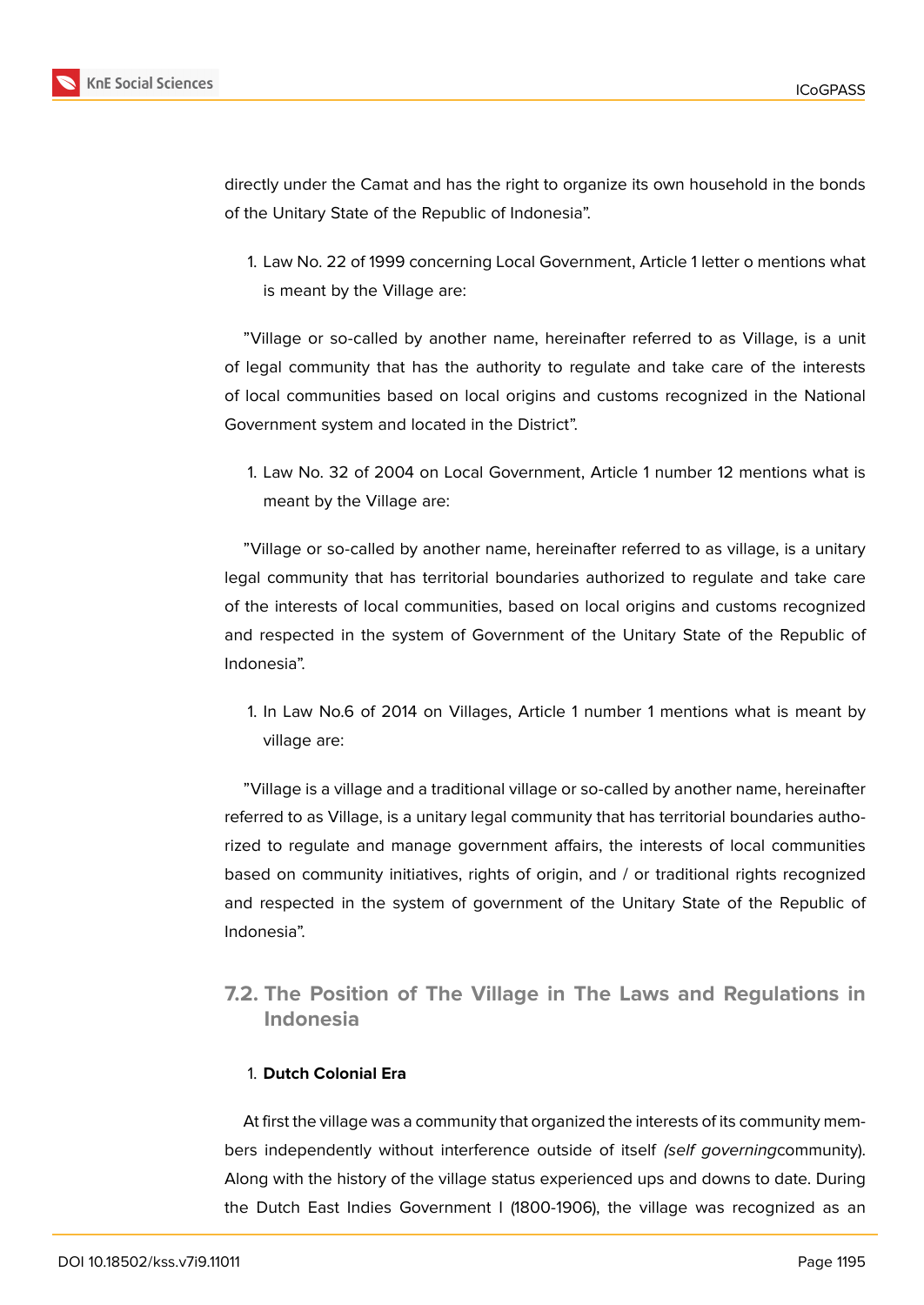

directly under the Camat and has the right to organize its own household in the bonds of the Unitary State of the Republic of Indonesia".

1. Law No. 22 of 1999 concerning Local Government, Article 1 letter o mentions what is meant by the Village are:

"Village or so-called by another name, hereinafter referred to as Village, is a unit of legal community that has the authority to regulate and take care of the interests of local communities based on local origins and customs recognized in the National Government system and located in the District".

1. Law No. 32 of 2004 on Local Government, Article 1 number 12 mentions what is meant by the Village are:

"Village or so-called by another name, hereinafter referred to as village, is a unitary legal community that has territorial boundaries authorized to regulate and take care of the interests of local communities, based on local origins and customs recognized and respected in the system of Government of the Unitary State of the Republic of Indonesia".

1. In Law No.6 of 2014 on Villages, Article 1 number 1 mentions what is meant by village are:

"Village is a village and a traditional village or so-called by another name, hereinafter referred to as Village, is a unitary legal community that has territorial boundaries authorized to regulate and manage government affairs, the interests of local communities based on community initiatives, rights of origin, and / or traditional rights recognized and respected in the system of government of the Unitary State of the Republic of Indonesia".

## **7.2. The Position of The Village in The Laws and Regulations in Indonesia**

### 1. **Dutch Colonial Era**

At first the village was a community that organized the interests of its community members independently without interference outside of itself *(self governing*community). Along with the history of the village status experienced ups and downs to date. During the Dutch East Indies Government I (1800-1906), the village was recognized as an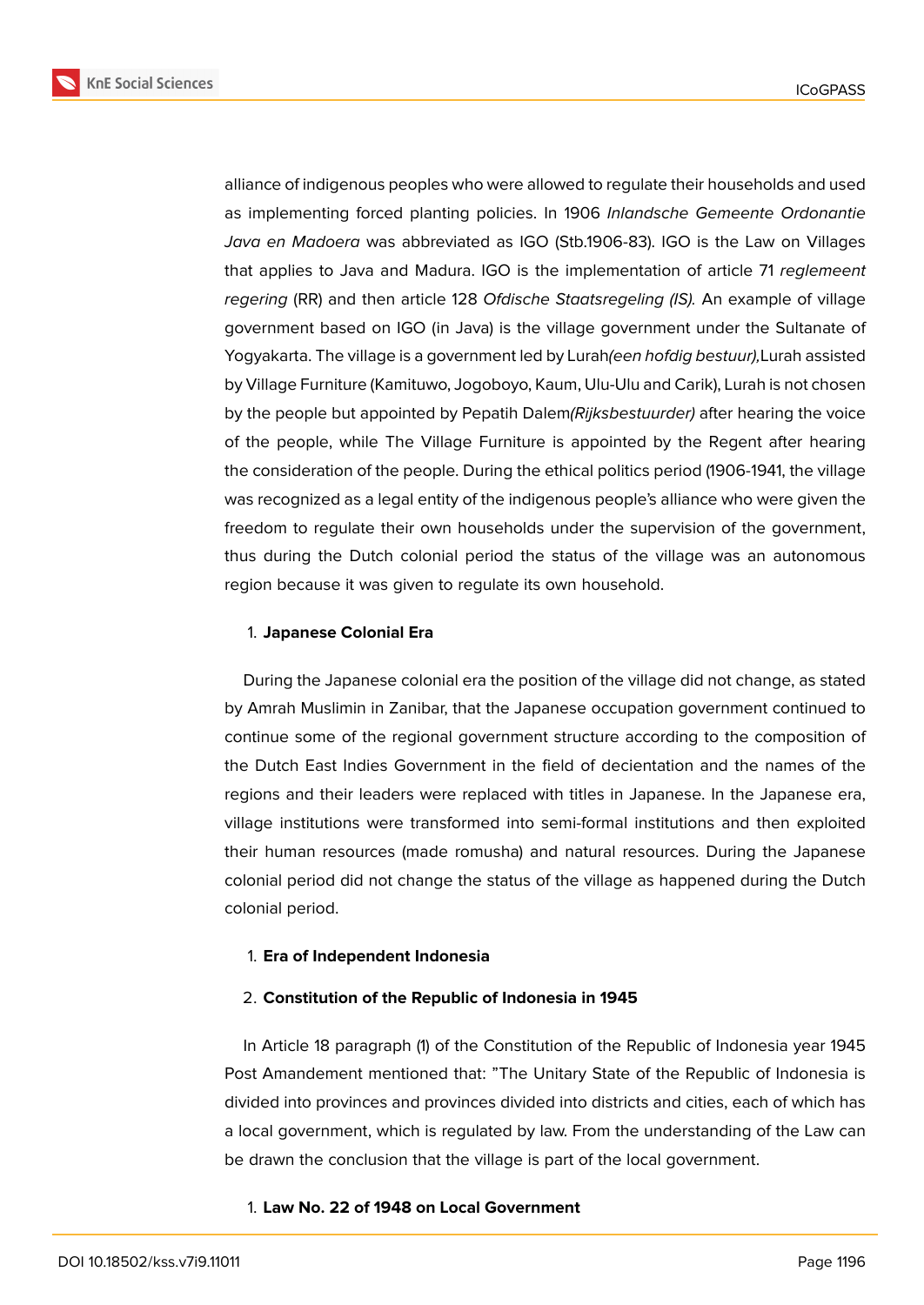

alliance of indigenous peoples who were allowed to regulate their households and used as implementing forced planting policies. In 1906 *Inlandsche Gemeente Ordonantie Java en Madoera* was abbreviated as IGO (Stb.1906-83). IGO is the Law on Villages that applies to Java and Madura. IGO is the implementation of article 71 *reglemeent regering* (RR) and then article 128 *Ofdische Staatsregeling (IS).* An example of village government based on IGO (in Java) is the village government under the Sultanate of Yogyakarta. The village is a government led by Lurah*(een hofdig bestuur),*Lurah assisted by Village Furniture (Kamituwo, Jogoboyo, Kaum, Ulu-Ulu and Carik), Lurah is not chosen by the people but appointed by Pepatih Dalem*(Rijksbestuurder)* after hearing the voice of the people, while The Village Furniture is appointed by the Regent after hearing the consideration of the people. During the ethical politics period (1906-1941, the village was recognized as a legal entity of the indigenous people's alliance who were given the freedom to regulate their own households under the supervision of the government, thus during the Dutch colonial period the status of the village was an autonomous region because it was given to regulate its own household.

#### 1. **Japanese Colonial Era**

During the Japanese colonial era the position of the village did not change, as stated by Amrah Muslimin in Zanibar, that the Japanese occupation government continued to continue some of the regional government structure according to the composition of the Dutch East Indies Government in the field of decientation and the names of the regions and their leaders were replaced with titles in Japanese. In the Japanese era, village institutions were transformed into semi-formal institutions and then exploited their human resources (made romusha) and natural resources. During the Japanese colonial period did not change the status of the village as happened during the Dutch colonial period.

#### 1. **Era of Independent Indonesia**

#### 2. **Constitution of the Republic of Indonesia in 1945**

In Article 18 paragraph (1) of the Constitution of the Republic of Indonesia year 1945 Post Amandement mentioned that: "The Unitary State of the Republic of Indonesia is divided into provinces and provinces divided into districts and cities, each of which has a local government, which is regulated by law. From the understanding of the Law can be drawn the conclusion that the village is part of the local government.

#### 1. **Law No. 22 of 1948 on Local Government**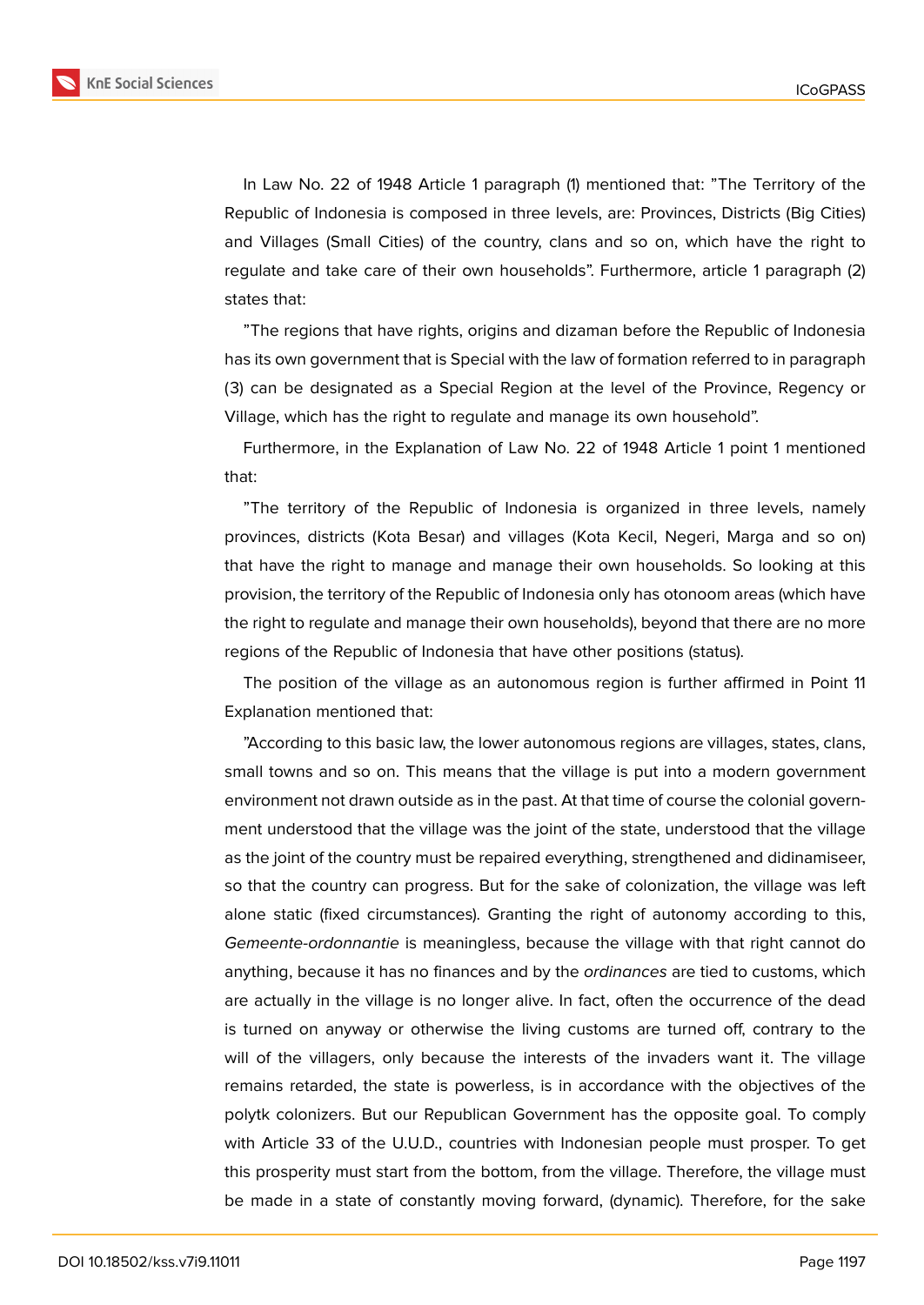

"The regions that have rights, origins and dizaman before the Republic of Indonesia has its own government that is Special with the law of formation referred to in paragraph (3) can be designated as a Special Region at the level of the Province, Regency or Village, which has the right to regulate and manage its own household".

Furthermore, in the Explanation of Law No. 22 of 1948 Article 1 point 1 mentioned that:

"The territory of the Republic of Indonesia is organized in three levels, namely provinces, districts (Kota Besar) and villages (Kota Kecil, Negeri, Marga and so on) that have the right to manage and manage their own households. So looking at this provision, the territory of the Republic of Indonesia only has otonoom areas (which have the right to regulate and manage their own households), beyond that there are no more regions of the Republic of Indonesia that have other positions (status).

The position of the village as an autonomous region is further affirmed in Point 11 Explanation mentioned that:

"According to this basic law, the lower autonomous regions are villages, states, clans, small towns and so on. This means that the village is put into a modern government environment not drawn outside as in the past. At that time of course the colonial government understood that the village was the joint of the state, understood that the village as the joint of the country must be repaired everything, strengthened and didinamiseer, so that the country can progress. But for the sake of colonization, the village was left alone static (fixed circumstances). Granting the right of autonomy according to this, *Gemeente-ordonnantie* is meaningless, because the village with that right cannot do anything, because it has no finances and by the *ordinances* are tied to customs, which are actually in the village is no longer alive. In fact, often the occurrence of the dead is turned on anyway or otherwise the living customs are turned off, contrary to the will of the villagers, only because the interests of the invaders want it. The village remains retarded, the state is powerless, is in accordance with the objectives of the polytk colonizers. But our Republican Government has the opposite goal. To comply with Article 33 of the U.U.D., countries with Indonesian people must prosper. To get this prosperity must start from the bottom, from the village. Therefore, the village must be made in a state of constantly moving forward, (dynamic). Therefore, for the sake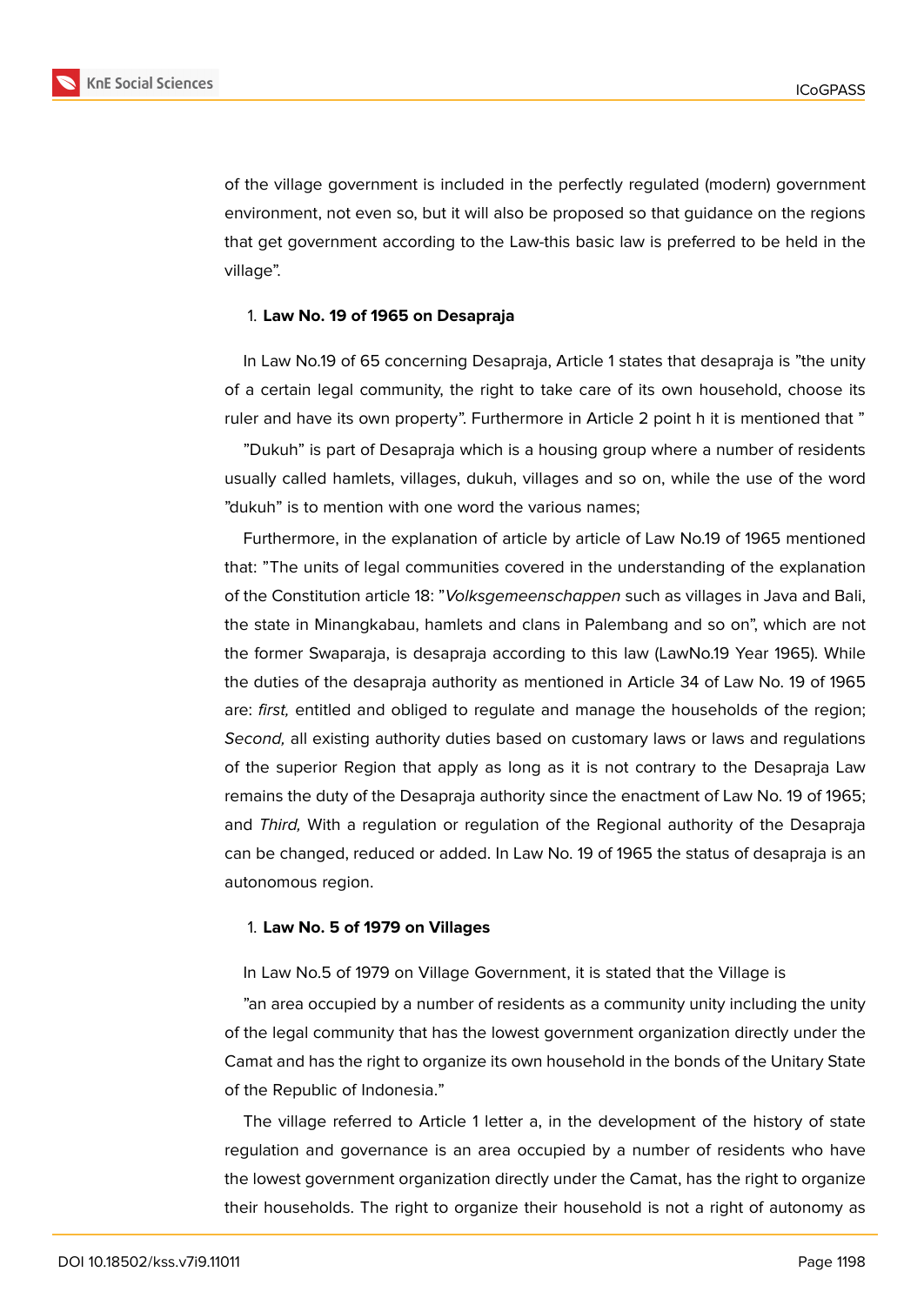

of the village government is included in the perfectly regulated (modern) government environment, not even so, but it will also be proposed so that guidance on the regions that get government according to the Law-this basic law is preferred to be held in the village".

#### 1. **Law No. 19 of 1965 on Desapraja**

In Law No.19 of 65 concerning Desapraja, Article 1 states that desapraja is "the unity of a certain legal community, the right to take care of its own household, choose its ruler and have its own property". Furthermore in Article 2 point h it is mentioned that "

"Dukuh" is part of Desapraja which is a housing group where a number of residents usually called hamlets, villages, dukuh, villages and so on, while the use of the word "dukuh" is to mention with one word the various names;

Furthermore, in the explanation of article by article of Law No.19 of 1965 mentioned that: "The units of legal communities covered in the understanding of the explanation of the Constitution article 18: "*Volksgemeenschappen* such as villages in Java and Bali, the state in Minangkabau, hamlets and clans in Palembang and so on", which are not the former Swaparaja, is desapraja according to this law (LawNo.19 Year 1965). While the duties of the desapraja authority as mentioned in Article 34 of Law No. 19 of 1965 are: *first,* entitled and obliged to regulate and manage the households of the region; *Second,* all existing authority duties based on customary laws or laws and regulations of the superior Region that apply as long as it is not contrary to the Desapraja Law remains the duty of the Desapraja authority since the enactment of Law No. 19 of 1965; and *Third,* With a regulation or regulation of the Regional authority of the Desapraja can be changed, reduced or added. In Law No. 19 of 1965 the status of desapraja is an autonomous region.

#### 1. **Law No. 5 of 1979 on Villages**

In Law No.5 of 1979 on Village Government, it is stated that the Village is

"an area occupied by a number of residents as a community unity including the unity of the legal community that has the lowest government organization directly under the Camat and has the right to organize its own household in the bonds of the Unitary State of the Republic of Indonesia."

The village referred to Article 1 letter a, in the development of the history of state regulation and governance is an area occupied by a number of residents who have the lowest government organization directly under the Camat, has the right to organize their households. The right to organize their household is not a right of autonomy as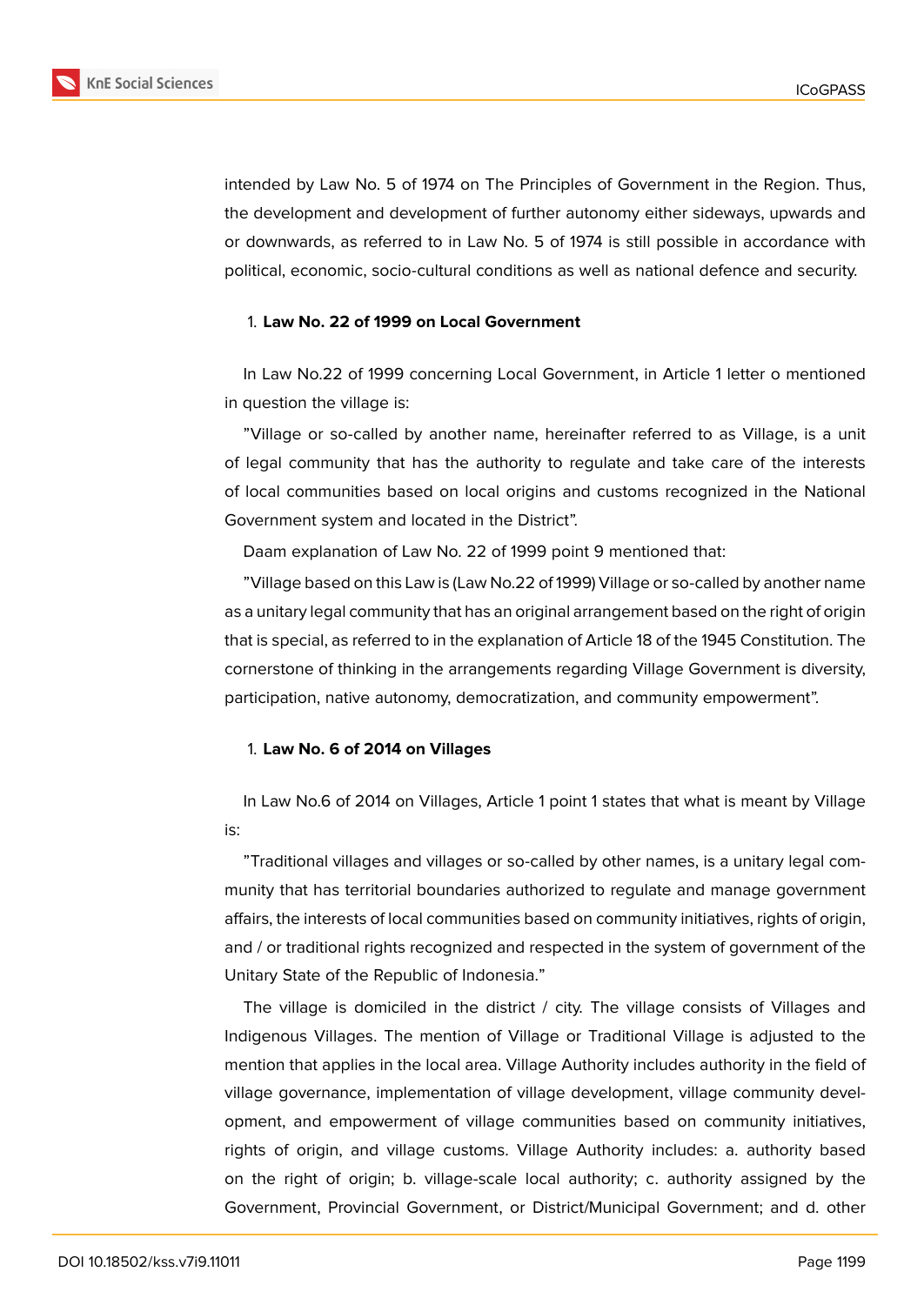

intended by Law No. 5 of 1974 on The Principles of Government in the Region. Thus, the development and development of further autonomy either sideways, upwards and or downwards, as referred to in Law No. 5 of 1974 is still possible in accordance with political, economic, socio-cultural conditions as well as national defence and security.

#### 1. **Law No. 22 of 1999 on Local Government**

In Law No.22 of 1999 concerning Local Government, in Article 1 letter o mentioned in question the village is:

"Village or so-called by another name, hereinafter referred to as Village, is a unit of legal community that has the authority to regulate and take care of the interests of local communities based on local origins and customs recognized in the National Government system and located in the District".

Daam explanation of Law No. 22 of 1999 point 9 mentioned that:

"Village based on this Law is (Law No.22 of 1999) Village or so-called by another name as a unitary legal community that has an original arrangement based on the right of origin that is special, as referred to in the explanation of Article 18 of the 1945 Constitution. The cornerstone of thinking in the arrangements regarding Village Government is diversity, participation, native autonomy, democratization, and community empowerment".

#### 1. **Law No. 6 of 2014 on Villages**

In Law No.6 of 2014 on Villages, Article 1 point 1 states that what is meant by Village is:

"Traditional villages and villages or so-called by other names, is a unitary legal community that has territorial boundaries authorized to regulate and manage government affairs, the interests of local communities based on community initiatives, rights of origin, and / or traditional rights recognized and respected in the system of government of the Unitary State of the Republic of Indonesia."

The village is domiciled in the district / city. The village consists of Villages and Indigenous Villages. The mention of Village or Traditional Village is adjusted to the mention that applies in the local area. Village Authority includes authority in the field of village governance, implementation of village development, village community development, and empowerment of village communities based on community initiatives, rights of origin, and village customs. Village Authority includes: a. authority based on the right of origin; b. village-scale local authority; c. authority assigned by the Government, Provincial Government, or District/Municipal Government; and d. other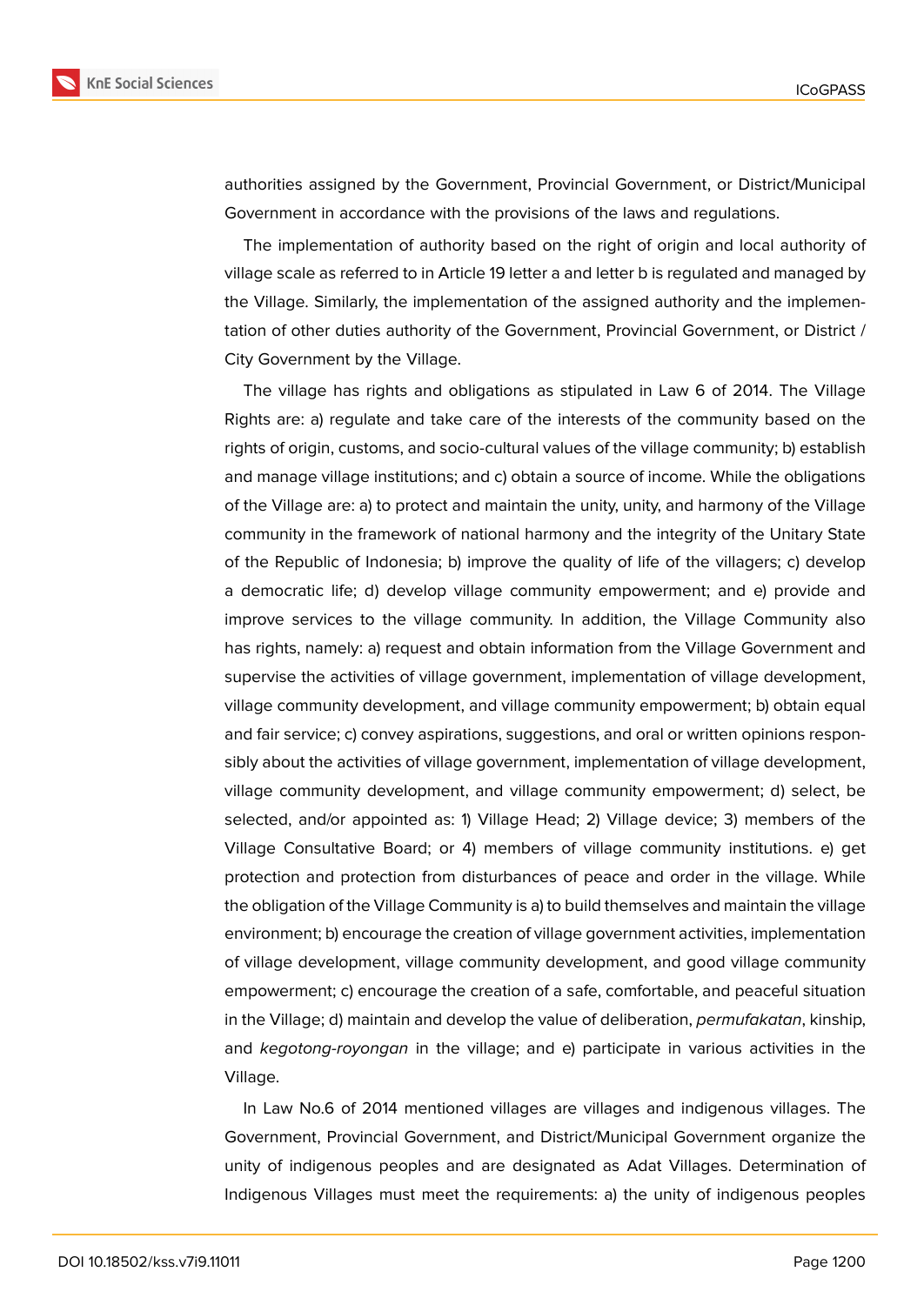

authorities assigned by the Government, Provincial Government, or District/Municipal Government in accordance with the provisions of the laws and regulations.

The implementation of authority based on the right of origin and local authority of village scale as referred to in Article 19 letter a and letter b is regulated and managed by the Village. Similarly, the implementation of the assigned authority and the implementation of other duties authority of the Government, Provincial Government, or District / City Government by the Village.

The village has rights and obligations as stipulated in Law 6 of 2014. The Village Rights are: a) regulate and take care of the interests of the community based on the rights of origin, customs, and socio-cultural values of the village community; b) establish and manage village institutions; and c) obtain a source of income. While the obligations of the Village are: a) to protect and maintain the unity, unity, and harmony of the Village community in the framework of national harmony and the integrity of the Unitary State of the Republic of Indonesia; b) improve the quality of life of the villagers; c) develop a democratic life; d) develop village community empowerment; and e) provide and improve services to the village community. In addition, the Village Community also has rights, namely: a) request and obtain information from the Village Government and supervise the activities of village government, implementation of village development, village community development, and village community empowerment; b) obtain equal and fair service; c) convey aspirations, suggestions, and oral or written opinions responsibly about the activities of village government, implementation of village development, village community development, and village community empowerment; d) select, be selected, and/or appointed as: 1) Village Head; 2) Village device; 3) members of the Village Consultative Board; or 4) members of village community institutions. e) get protection and protection from disturbances of peace and order in the village. While the obligation of the Village Community is a) to build themselves and maintain the village environment; b) encourage the creation of village government activities, implementation of village development, village community development, and good village community empowerment; c) encourage the creation of a safe, comfortable, and peaceful situation in the Village; d) maintain and develop the value of deliberation, *permufakatan*, kinship, and *kegotong-royongan* in the village; and e) participate in various activities in the Village.

In Law No.6 of 2014 mentioned villages are villages and indigenous villages. The Government, Provincial Government, and District/Municipal Government organize the unity of indigenous peoples and are designated as Adat Villages. Determination of Indigenous Villages must meet the requirements: a) the unity of indigenous peoples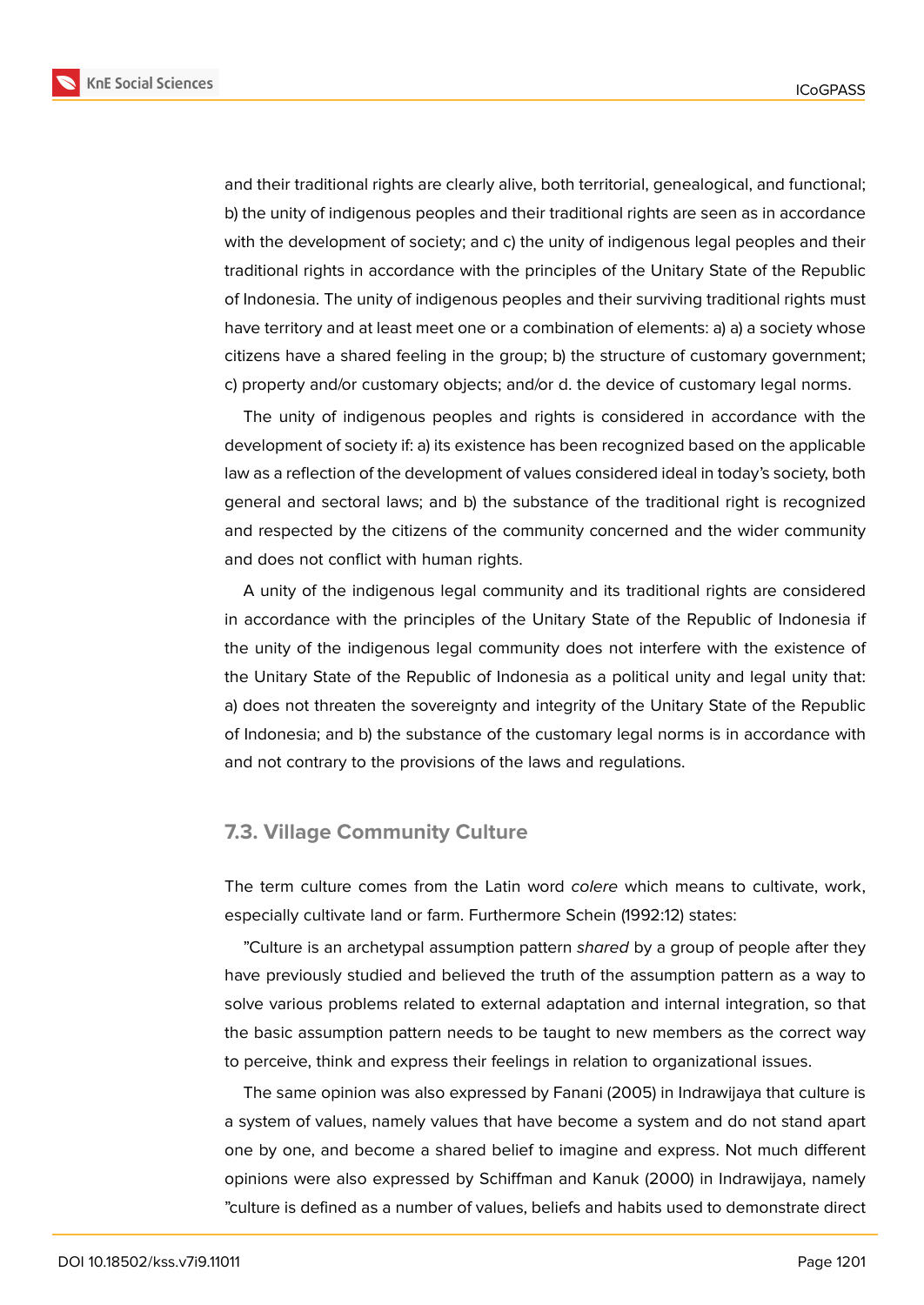

and their traditional rights are clearly alive, both territorial, genealogical, and functional; b) the unity of indigenous peoples and their traditional rights are seen as in accordance with the development of society; and c) the unity of indigenous legal peoples and their traditional rights in accordance with the principles of the Unitary State of the Republic of Indonesia. The unity of indigenous peoples and their surviving traditional rights must have territory and at least meet one or a combination of elements: a) a) a society whose citizens have a shared feeling in the group; b) the structure of customary government; c) property and/or customary objects; and/or d. the device of customary legal norms.

The unity of indigenous peoples and rights is considered in accordance with the development of society if: a) its existence has been recognized based on the applicable law as a reflection of the development of values considered ideal in today's society, both general and sectoral laws; and b) the substance of the traditional right is recognized and respected by the citizens of the community concerned and the wider community and does not conflict with human rights.

A unity of the indigenous legal community and its traditional rights are considered in accordance with the principles of the Unitary State of the Republic of Indonesia if the unity of the indigenous legal community does not interfere with the existence of the Unitary State of the Republic of Indonesia as a political unity and legal unity that: a) does not threaten the sovereignty and integrity of the Unitary State of the Republic of Indonesia; and b) the substance of the customary legal norms is in accordance with and not contrary to the provisions of the laws and regulations.

## **7.3. Village Community Culture**

The term culture comes from the Latin word *colere* which means to cultivate, work, especially cultivate land or farm. Furthermore Schein (1992:12) states:

"Culture is an archetypal assumption pattern *shared* by a group of people after they have previously studied and believed the truth of the assumption pattern as a way to solve various problems related to external adaptation and internal integration, so that the basic assumption pattern needs to be taught to new members as the correct way to perceive, think and express their feelings in relation to organizational issues.

The same opinion was also expressed by Fanani (2005) in Indrawijaya that culture is a system of values, namely values that have become a system and do not stand apart one by one, and become a shared belief to imagine and express. Not much different opinions were also expressed by Schiffman and Kanuk (2000) in Indrawijaya, namely "culture is defined as a number of values, beliefs and habits used to demonstrate direct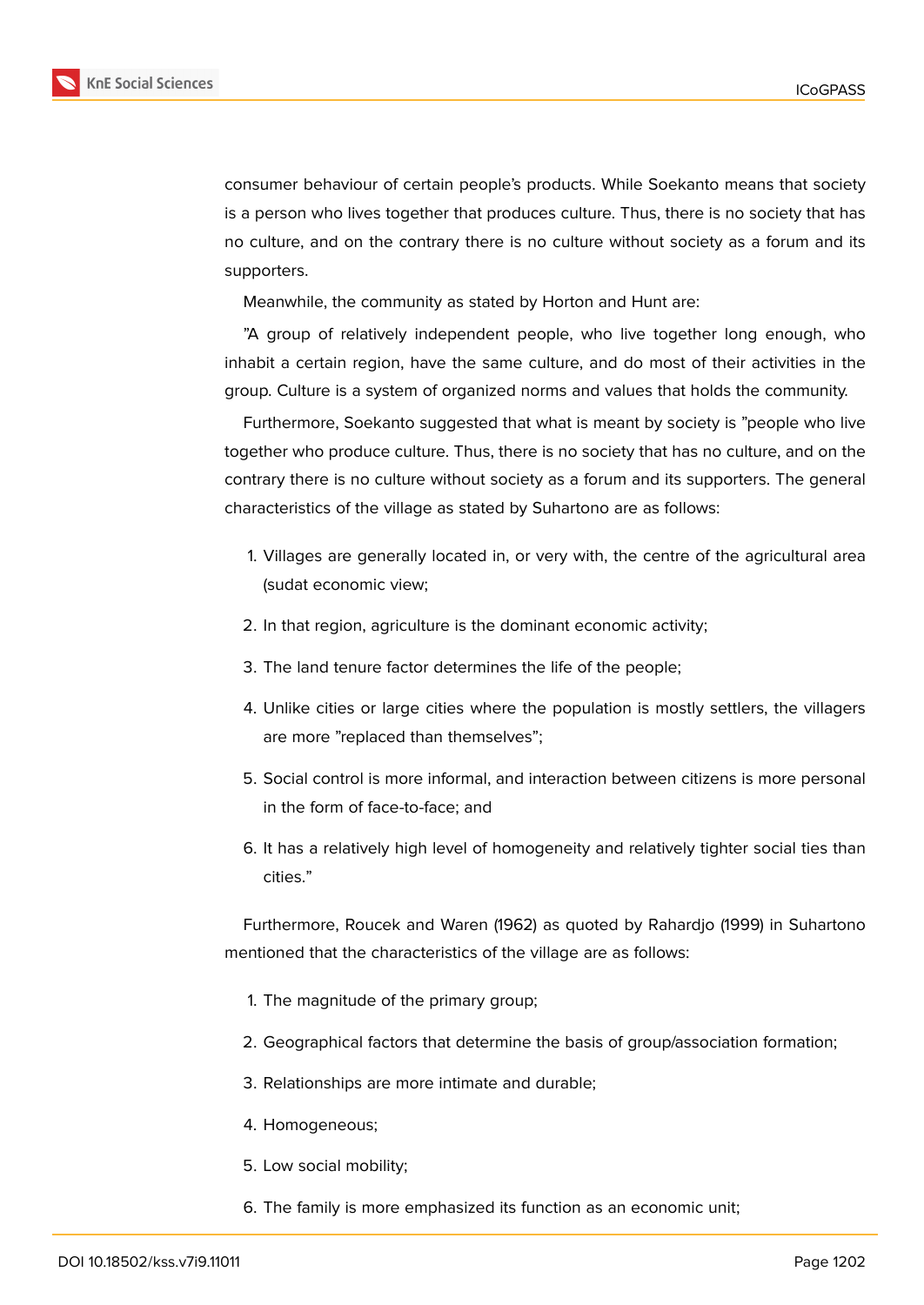

consumer behaviour of certain people's products. While Soekanto means that society is a person who lives together that produces culture. Thus, there is no society that has no culture, and on the contrary there is no culture without society as a forum and its supporters.

Meanwhile, the community as stated by Horton and Hunt are:

"A group of relatively independent people, who live together long enough, who inhabit a certain region, have the same culture, and do most of their activities in the group. Culture is a system of organized norms and values that holds the community.

Furthermore, Soekanto suggested that what is meant by society is "people who live together who produce culture. Thus, there is no society that has no culture, and on the contrary there is no culture without society as a forum and its supporters. The general characteristics of the village as stated by Suhartono are as follows:

- 1. Villages are generally located in, or very with, the centre of the agricultural area (sudat economic view;
- 2. In that region, agriculture is the dominant economic activity;
- 3. The land tenure factor determines the life of the people;
- 4. Unlike cities or large cities where the population is mostly settlers, the villagers are more "replaced than themselves";
- 5. Social control is more informal, and interaction between citizens is more personal in the form of face-to-face; and
- 6. It has a relatively high level of homogeneity and relatively tighter social ties than cities."

Furthermore, Roucek and Waren (1962) as quoted by Rahardjo (1999) in Suhartono mentioned that the characteristics of the village are as follows:

- 1. The magnitude of the primary group;
- 2. Geographical factors that determine the basis of group/association formation;
- 3. Relationships are more intimate and durable;
- 4. Homogeneous;
- 5. Low social mobility;
- 6. The family is more emphasized its function as an economic unit;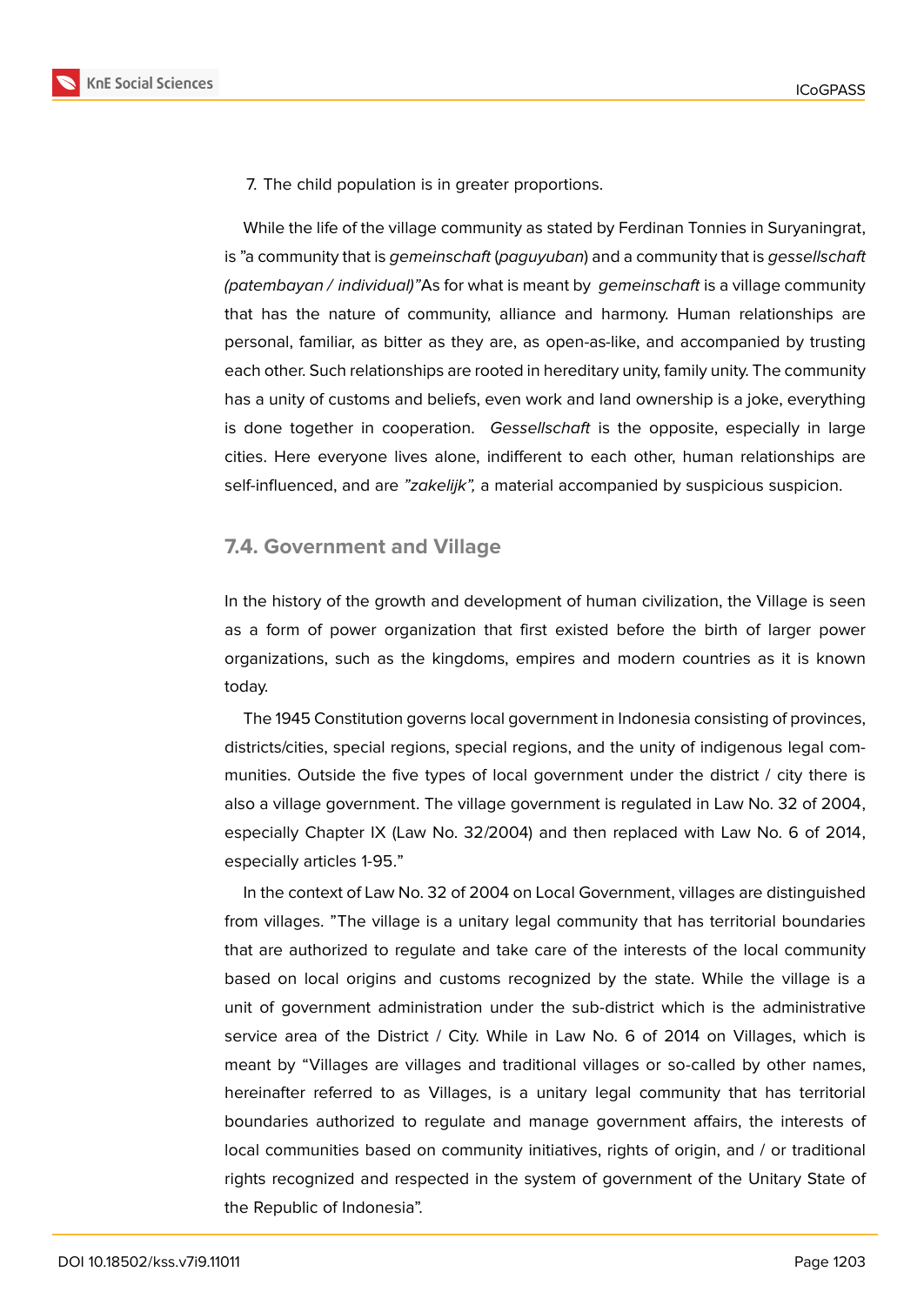

7. The child population is in greater proportions.

While the life of the village community as stated by Ferdinan Tonnies in Suryaningrat, is "a community that is *gemeinschaft* (*paguyuban*) and a community that is *gessellschaft (patembayan / individual)"*As for what is meant by *gemeinschaft* is a village community that has the nature of community, alliance and harmony. Human relationships are personal, familiar, as bitter as they are, as open-as-like, and accompanied by trusting each other. Such relationships are rooted in hereditary unity, family unity. The community has a unity of customs and beliefs, even work and land ownership is a joke, everything is done together in cooperation. *Gessellschaft* is the opposite, especially in large cities. Here everyone lives alone, indifferent to each other, human relationships are self-influenced, and are *"zakelijk",* a material accompanied by suspicious suspicion.

### **7.4. Government and Village**

In the history of the growth and development of human civilization, the Village is seen as a form of power organization that first existed before the birth of larger power organizations, such as the kingdoms, empires and modern countries as it is known today.

The 1945 Constitution governs local government in Indonesia consisting of provinces, districts/cities, special regions, special regions, and the unity of indigenous legal communities. Outside the five types of local government under the district / city there is also a village government. The village government is regulated in Law No. 32 of 2004, especially Chapter IX (Law No. 32/2004) and then replaced with Law No. 6 of 2014, especially articles 1-95."

In the context of Law No. 32 of 2004 on Local Government, villages are distinguished from villages. "The village is a unitary legal community that has territorial boundaries that are authorized to regulate and take care of the interests of the local community based on local origins and customs recognized by the state. While the village is a unit of government administration under the sub-district which is the administrative service area of the District / City. While in Law No. 6 of 2014 on Villages, which is meant by "Villages are villages and traditional villages or so-called by other names, hereinafter referred to as Villages, is a unitary legal community that has territorial boundaries authorized to regulate and manage government affairs, the interests of local communities based on community initiatives, rights of origin, and / or traditional rights recognized and respected in the system of government of the Unitary State of the Republic of Indonesia".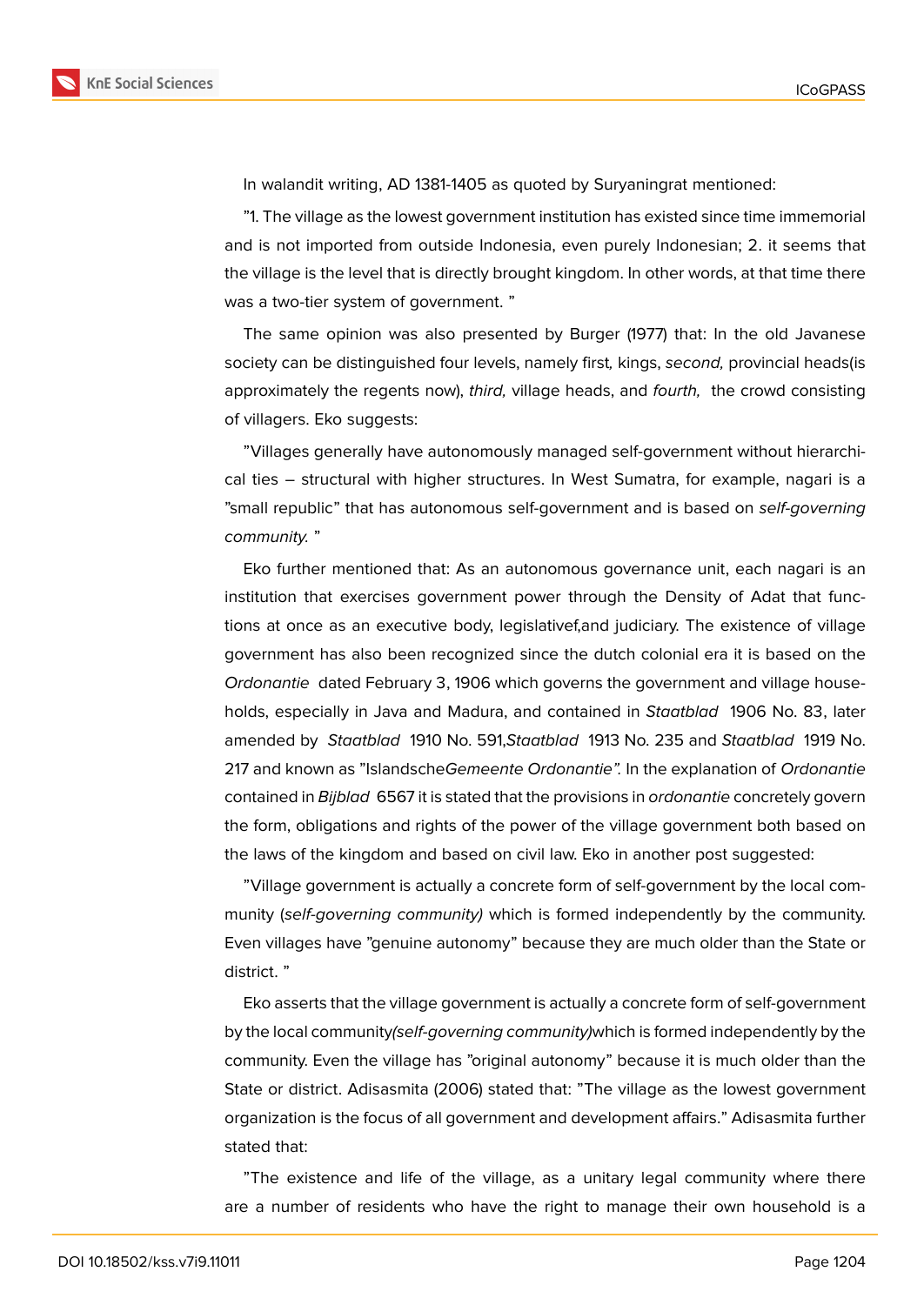

In walandit writing, AD 1381-1405 as quoted by Suryaningrat mentioned:

"1. The village as the lowest government institution has existed since time immemorial and is not imported from outside Indonesia, even purely Indonesian; 2. it seems that the village is the level that is directly brought kingdom. In other words, at that time there was a two-tier system of government. "

The same opinion was also presented by Burger (1977) that: In the old Javanese society can be distinguished four levels, namely first*,* kings, *second,* provincial heads(is approximately the regents now), *third,* village heads, and *fourth,* the crowd consisting of villagers. Eko suggests:

"Villages generally have autonomously managed self-government without hierarchical ties – structural with higher structures. In West Sumatra, for example, nagari is a "small republic" that has autonomous self-government and is based on *self-governing community.* "

Eko further mentioned that: As an autonomous governance unit, each nagari is an institution that exercises government power through the Density of Adat that functions at once as an executive body, legislativef,and judiciary. The existence of village government has also been recognized since the dutch colonial era it is based on the *Ordonantie* dated February 3, 1906 which governs the government and village households, especially in Java and Madura, and contained in *Staatblad* 1906 No. 83, later amended by *Staatblad* 1910 No. 591,*Staatblad* 1913 No. 235 and *Staatblad* 1919 No. 217 and known as "Islandsche*Gemeente Ordonantie".* In the explanation of *Ordonantie* contained in *Bijblad* 6567 it is stated that the provisions in *ordonantie* concretely govern the form, obligations and rights of the power of the village government both based on the laws of the kingdom and based on civil law. Eko in another post suggested:

"Village government is actually a concrete form of self-government by the local community (*self-governing community)* which is formed independently by the community. Even villages have "genuine autonomy" because they are much older than the State or district. "

Eko asserts that the village government is actually a concrete form of self-government by the local community*(self-governing community)*which is formed independently by the community. Even the village has "original autonomy" because it is much older than the State or district. Adisasmita (2006) stated that: "The village as the lowest government organization is the focus of all government and development affairs." Adisasmita further stated that:

"The existence and life of the village, as a unitary legal community where there are a number of residents who have the right to manage their own household is a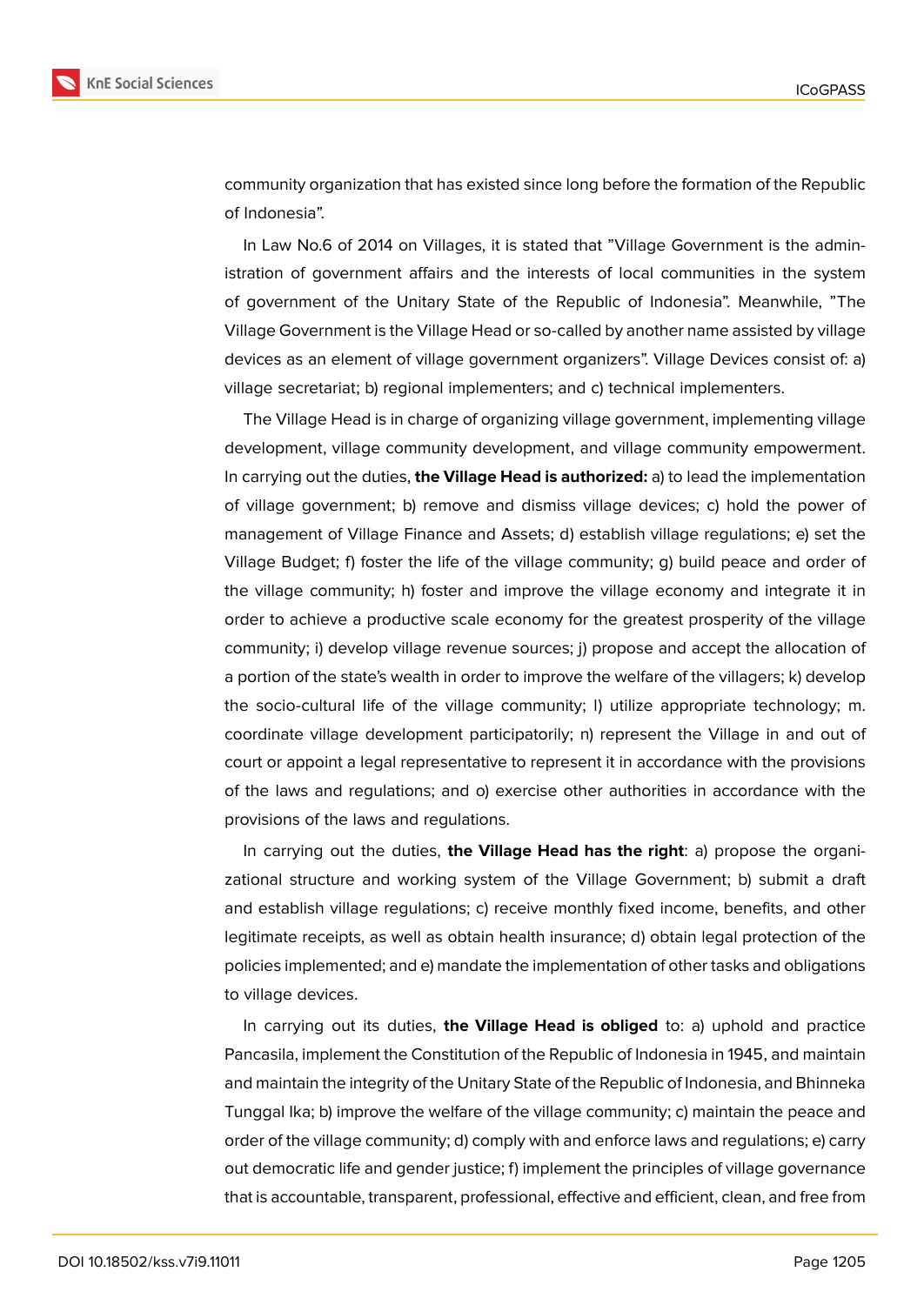

community organization that has existed since long before the formation of the Republic of Indonesia".

In Law No.6 of 2014 on Villages, it is stated that "Village Government is the administration of government affairs and the interests of local communities in the system of government of the Unitary State of the Republic of Indonesia". Meanwhile, "The Village Government is the Village Head or so-called by another name assisted by village devices as an element of village government organizers". Village Devices consist of: a) village secretariat; b) regional implementers; and c) technical implementers.

The Village Head is in charge of organizing village government, implementing village development, village community development, and village community empowerment. In carrying out the duties, **the Village Head is authorized:** a) to lead the implementation of village government; b) remove and dismiss village devices; c) hold the power of management of Village Finance and Assets; d) establish village regulations; e) set the Village Budget; f) foster the life of the village community; g) build peace and order of the village community; h) foster and improve the village economy and integrate it in order to achieve a productive scale economy for the greatest prosperity of the village community; i) develop village revenue sources; j) propose and accept the allocation of a portion of the state's wealth in order to improve the welfare of the villagers; k) develop the socio-cultural life of the village community; l) utilize appropriate technology; m. coordinate village development participatorily; n) represent the Village in and out of court or appoint a legal representative to represent it in accordance with the provisions of the laws and regulations; and o) exercise other authorities in accordance with the provisions of the laws and regulations.

In carrying out the duties, **the Village Head has the right**: a) propose the organizational structure and working system of the Village Government; b) submit a draft and establish village regulations; c) receive monthly fixed income, benefits, and other legitimate receipts, as well as obtain health insurance; d) obtain legal protection of the policies implemented; and e) mandate the implementation of other tasks and obligations to village devices.

In carrying out its duties, **the Village Head is obliged** to: a) uphold and practice Pancasila, implement the Constitution of the Republic of Indonesia in 1945, and maintain and maintain the integrity of the Unitary State of the Republic of Indonesia, and Bhinneka Tunggal Ika; b) improve the welfare of the village community; c) maintain the peace and order of the village community; d) comply with and enforce laws and regulations; e) carry out democratic life and gender justice; f) implement the principles of village governance that is accountable, transparent, professional, effective and efficient, clean, and free from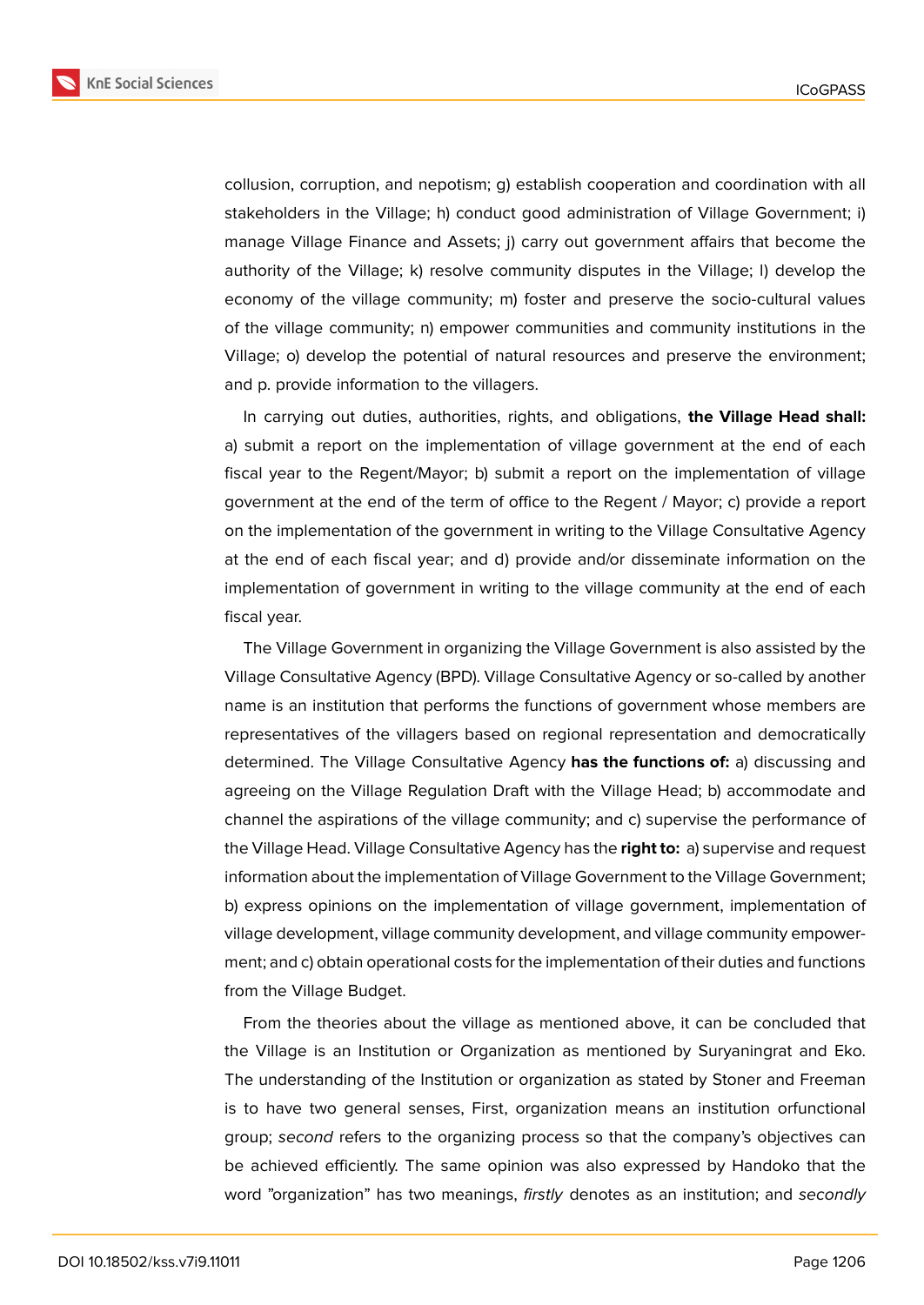

collusion, corruption, and nepotism; g) establish cooperation and coordination with all stakeholders in the Village; h) conduct good administration of Village Government; i) manage Village Finance and Assets; j) carry out government affairs that become the authority of the Village; k) resolve community disputes in the Village; l) develop the economy of the village community; m) foster and preserve the socio-cultural values of the village community; n) empower communities and community institutions in the Village; o) develop the potential of natural resources and preserve the environment; and p. provide information to the villagers.

In carrying out duties, authorities, rights, and obligations, **the Village Head shall:** a) submit a report on the implementation of village government at the end of each fiscal year to the Regent/Mayor; b) submit a report on the implementation of village government at the end of the term of office to the Regent / Mayor; c) provide a report on the implementation of the government in writing to the Village Consultative Agency at the end of each fiscal year; and d) provide and/or disseminate information on the implementation of government in writing to the village community at the end of each fiscal year.

The Village Government in organizing the Village Government is also assisted by the Village Consultative Agency (BPD). Village Consultative Agency or so-called by another name is an institution that performs the functions of government whose members are representatives of the villagers based on regional representation and democratically determined. The Village Consultative Agency **has the functions of:** a) discussing and agreeing on the Village Regulation Draft with the Village Head; b) accommodate and channel the aspirations of the village community; and c) supervise the performance of the Village Head. Village Consultative Agency has the **right to:** a) supervise and request information about the implementation of Village Government to the Village Government; b) express opinions on the implementation of village government, implementation of village development, village community development, and village community empowerment; and c) obtain operational costs for the implementation of their duties and functions from the Village Budget.

From the theories about the village as mentioned above, it can be concluded that the Village is an Institution or Organization as mentioned by Suryaningrat and Eko. The understanding of the Institution or organization as stated by Stoner and Freeman is to have two general senses, First, organization means an institution orfunctional group; *second* refers to the organizing process so that the company's objectives can be achieved efficiently. The same opinion was also expressed by Handoko that the word "organization" has two meanings, *firstly* denotes as an institution; and *secondly*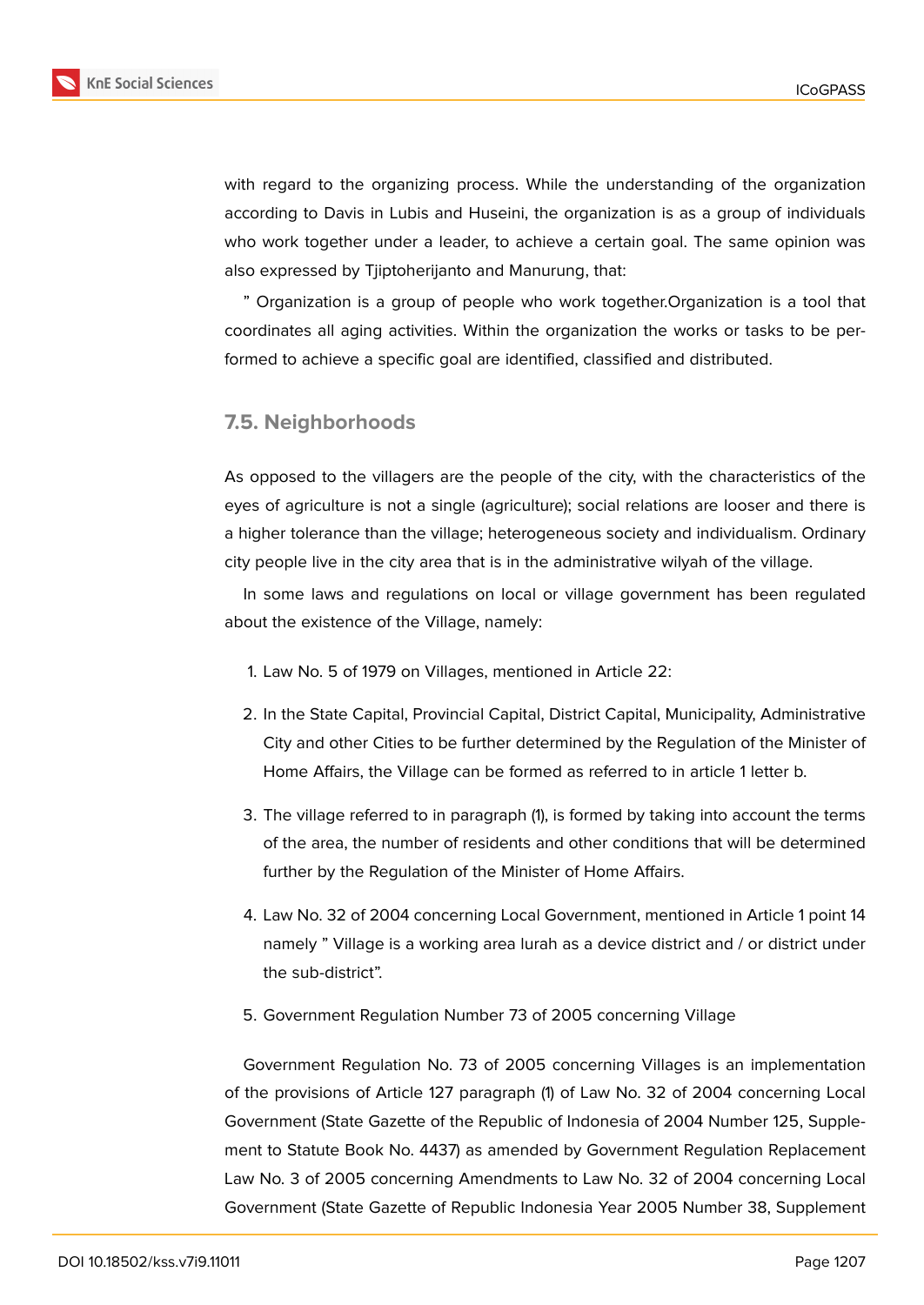

with regard to the organizing process. While the understanding of the organization according to Davis in Lubis and Huseini, the organization is as a group of individuals who work together under a leader, to achieve a certain goal. The same opinion was also expressed by Tjiptoherijanto and Manurung, that:

" Organization is a group of people who work together.Organization is a tool that coordinates all aging activities. Within the organization the works or tasks to be performed to achieve a specific goal are identified, classified and distributed.

## **7.5. Neighborhoods**

As opposed to the villagers are the people of the city, with the characteristics of the eyes of agriculture is not a single (agriculture); social relations are looser and there is a higher tolerance than the village; heterogeneous society and individualism. Ordinary city people live in the city area that is in the administrative wilyah of the village.

In some laws and regulations on local or village government has been regulated about the existence of the Village, namely:

- 1. Law No. 5 of 1979 on Villages, mentioned in Article 22:
- 2. In the State Capital, Provincial Capital, District Capital, Municipality, Administrative City and other Cities to be further determined by the Regulation of the Minister of Home Affairs, the Village can be formed as referred to in article 1 letter b.
- 3. The village referred to in paragraph (1), is formed by taking into account the terms of the area, the number of residents and other conditions that will be determined further by the Regulation of the Minister of Home Affairs.
- 4. Law No. 32 of 2004 concerning Local Government, mentioned in Article 1 point 14 namely " Village is a working area lurah as a device district and / or district under the sub-district".
- 5. Government Regulation Number 73 of 2005 concerning Village

Government Regulation No. 73 of 2005 concerning Villages is an implementation of the provisions of Article 127 paragraph (1) of Law No. 32 of 2004 concerning Local Government (State Gazette of the Republic of Indonesia of 2004 Number 125, Supplement to Statute Book No. 4437) as amended by Government Regulation Replacement Law No. 3 of 2005 concerning Amendments to Law No. 32 of 2004 concerning Local Government (State Gazette of Republic Indonesia Year 2005 Number 38, Supplement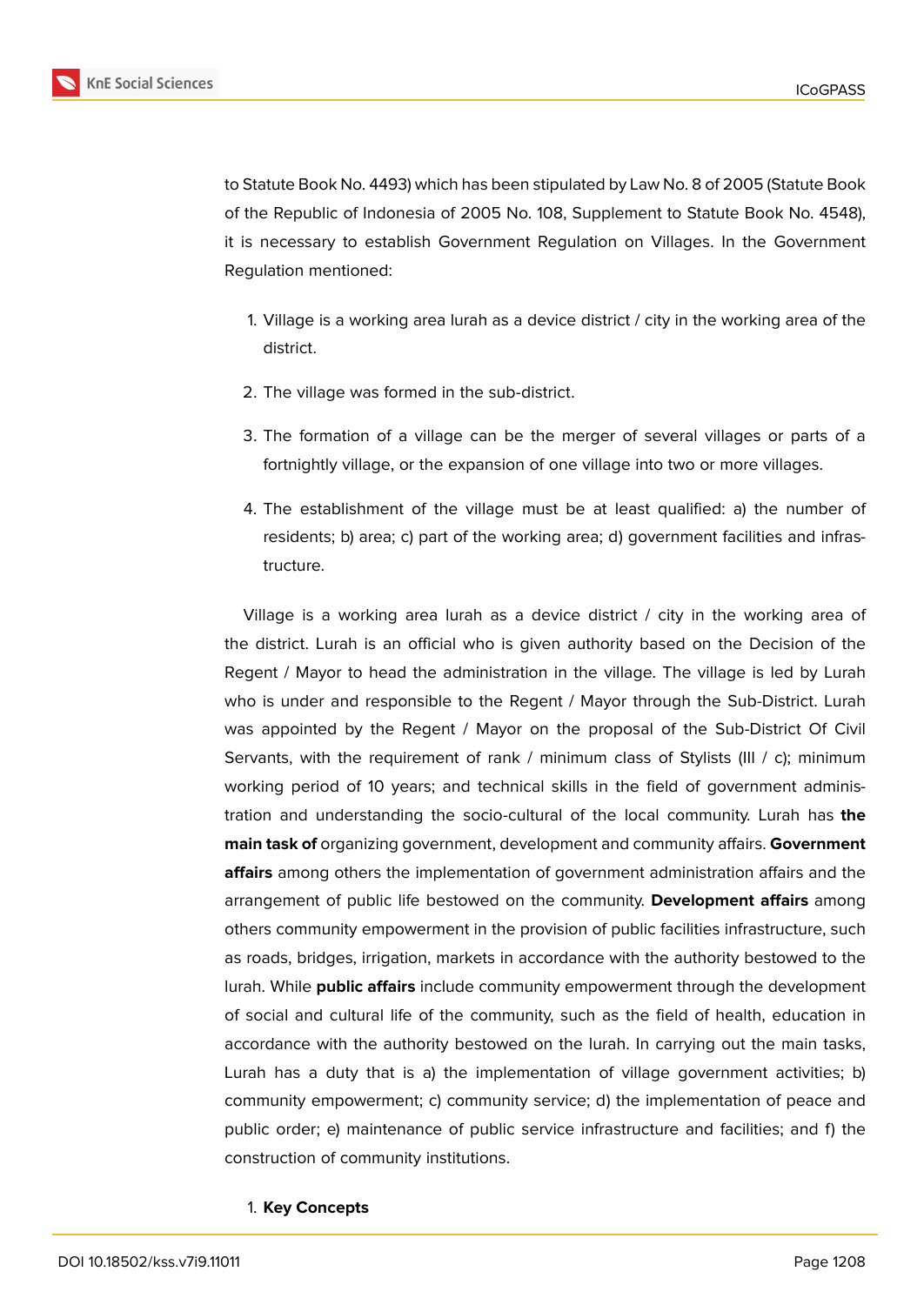

to Statute Book No. 4493) which has been stipulated by Law No. 8 of 2005 (Statute Book of the Republic of Indonesia of 2005 No. 108, Supplement to Statute Book No. 4548), it is necessary to establish Government Regulation on Villages. In the Government Regulation mentioned:

- 1. Village is a working area lurah as a device district / city in the working area of the district.
- 2. The village was formed in the sub-district.
- 3. The formation of a village can be the merger of several villages or parts of a fortnightly village, or the expansion of one village into two or more villages.
- 4. The establishment of the village must be at least qualified: a) the number of residents; b) area; c) part of the working area; d) government facilities and infrastructure.

Village is a working area lurah as a device district / city in the working area of the district. Lurah is an official who is given authority based on the Decision of the Regent / Mayor to head the administration in the village. The village is led by Lurah who is under and responsible to the Regent / Mayor through the Sub-District. Lurah was appointed by the Regent / Mayor on the proposal of the Sub-District Of Civil Servants, with the requirement of rank / minimum class of Stylists (III / c); minimum working period of 10 years; and technical skills in the field of government administration and understanding the socio-cultural of the local community. Lurah has **the main task of** organizing government, development and community affairs. **Government affairs** among others the implementation of government administration affairs and the arrangement of public life bestowed on the community. **Development affairs** among others community empowerment in the provision of public facilities infrastructure, such as roads, bridges, irrigation, markets in accordance with the authority bestowed to the lurah. While **public affairs** include community empowerment through the development of social and cultural life of the community, such as the field of health, education in accordance with the authority bestowed on the lurah. In carrying out the main tasks, Lurah has a duty that is a) the implementation of village government activities; b) community empowerment; c) community service; d) the implementation of peace and public order; e) maintenance of public service infrastructure and facilities; and f) the construction of community institutions.

#### 1. **Key Concepts**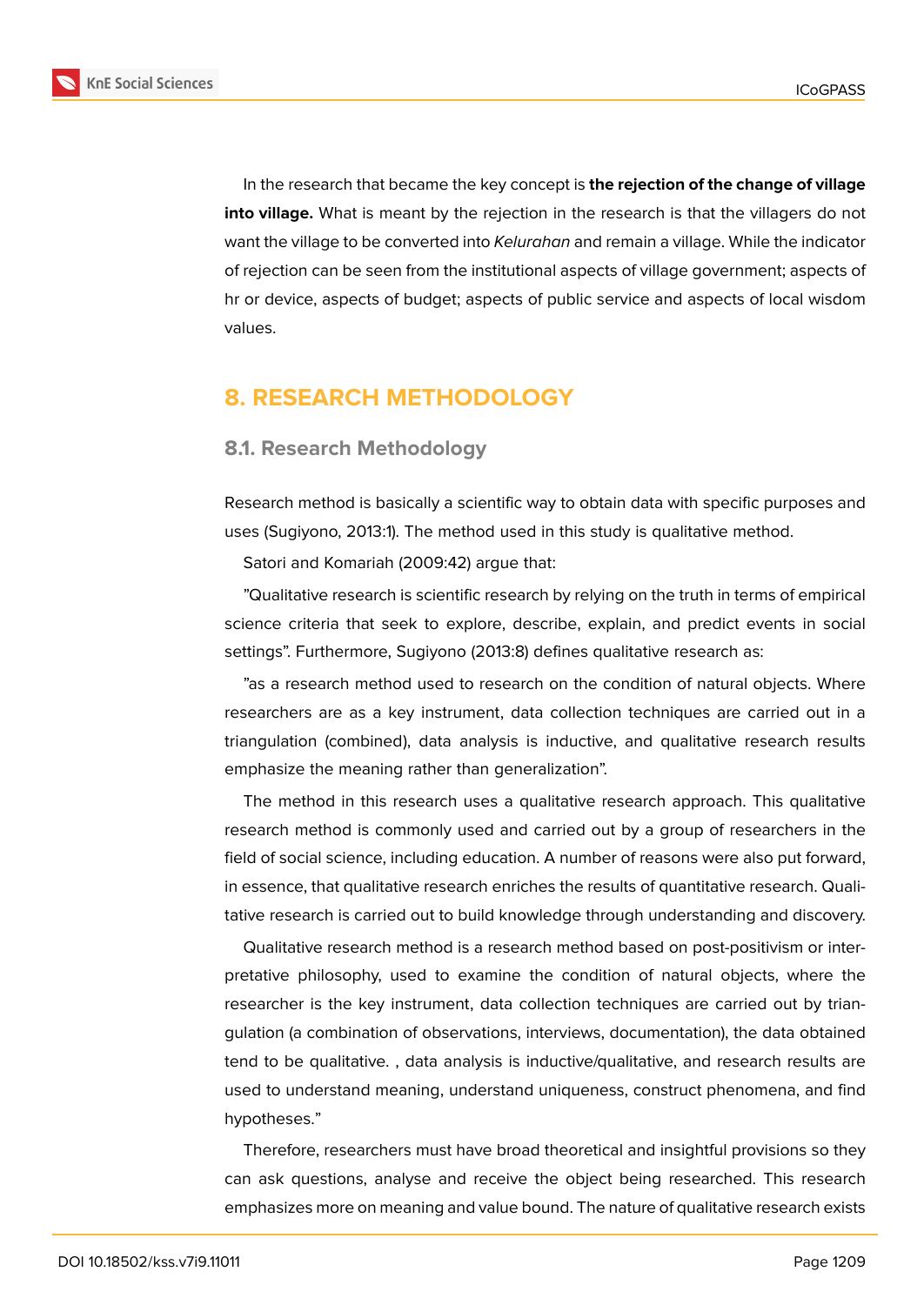

In the research that became the key concept is **the rejection of the change of village into village.** What is meant by the rejection in the research is that the villagers do not want the village to be converted into *Kelurahan* and remain a village. While the indicator of rejection can be seen from the institutional aspects of village government; aspects of hr or device, aspects of budget; aspects of public service and aspects of local wisdom values.

## **8. RESEARCH METHODOLOGY**

### **8.1. Research Methodology**

Research method is basically a scientific way to obtain data with specific purposes and uses (Sugiyono, 2013:1). The method used in this study is qualitative method.

Satori and Komariah (2009:42) argue that:

"Qualitative research is scientific research by relying on the truth in terms of empirical science criteria that seek to explore, describe, explain, and predict events in social settings". Furthermore, Sugiyono (2013:8) defines qualitative research as:

"as a research method used to research on the condition of natural objects. Where researchers are as a key instrument, data collection techniques are carried out in a triangulation (combined), data analysis is inductive, and qualitative research results emphasize the meaning rather than generalization".

The method in this research uses a qualitative research approach. This qualitative research method is commonly used and carried out by a group of researchers in the field of social science, including education. A number of reasons were also put forward, in essence, that qualitative research enriches the results of quantitative research. Qualitative research is carried out to build knowledge through understanding and discovery.

Qualitative research method is a research method based on post-positivism or interpretative philosophy, used to examine the condition of natural objects, where the researcher is the key instrument, data collection techniques are carried out by triangulation (a combination of observations, interviews, documentation), the data obtained tend to be qualitative. , data analysis is inductive/qualitative, and research results are used to understand meaning, understand uniqueness, construct phenomena, and find hypotheses."

Therefore, researchers must have broad theoretical and insightful provisions so they can ask questions, analyse and receive the object being researched. This research emphasizes more on meaning and value bound. The nature of qualitative research exists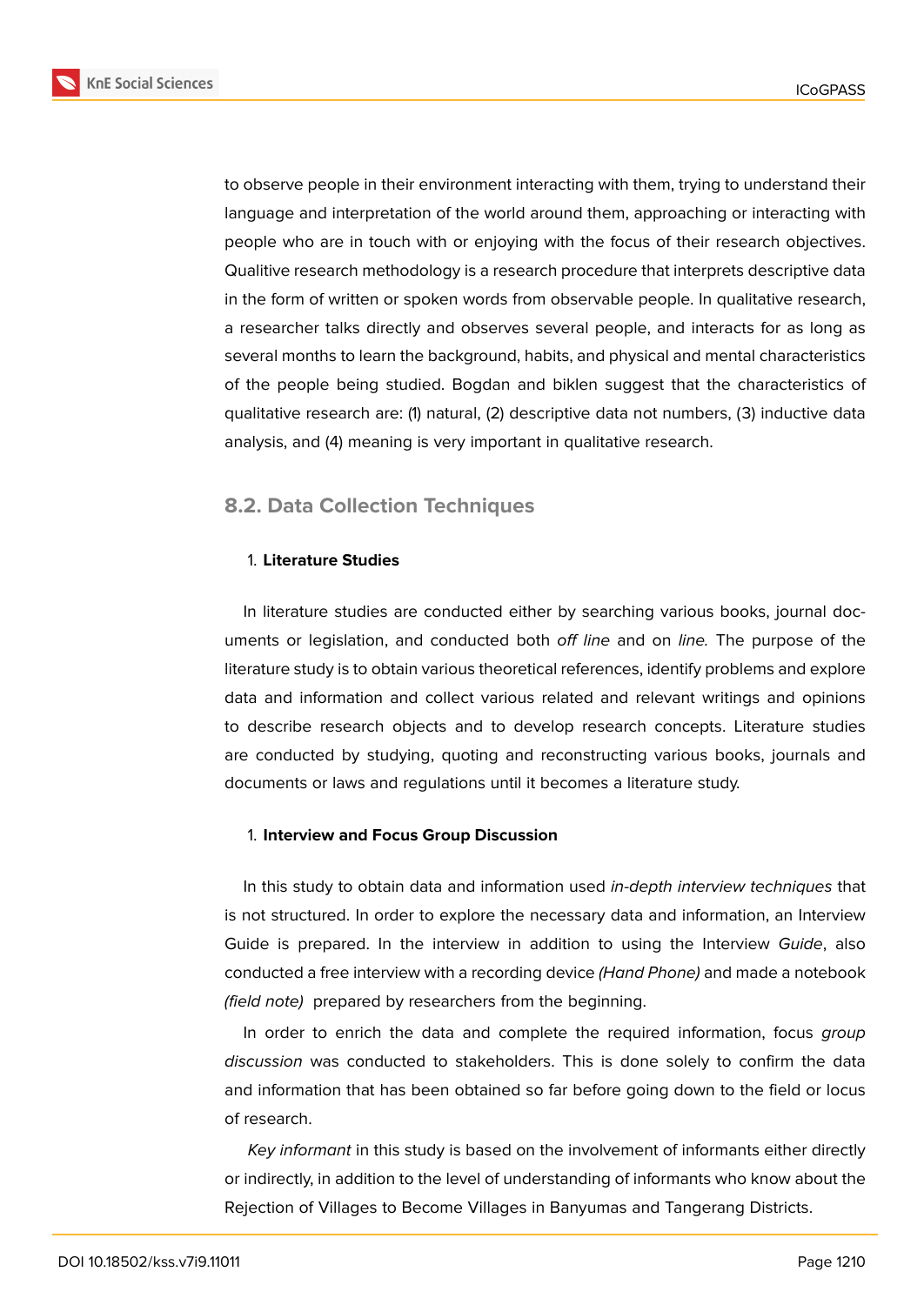

to observe people in their environment interacting with them, trying to understand their language and interpretation of the world around them, approaching or interacting with people who are in touch with or enjoying with the focus of their research objectives. Qualitive research methodology is a research procedure that interprets descriptive data in the form of written or spoken words from observable people. In qualitative research, a researcher talks directly and observes several people, and interacts for as long as

several months to learn the background, habits, and physical and mental characteristics of the people being studied. Bogdan and biklen suggest that the characteristics of qualitative research are: (1) natural, (2) descriptive data not numbers, (3) inductive data analysis, and (4) meaning is very important in qualitative research.

## **8.2. Data Collection Techniques**

#### 1. **Literature Studies**

In literature studies are conducted either by searching various books, journal documents or legislation, and conducted both *off line* and on *line.* The purpose of the literature study is to obtain various theoretical references, identify problems and explore data and information and collect various related and relevant writings and opinions to describe research objects and to develop research concepts. Literature studies are conducted by studying, quoting and reconstructing various books, journals and documents or laws and regulations until it becomes a literature study.

#### 1. **Interview and Focus Group Discussion**

In this study to obtain data and information used *in-depth interview techniques* that is not structured. In order to explore the necessary data and information, an Interview Guide is prepared. In the interview in addition to using the Interview *Guide*, also conducted a free interview with a recording device *(Hand Phone)* and made a notebook *(field note)* prepared by researchers from the beginning.

In order to enrich the data and complete the required information, focus *group discussion* was conducted to stakeholders. This is done solely to confirm the data and information that has been obtained so far before going down to the field or locus of research.

*Key informant* in this study is based on the involvement of informants either directly or indirectly, in addition to the level of understanding of informants who know about the Rejection of Villages to Become Villages in Banyumas and Tangerang Districts.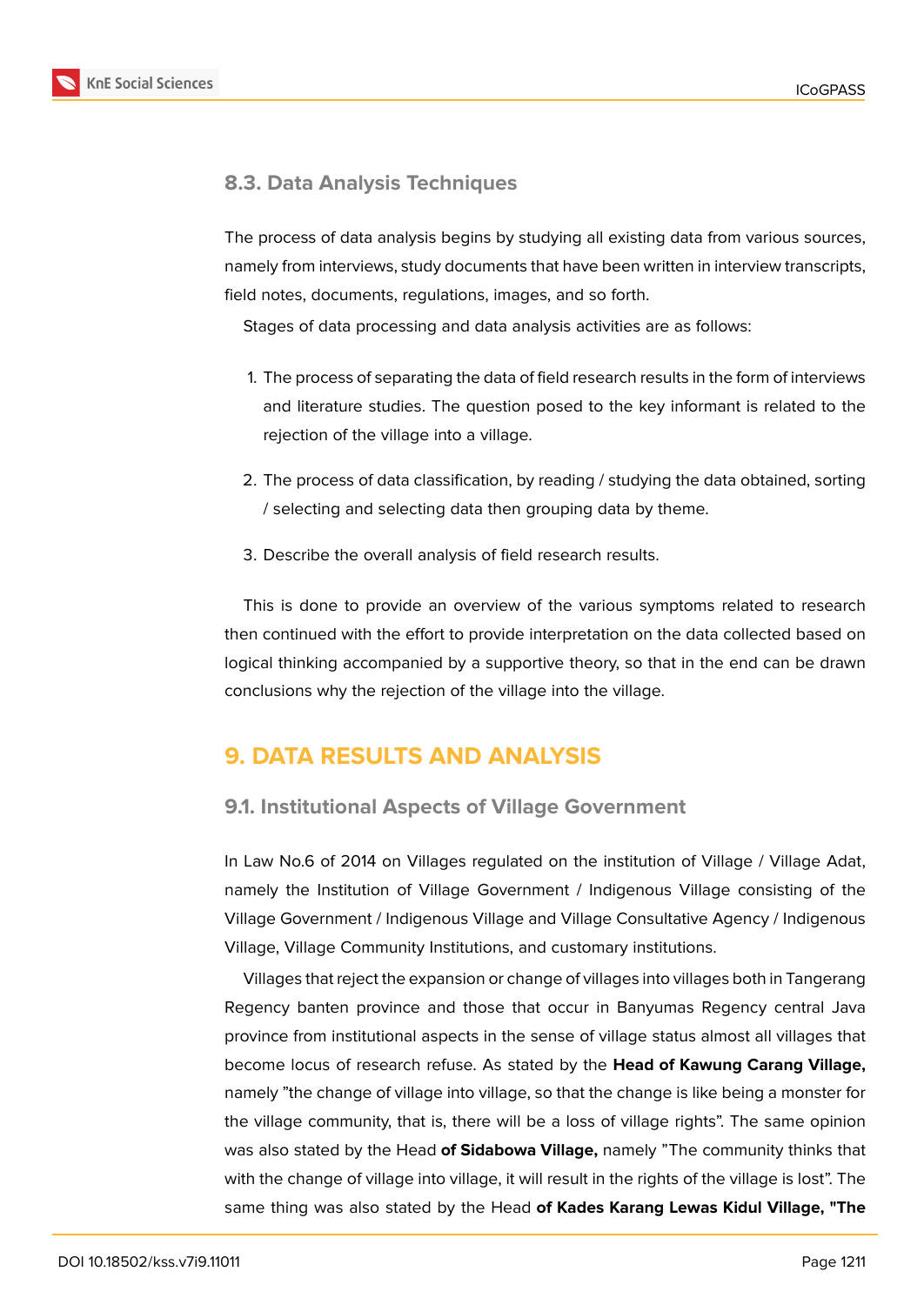

## **8.3. Data Analysis Techniques**

The process of data analysis begins by studying all existing data from various sources, namely from interviews, study documents that have been written in interview transcripts, field notes, documents, regulations, images, and so forth.

Stages of data processing and data analysis activities are as follows:

- 1. The process of separating the data of field research results in the form of interviews and literature studies. The question posed to the key informant is related to the rejection of the village into a village.
- 2. The process of data classification, by reading / studying the data obtained, sorting / selecting and selecting data then grouping data by theme.
- 3. Describe the overall analysis of field research results.

This is done to provide an overview of the various symptoms related to research then continued with the effort to provide interpretation on the data collected based on logical thinking accompanied by a supportive theory, so that in the end can be drawn conclusions why the rejection of the village into the village.

## **9. DATA RESULTS AND ANALYSIS**

## **9.1. Institutional Aspects of Village Government**

In Law No.6 of 2014 on Villages regulated on the institution of Village / Village Adat, namely the Institution of Village Government / Indigenous Village consisting of the Village Government / Indigenous Village and Village Consultative Agency / Indigenous Village, Village Community Institutions, and customary institutions.

Villages that reject the expansion or change of villages into villages both in Tangerang Regency banten province and those that occur in Banyumas Regency central Java province from institutional aspects in the sense of village status almost all villages that become locus of research refuse. As stated by the **Head of Kawung Carang Village,** namely "the change of village into village, so that the change is like being a monster for the village community, that is, there will be a loss of village rights". The same opinion was also stated by the Head **of Sidabowa Village,** namely "The community thinks that with the change of village into village, it will result in the rights of the village is lost". The same thing was also stated by the Head **of Kades Karang Lewas Kidul Village, "The**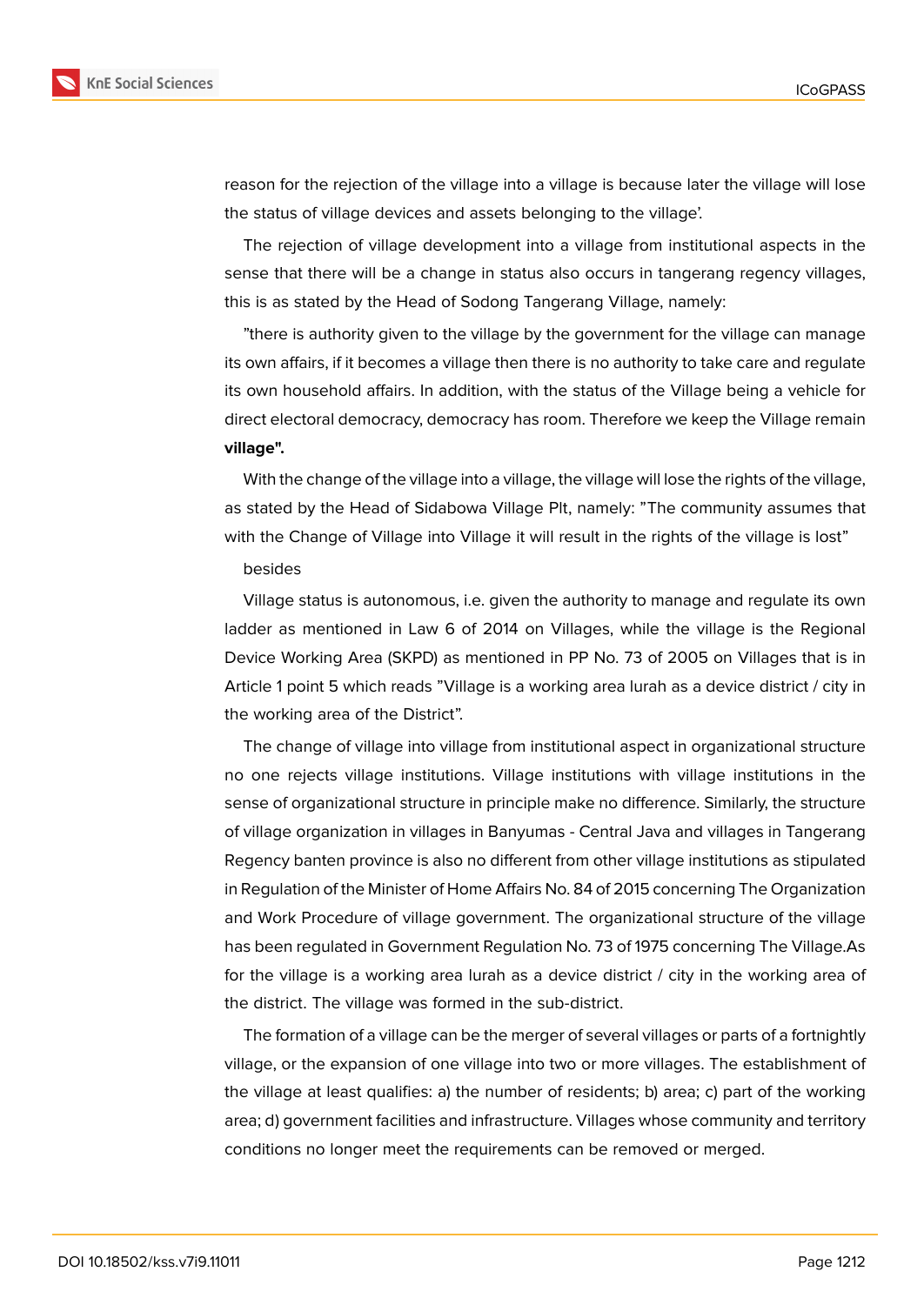

reason for the rejection of the village into a village is because later the village will lose the status of village devices and assets belonging to the village'.

The rejection of village development into a village from institutional aspects in the sense that there will be a change in status also occurs in tangerang regency villages, this is as stated by the Head of Sodong Tangerang Village, namely:

"there is authority given to the village by the government for the village can manage its own affairs, if it becomes a village then there is no authority to take care and regulate its own household affairs. In addition, with the status of the Village being a vehicle for direct electoral democracy, democracy has room. Therefore we keep the Village remain **village".**

With the change of the village into a village, the village will lose the rights of the village, as stated by the Head of Sidabowa Village Plt, namely: "The community assumes that with the Change of Village into Village it will result in the rights of the village is lost"

#### besides

Village status is autonomous, i.e. given the authority to manage and regulate its own ladder as mentioned in Law 6 of 2014 on Villages, while the village is the Regional Device Working Area (SKPD) as mentioned in PP No. 73 of 2005 on Villages that is in Article 1 point 5 which reads "Village is a working area lurah as a device district / city in the working area of the District".

The change of village into village from institutional aspect in organizational structure no one rejects village institutions. Village institutions with village institutions in the sense of organizational structure in principle make no difference. Similarly, the structure of village organization in villages in Banyumas - Central Java and villages in Tangerang Regency banten province is also no different from other village institutions as stipulated in Regulation of the Minister of Home Affairs No. 84 of 2015 concerning The Organization and Work Procedure of village government. The organizational structure of the village has been regulated in Government Regulation No. 73 of 1975 concerning The Village.As for the village is a working area lurah as a device district / city in the working area of the district. The village was formed in the sub-district.

The formation of a village can be the merger of several villages or parts of a fortnightly village, or the expansion of one village into two or more villages. The establishment of the village at least qualifies: a) the number of residents; b) area; c) part of the working area; d) government facilities and infrastructure. Villages whose community and territory conditions no longer meet the requirements can be removed or merged.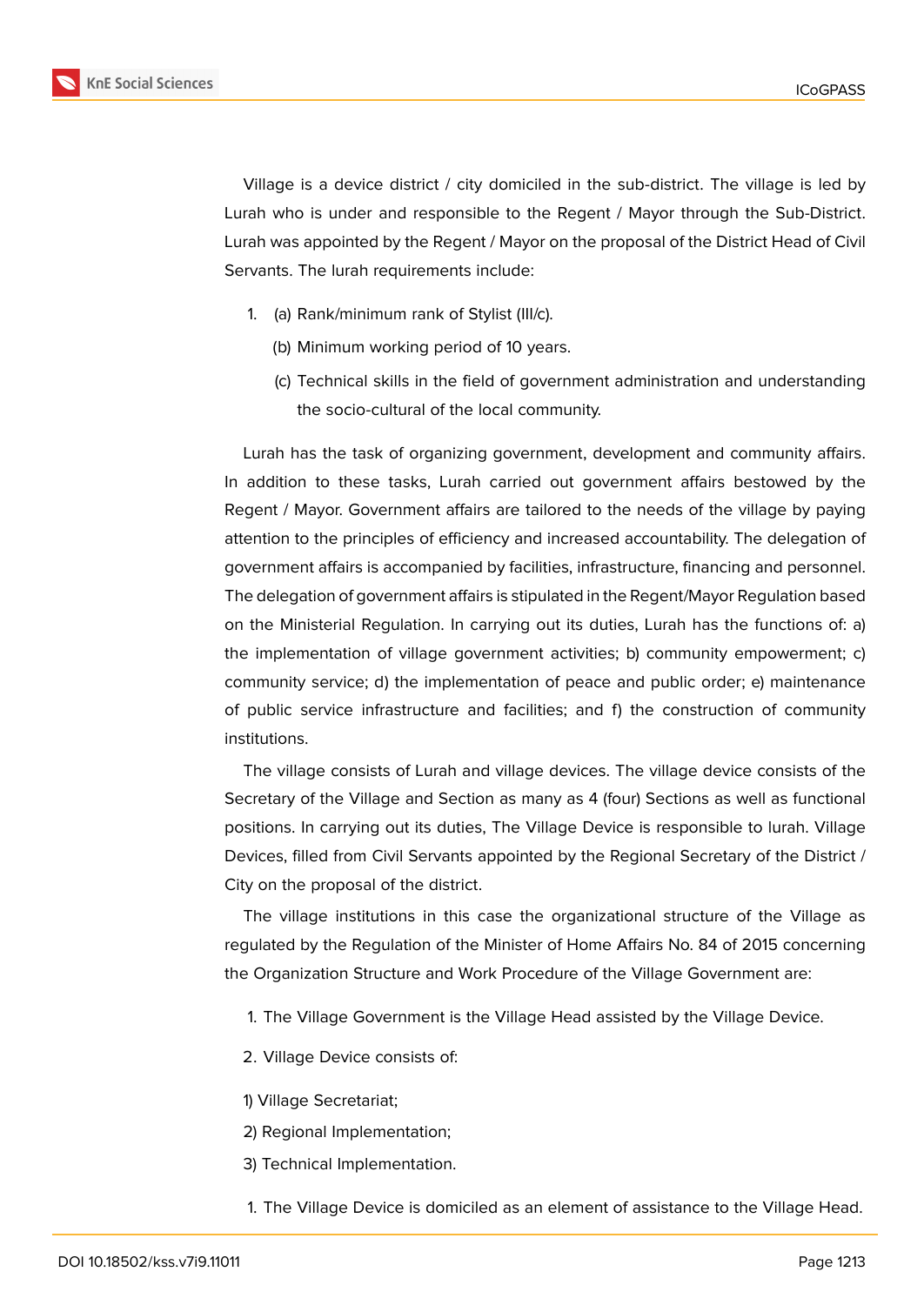

Village is a device district / city domiciled in the sub-district. The village is led by Lurah who is under and responsible to the Regent / Mayor through the Sub-District. Lurah was appointed by the Regent / Mayor on the proposal of the District Head of Civil Servants. The lurah requirements include:

- 1. (a) Rank/minimum rank of Stylist (III/c).
	- (b) Minimum working period of 10 years.
	- (c) Technical skills in the field of government administration and understanding the socio-cultural of the local community.

Lurah has the task of organizing government, development and community affairs. In addition to these tasks, Lurah carried out government affairs bestowed by the Regent / Mayor. Government affairs are tailored to the needs of the village by paying attention to the principles of efficiency and increased accountability. The delegation of government affairs is accompanied by facilities, infrastructure, financing and personnel. The delegation of government affairs is stipulated in the Regent/Mayor Regulation based on the Ministerial Regulation. In carrying out its duties, Lurah has the functions of: a) the implementation of village government activities; b) community empowerment; c) community service; d) the implementation of peace and public order; e) maintenance of public service infrastructure and facilities; and f) the construction of community institutions.

The village consists of Lurah and village devices. The village device consists of the Secretary of the Village and Section as many as 4 (four) Sections as well as functional positions. In carrying out its duties, The Village Device is responsible to lurah. Village Devices, filled from Civil Servants appointed by the Regional Secretary of the District / City on the proposal of the district.

The village institutions in this case the organizational structure of the Village as regulated by the Regulation of the Minister of Home Affairs No. 84 of 2015 concerning the Organization Structure and Work Procedure of the Village Government are:

- 1. The Village Government is the Village Head assisted by the Village Device.
- 2. Village Device consists of:
- 1) Village Secretariat;
- 2) Regional Implementation;
- 3) Technical Implementation.
- 1. The Village Device is domiciled as an element of assistance to the Village Head.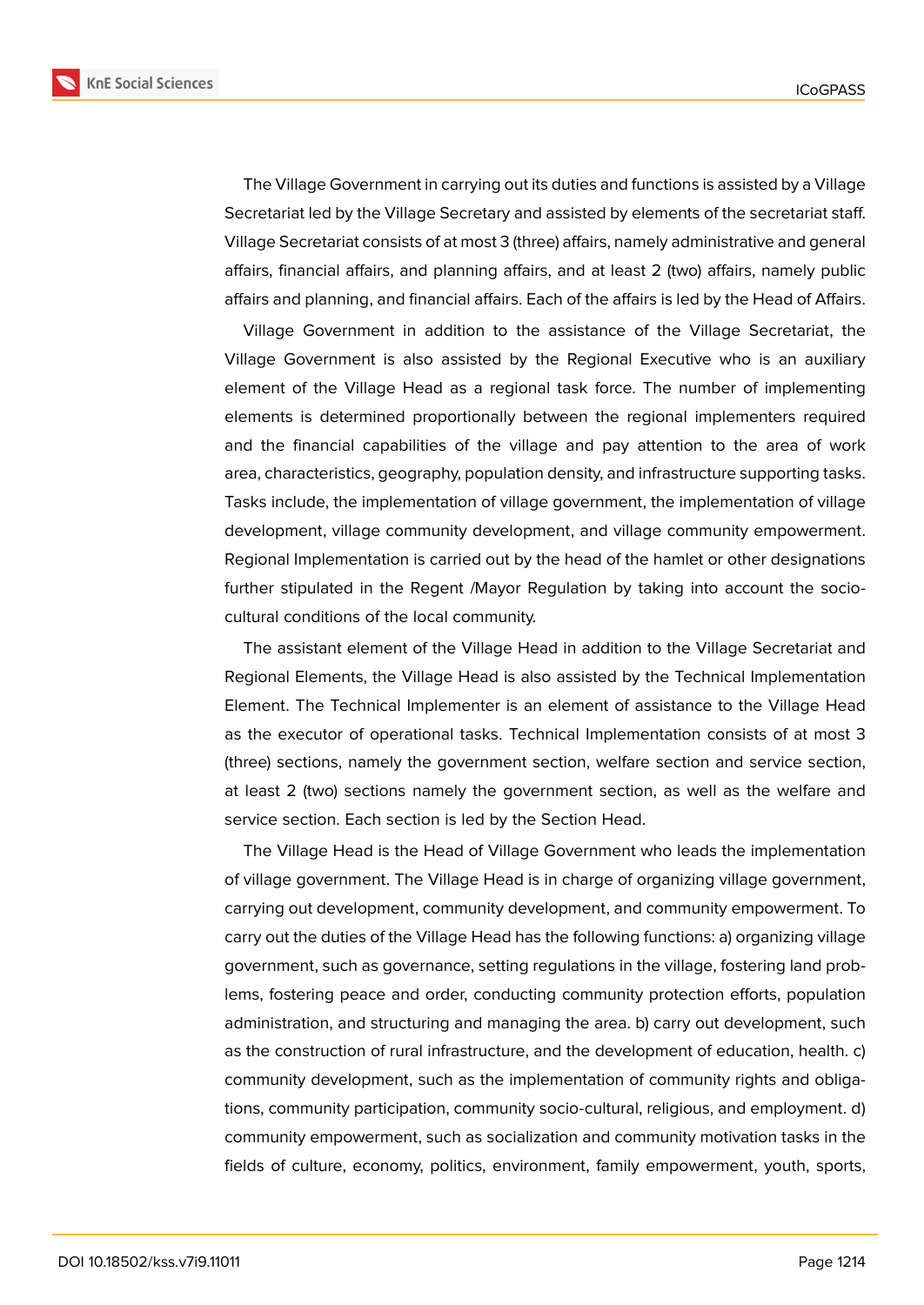

The Village Government in carrying out its duties and functions is assisted by a Village Secretariat led by the Village Secretary and assisted by elements of the secretariat staff. Village Secretariat consists of at most 3 (three) affairs, namely administrative and general affairs, financial affairs, and planning affairs, and at least 2 (two) affairs, namely public affairs and planning, and financial affairs. Each of the affairs is led by the Head of Affairs.

Village Government in addition to the assistance of the Village Secretariat, the Village Government is also assisted by the Regional Executive who is an auxiliary element of the Village Head as a regional task force. The number of implementing elements is determined proportionally between the regional implementers required and the financial capabilities of the village and pay attention to the area of work area, characteristics, geography, population density, and infrastructure supporting tasks. Tasks include, the implementation of village government, the implementation of village development, village community development, and village community empowerment. Regional Implementation is carried out by the head of the hamlet or other designations further stipulated in the Regent /Mayor Regulation by taking into account the sociocultural conditions of the local community.

The assistant element of the Village Head in addition to the Village Secretariat and Regional Elements, the Village Head is also assisted by the Technical Implementation Element. The Technical Implementer is an element of assistance to the Village Head as the executor of operational tasks. Technical Implementation consists of at most 3 (three) sections, namely the government section, welfare section and service section, at least 2 (two) sections namely the government section, as well as the welfare and service section. Each section is led by the Section Head.

The Village Head is the Head of Village Government who leads the implementation of village government. The Village Head is in charge of organizing village government, carrying out development, community development, and community empowerment. To carry out the duties of the Village Head has the following functions: a) organizing village government, such as governance, setting regulations in the village, fostering land problems, fostering peace and order, conducting community protection efforts, population administration, and structuring and managing the area. b) carry out development, such as the construction of rural infrastructure, and the development of education, health. c) community development, such as the implementation of community rights and obligations, community participation, community socio-cultural, religious, and employment. d) community empowerment, such as socialization and community motivation tasks in the fields of culture, economy, politics, environment, family empowerment, youth, sports,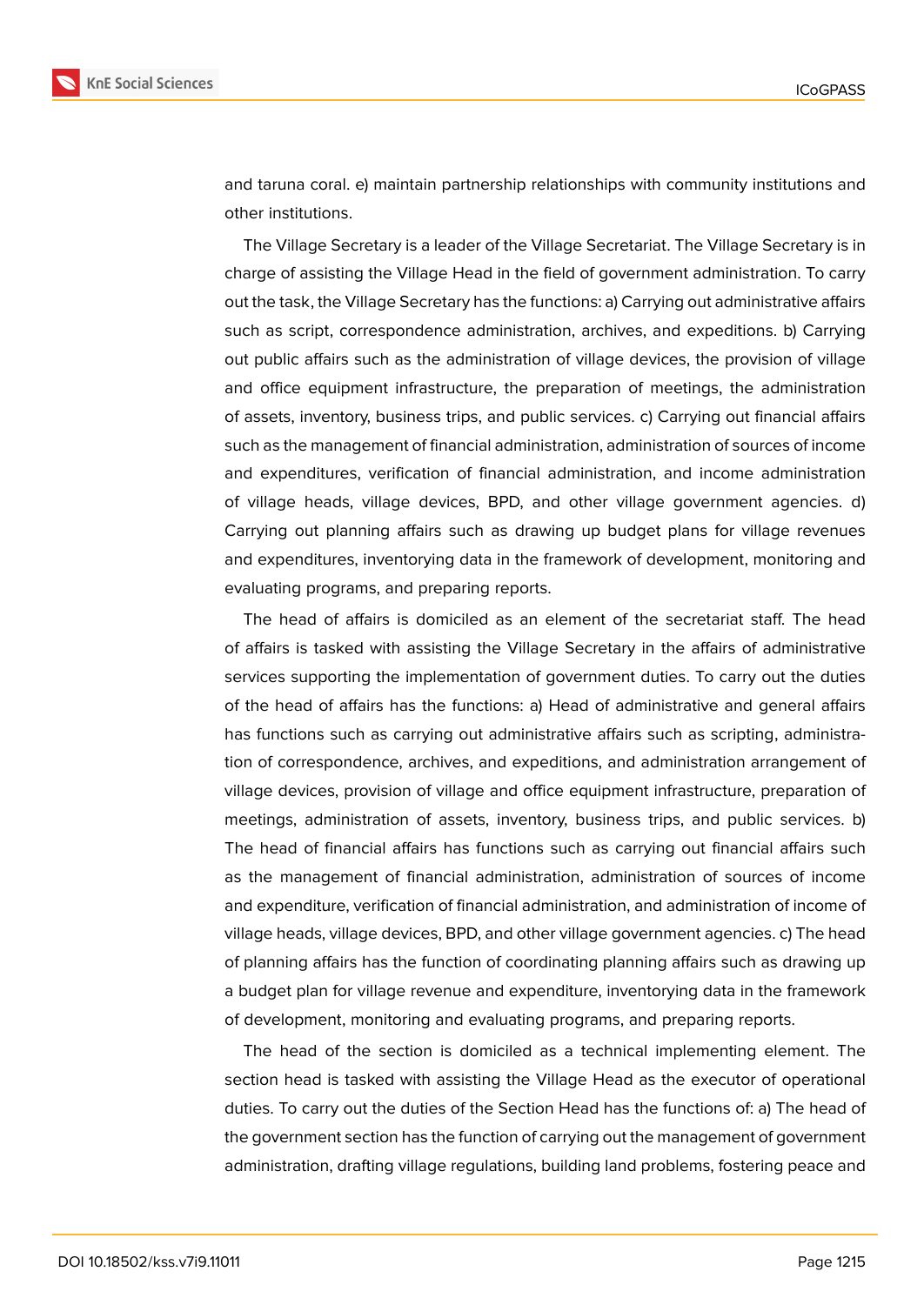

and taruna coral. e) maintain partnership relationships with community institutions and other institutions.

The Village Secretary is a leader of the Village Secretariat. The Village Secretary is in charge of assisting the Village Head in the field of government administration. To carry out the task, the Village Secretary has the functions: a) Carrying out administrative affairs such as script, correspondence administration, archives, and expeditions. b) Carrying out public affairs such as the administration of village devices, the provision of village and office equipment infrastructure, the preparation of meetings, the administration of assets, inventory, business trips, and public services. c) Carrying out financial affairs such as the management of financial administration, administration of sources of income and expenditures, verification of financial administration, and income administration of village heads, village devices, BPD, and other village government agencies. d) Carrying out planning affairs such as drawing up budget plans for village revenues and expenditures, inventorying data in the framework of development, monitoring and evaluating programs, and preparing reports.

The head of affairs is domiciled as an element of the secretariat staff. The head of affairs is tasked with assisting the Village Secretary in the affairs of administrative services supporting the implementation of government duties. To carry out the duties of the head of affairs has the functions: a) Head of administrative and general affairs has functions such as carrying out administrative affairs such as scripting, administration of correspondence, archives, and expeditions, and administration arrangement of village devices, provision of village and office equipment infrastructure, preparation of meetings, administration of assets, inventory, business trips, and public services. b) The head of financial affairs has functions such as carrying out financial affairs such as the management of financial administration, administration of sources of income and expenditure, verification of financial administration, and administration of income of village heads, village devices, BPD, and other village government agencies. c) The head of planning affairs has the function of coordinating planning affairs such as drawing up a budget plan for village revenue and expenditure, inventorying data in the framework of development, monitoring and evaluating programs, and preparing reports.

The head of the section is domiciled as a technical implementing element. The section head is tasked with assisting the Village Head as the executor of operational duties. To carry out the duties of the Section Head has the functions of: a) The head of the government section has the function of carrying out the management of government administration, drafting village regulations, building land problems, fostering peace and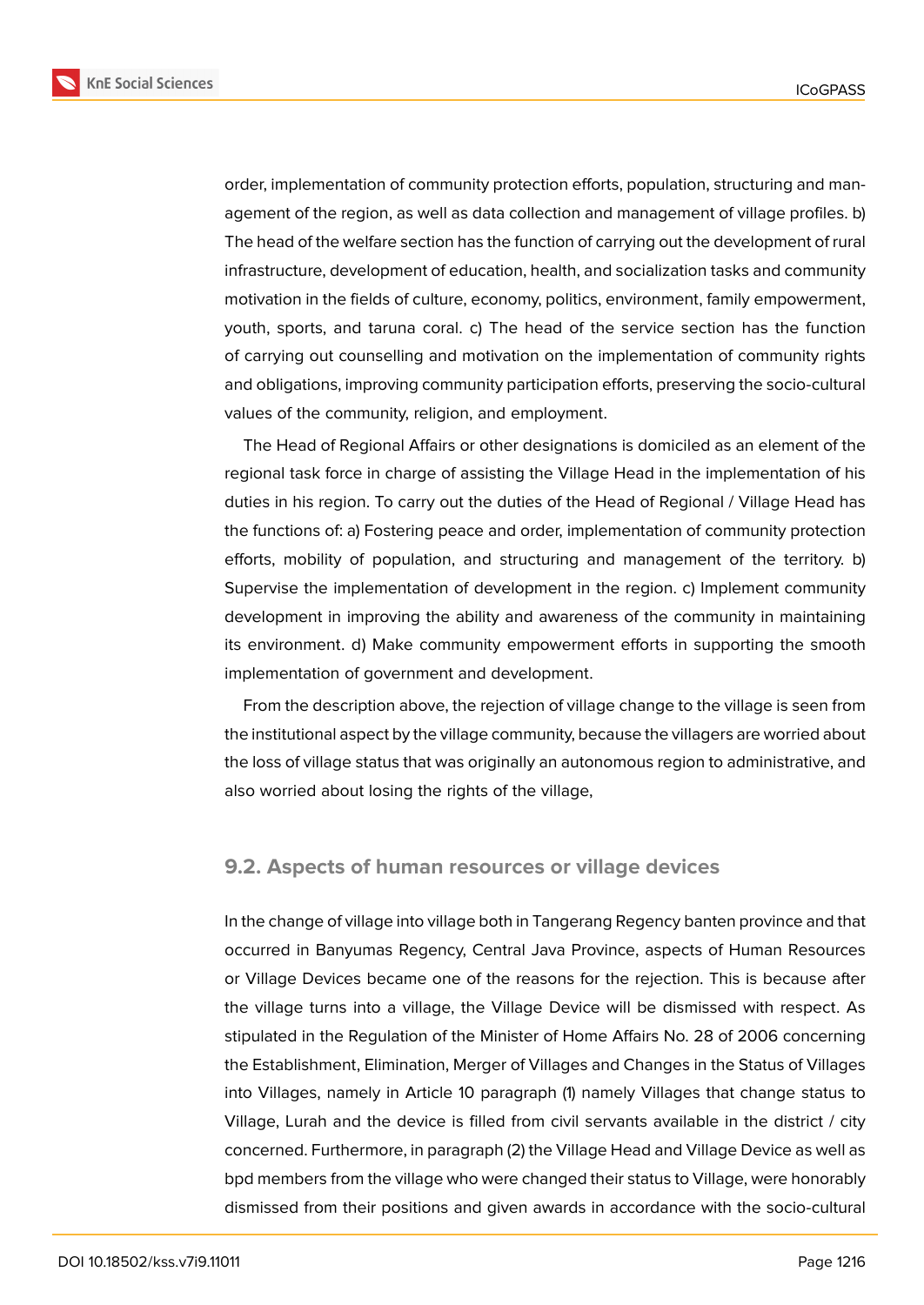

order, implementation of community protection efforts, population, structuring and management of the region, as well as data collection and management of village profiles. b) The head of the welfare section has the function of carrying out the development of rural infrastructure, development of education, health, and socialization tasks and community motivation in the fields of culture, economy, politics, environment, family empowerment, youth, sports, and taruna coral. c) The head of the service section has the function of carrying out counselling and motivation on the implementation of community rights and obligations, improving community participation efforts, preserving the socio-cultural values of the community, religion, and employment.

The Head of Regional Affairs or other designations is domiciled as an element of the regional task force in charge of assisting the Village Head in the implementation of his duties in his region. To carry out the duties of the Head of Regional / Village Head has the functions of: a) Fostering peace and order, implementation of community protection efforts, mobility of population, and structuring and management of the territory. b) Supervise the implementation of development in the region. c) Implement community development in improving the ability and awareness of the community in maintaining its environment. d) Make community empowerment efforts in supporting the smooth implementation of government and development.

From the description above, the rejection of village change to the village is seen from the institutional aspect by the village community, because the villagers are worried about the loss of village status that was originally an autonomous region to administrative, and also worried about losing the rights of the village,

### **9.2. Aspects of human resources or village devices**

In the change of village into village both in Tangerang Regency banten province and that occurred in Banyumas Regency, Central Java Province, aspects of Human Resources or Village Devices became one of the reasons for the rejection. This is because after the village turns into a village, the Village Device will be dismissed with respect. As stipulated in the Regulation of the Minister of Home Affairs No. 28 of 2006 concerning the Establishment, Elimination, Merger of Villages and Changes in the Status of Villages into Villages, namely in Article 10 paragraph (1) namely Villages that change status to Village, Lurah and the device is filled from civil servants available in the district / city concerned. Furthermore, in paragraph (2) the Village Head and Village Device as well as bpd members from the village who were changed their status to Village, were honorably dismissed from their positions and given awards in accordance with the socio-cultural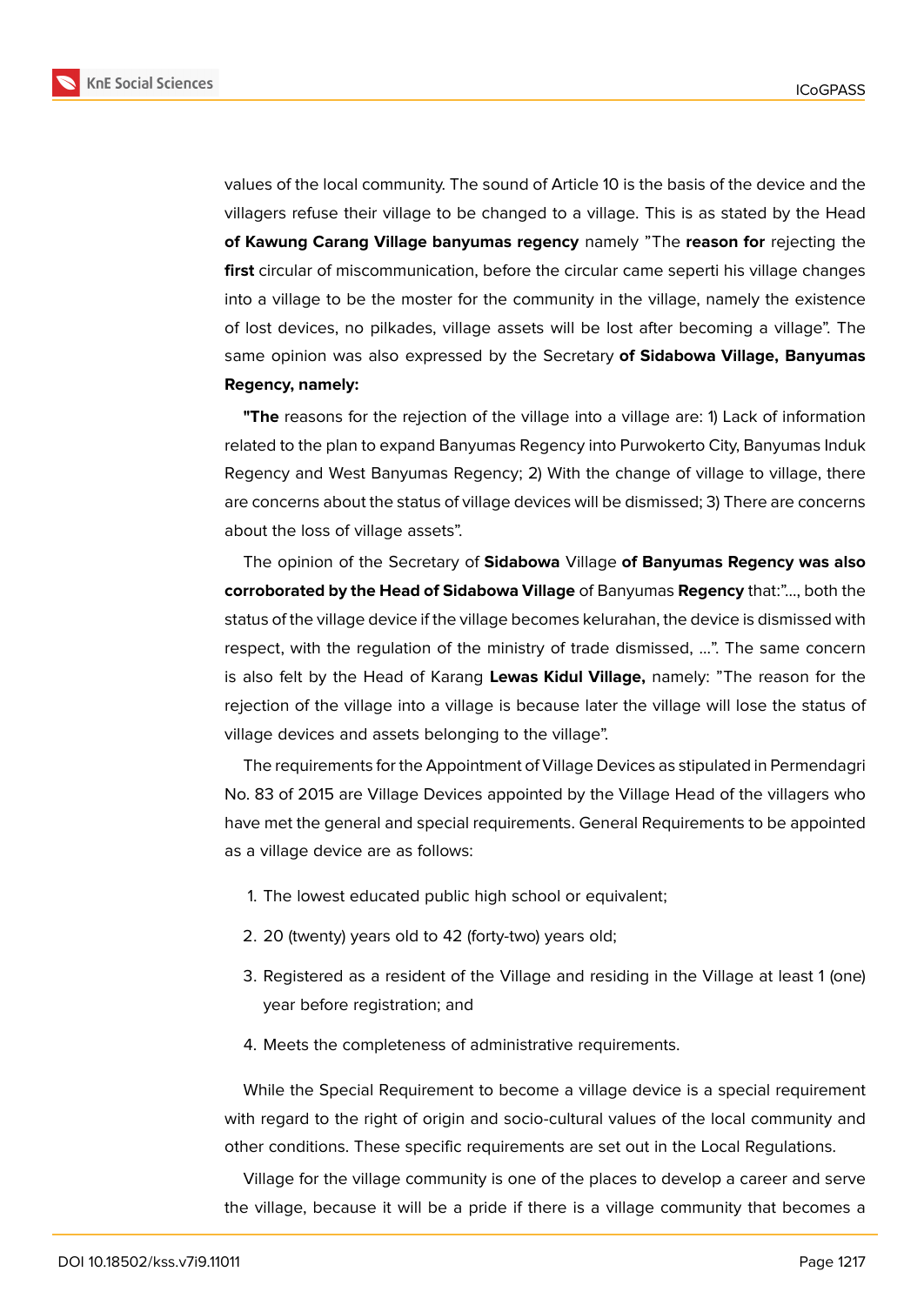

values of the local community. The sound of Article 10 is the basis of the device and the villagers refuse their village to be changed to a village. This is as stated by the Head **of Kawung Carang Village banyumas regency** namely "The **reason for** rejecting the **first** circular of miscommunication, before the circular came seperti his village changes into a village to be the moster for the community in the village, namely the existence of lost devices, no pilkades, village assets will be lost after becoming a village". The same opinion was also expressed by the Secretary **of Sidabowa Village, Banyumas Regency, namely:**

**"The** reasons for the rejection of the village into a village are: 1) Lack of information related to the plan to expand Banyumas Regency into Purwokerto City, Banyumas Induk Regency and West Banyumas Regency; 2) With the change of village to village, there are concerns about the status of village devices will be dismissed; 3) There are concerns about the loss of village assets".

The opinion of the Secretary of **Sidabowa** Village **of Banyumas Regency was also corroborated by the Head of Sidabowa Village** of Banyumas **Regency** that:"..., both the status of the village device if the village becomes kelurahan, the device is dismissed with respect, with the regulation of the ministry of trade dismissed, ...". The same concern is also felt by the Head of Karang **Lewas Kidul Village,** namely: "The reason for the rejection of the village into a village is because later the village will lose the status of village devices and assets belonging to the village".

The requirements for the Appointment of Village Devices as stipulated in Permendagri No. 83 of 2015 are Village Devices appointed by the Village Head of the villagers who have met the general and special requirements. General Requirements to be appointed as a village device are as follows:

- 1. The lowest educated public high school or equivalent;
- 2. 20 (twenty) years old to 42 (forty-two) years old;
- 3. Registered as a resident of the Village and residing in the Village at least 1 (one) year before registration; and
- 4. Meets the completeness of administrative requirements.

While the Special Requirement to become a village device is a special requirement with regard to the right of origin and socio-cultural values of the local community and other conditions. These specific requirements are set out in the Local Regulations.

Village for the village community is one of the places to develop a career and serve the village, because it will be a pride if there is a village community that becomes a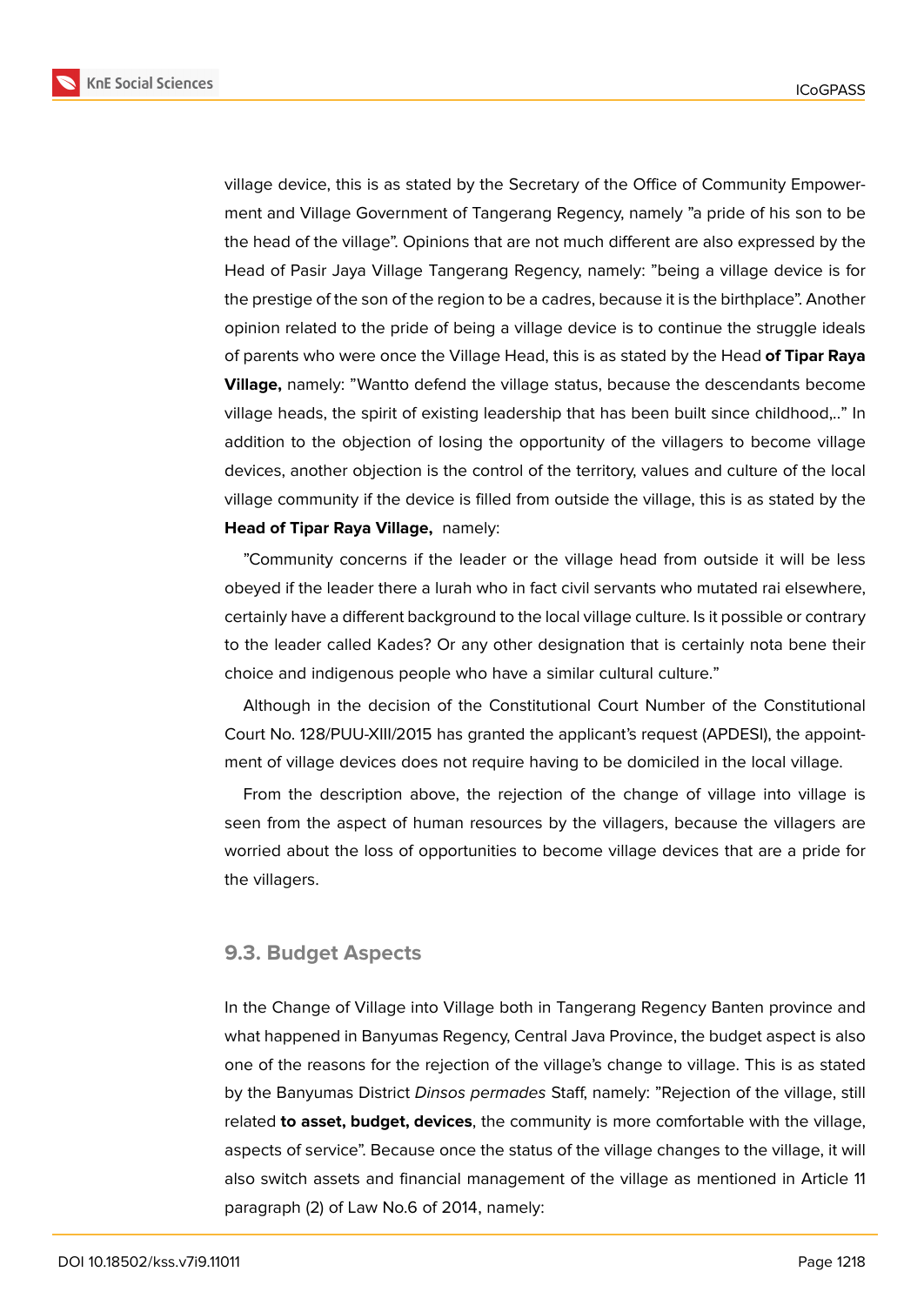

village device, this is as stated by the Secretary of the Office of Community Empowerment and Village Government of Tangerang Regency, namely "a pride of his son to be the head of the village". Opinions that are not much different are also expressed by the Head of Pasir Jaya Village Tangerang Regency, namely: "being a village device is for the prestige of the son of the region to be a cadres, because it is the birthplace". Another opinion related to the pride of being a village device is to continue the struggle ideals of parents who were once the Village Head, this is as stated by the Head **of Tipar Raya Village,** namely: "Wantto defend the village status, because the descendants become village heads, the spirit of existing leadership that has been built since childhood,.." In addition to the objection of losing the opportunity of the villagers to become village devices, another objection is the control of the territory, values and culture of the local village community if the device is filled from outside the village, this is as stated by the **Head of Tipar Raya Village,** namely:

"Community concerns if the leader or the village head from outside it will be less obeyed if the leader there a lurah who in fact civil servants who mutated rai elsewhere, certainly have a different background to the local village culture. Is it possible or contrary to the leader called Kades? Or any other designation that is certainly nota bene their choice and indigenous people who have a similar cultural culture."

Although in the decision of the Constitutional Court Number of the Constitutional Court No. 128/PUU-XIII/2015 has granted the applicant's request (APDESI), the appointment of village devices does not require having to be domiciled in the local village.

From the description above, the rejection of the change of village into village is seen from the aspect of human resources by the villagers, because the villagers are worried about the loss of opportunities to become village devices that are a pride for the villagers.

### **9.3. Budget Aspects**

In the Change of Village into Village both in Tangerang Regency Banten province and what happened in Banyumas Regency, Central Java Province, the budget aspect is also one of the reasons for the rejection of the village's change to village. This is as stated by the Banyumas District *Dinsos permades* Staff, namely: "Rejection of the village, still related **to asset, budget, devices**, the community is more comfortable with the village, aspects of service". Because once the status of the village changes to the village, it will also switch assets and financial management of the village as mentioned in Article 11 paragraph (2) of Law No.6 of 2014, namely: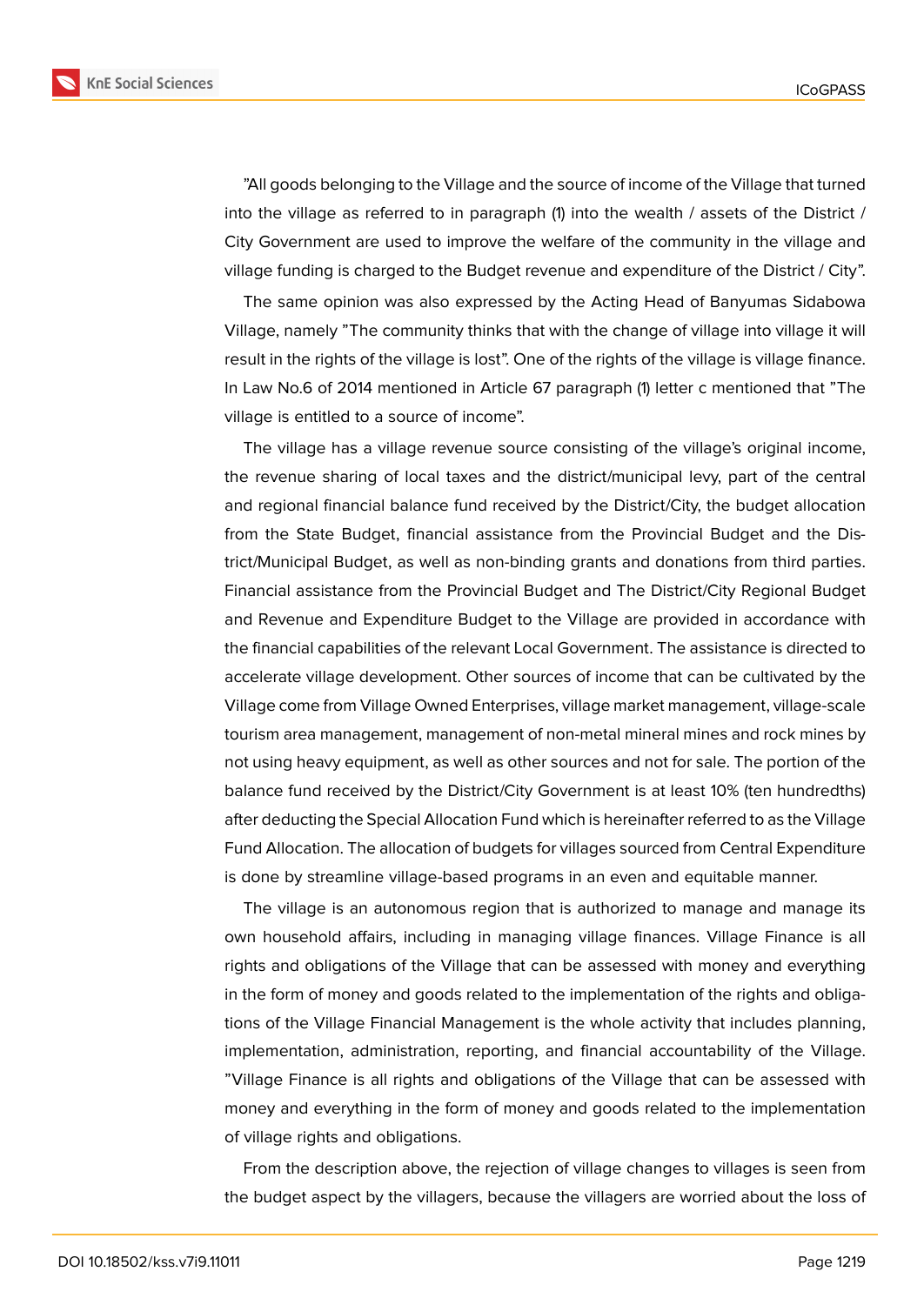"All goods belonging to the Village and the source of income of the Village that turned into the village as referred to in paragraph (1) into the wealth / assets of the District / City Government are used to improve the welfare of the community in the village and village funding is charged to the Budget revenue and expenditure of the District / City".

The same opinion was also expressed by the Acting Head of Banyumas Sidabowa Village, namely "The community thinks that with the change of village into village it will result in the rights of the village is lost". One of the rights of the village is village finance. In Law No.6 of 2014 mentioned in Article 67 paragraph (1) letter c mentioned that "The village is entitled to a source of income".

The village has a village revenue source consisting of the village's original income, the revenue sharing of local taxes and the district/municipal levy, part of the central and regional financial balance fund received by the District/City, the budget allocation from the State Budget, financial assistance from the Provincial Budget and the District/Municipal Budget, as well as non-binding grants and donations from third parties. Financial assistance from the Provincial Budget and The District/City Regional Budget and Revenue and Expenditure Budget to the Village are provided in accordance with the financial capabilities of the relevant Local Government. The assistance is directed to accelerate village development. Other sources of income that can be cultivated by the Village come from Village Owned Enterprises, village market management, village-scale tourism area management, management of non-metal mineral mines and rock mines by not using heavy equipment, as well as other sources and not for sale. The portion of the balance fund received by the District/City Government is at least 10% (ten hundredths) after deducting the Special Allocation Fund which is hereinafter referred to as the Village Fund Allocation. The allocation of budgets for villages sourced from Central Expenditure is done by streamline village-based programs in an even and equitable manner.

The village is an autonomous region that is authorized to manage and manage its own household affairs, including in managing village finances. Village Finance is all rights and obligations of the Village that can be assessed with money and everything in the form of money and goods related to the implementation of the rights and obligations of the Village Financial Management is the whole activity that includes planning, implementation, administration, reporting, and financial accountability of the Village. "Village Finance is all rights and obligations of the Village that can be assessed with money and everything in the form of money and goods related to the implementation of village rights and obligations.

From the description above, the rejection of village changes to villages is seen from the budget aspect by the villagers, because the villagers are worried about the loss of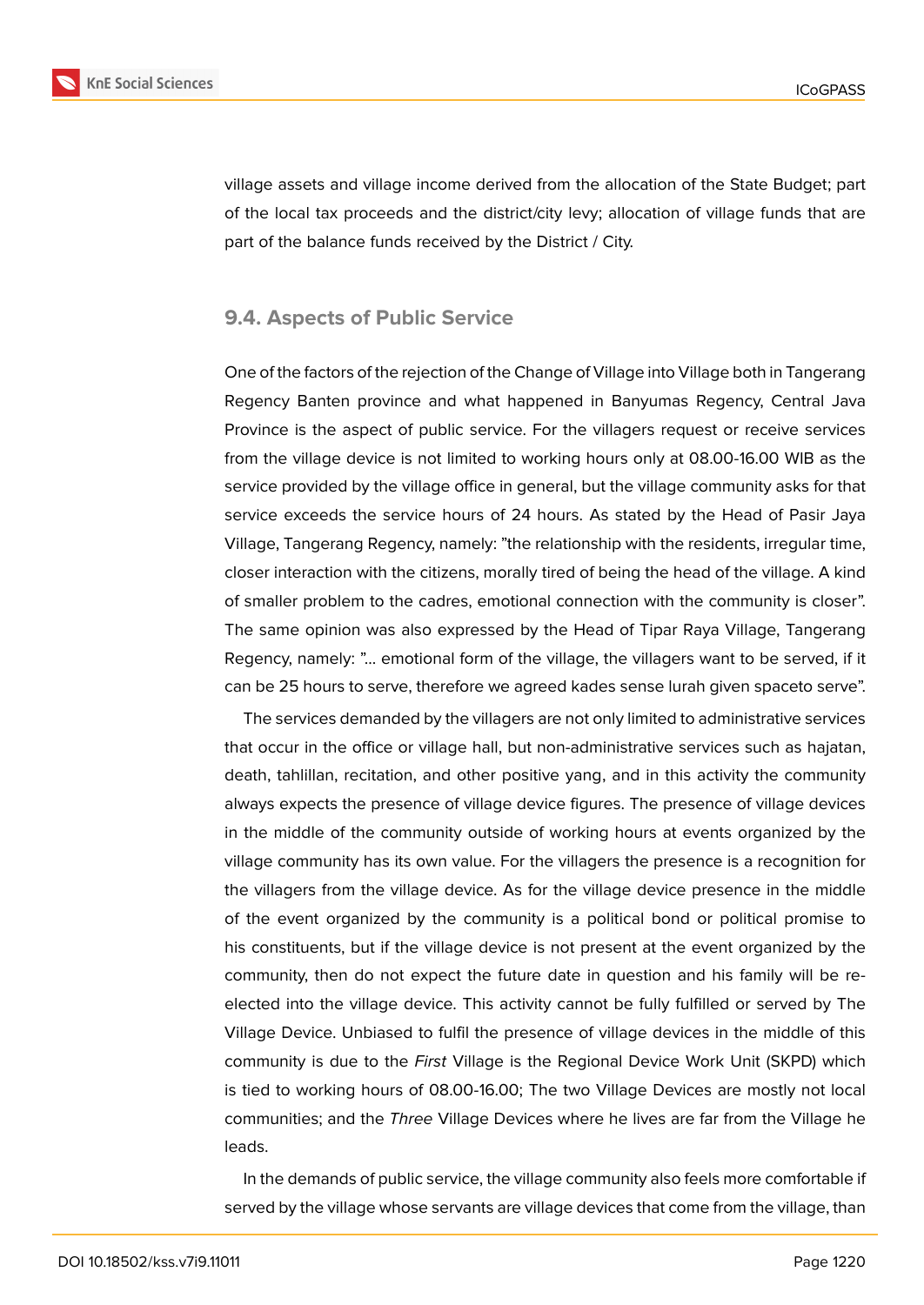

village assets and village income derived from the allocation of the State Budget; part of the local tax proceeds and the district/city levy; allocation of village funds that are part of the balance funds received by the District / City.

## **9.4. Aspects of Public Service**

One of the factors of the rejection of the Change of Village into Village both in Tangerang Regency Banten province and what happened in Banyumas Regency, Central Java Province is the aspect of public service. For the villagers request or receive services from the village device is not limited to working hours only at 08.00-16.00 WIB as the service provided by the village office in general, but the village community asks for that service exceeds the service hours of 24 hours. As stated by the Head of Pasir Jaya Village, Tangerang Regency, namely: "the relationship with the residents, irregular time, closer interaction with the citizens, morally tired of being the head of the village. A kind of smaller problem to the cadres, emotional connection with the community is closer". The same opinion was also expressed by the Head of Tipar Raya Village, Tangerang Regency, namely: "... emotional form of the village, the villagers want to be served, if it can be 25 hours to serve, therefore we agreed kades sense lurah given spaceto serve".

The services demanded by the villagers are not only limited to administrative services that occur in the office or village hall, but non-administrative services such as hajatan, death, tahlillan, recitation, and other positive yang, and in this activity the community always expects the presence of village device figures. The presence of village devices in the middle of the community outside of working hours at events organized by the village community has its own value. For the villagers the presence is a recognition for the villagers from the village device. As for the village device presence in the middle of the event organized by the community is a political bond or political promise to his constituents, but if the village device is not present at the event organized by the community, then do not expect the future date in question and his family will be reelected into the village device. This activity cannot be fully fulfilled or served by The Village Device. Unbiased to fulfil the presence of village devices in the middle of this community is due to the *First* Village is the Regional Device Work Unit (SKPD) which is tied to working hours of 08.00-16.00; The two Village Devices are mostly not local communities; and the *Three* Village Devices where he lives are far from the Village he leads.

In the demands of public service, the village community also feels more comfortable if served by the village whose servants are village devices that come from the village, than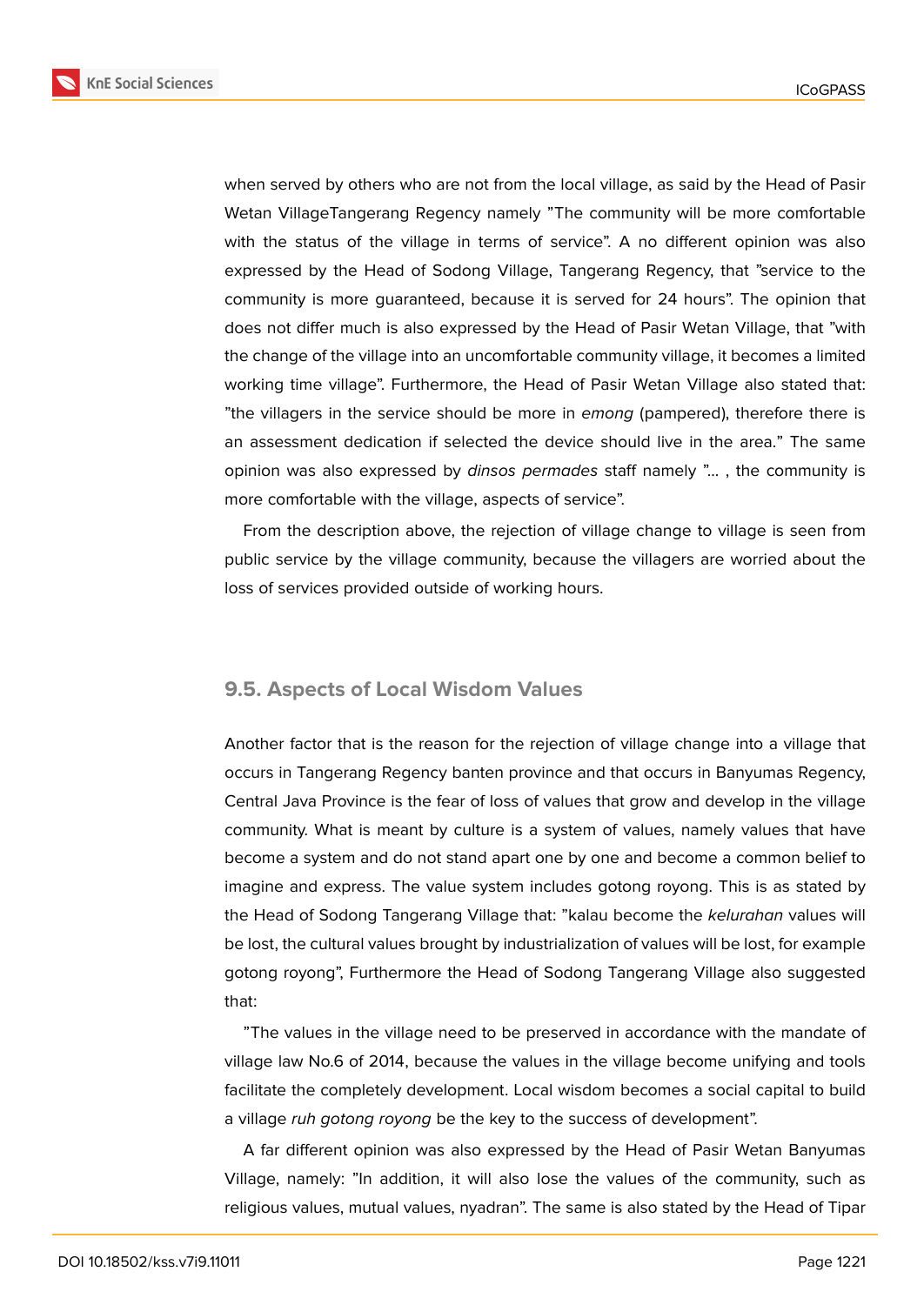

when served by others who are not from the local village, as said by the Head of Pasir Wetan VillageTangerang Regency namely "The community will be more comfortable with the status of the village in terms of service". A no different opinion was also expressed by the Head of Sodong Village, Tangerang Regency, that "service to the community is more guaranteed, because it is served for 24 hours". The opinion that does not differ much is also expressed by the Head of Pasir Wetan Village, that "with the change of the village into an uncomfortable community village, it becomes a limited working time village". Furthermore, the Head of Pasir Wetan Village also stated that: "the villagers in the service should be more in *emong* (pampered), therefore there is an assessment dedication if selected the device should live in the area." The same opinion was also expressed by *dinsos permades* staff namely "... , the community is more comfortable with the village, aspects of service".

From the description above, the rejection of village change to village is seen from public service by the village community, because the villagers are worried about the loss of services provided outside of working hours.

## **9.5. Aspects of Local Wisdom Values**

Another factor that is the reason for the rejection of village change into a village that occurs in Tangerang Regency banten province and that occurs in Banyumas Regency, Central Java Province is the fear of loss of values that grow and develop in the village community. What is meant by culture is a system of values, namely values that have become a system and do not stand apart one by one and become a common belief to imagine and express. The value system includes gotong royong. This is as stated by the Head of Sodong Tangerang Village that: "kalau become the *kelurahan* values will be lost, the cultural values brought by industrialization of values will be lost, for example gotong royong", Furthermore the Head of Sodong Tangerang Village also suggested that:

"The values in the village need to be preserved in accordance with the mandate of village law No.6 of 2014, because the values in the village become unifying and tools facilitate the completely development. Local wisdom becomes a social capital to build a village *ruh gotong royong* be the key to the success of development".

A far different opinion was also expressed by the Head of Pasir Wetan Banyumas Village, namely: "In addition, it will also lose the values of the community, such as religious values, mutual values, nyadran". The same is also stated by the Head of Tipar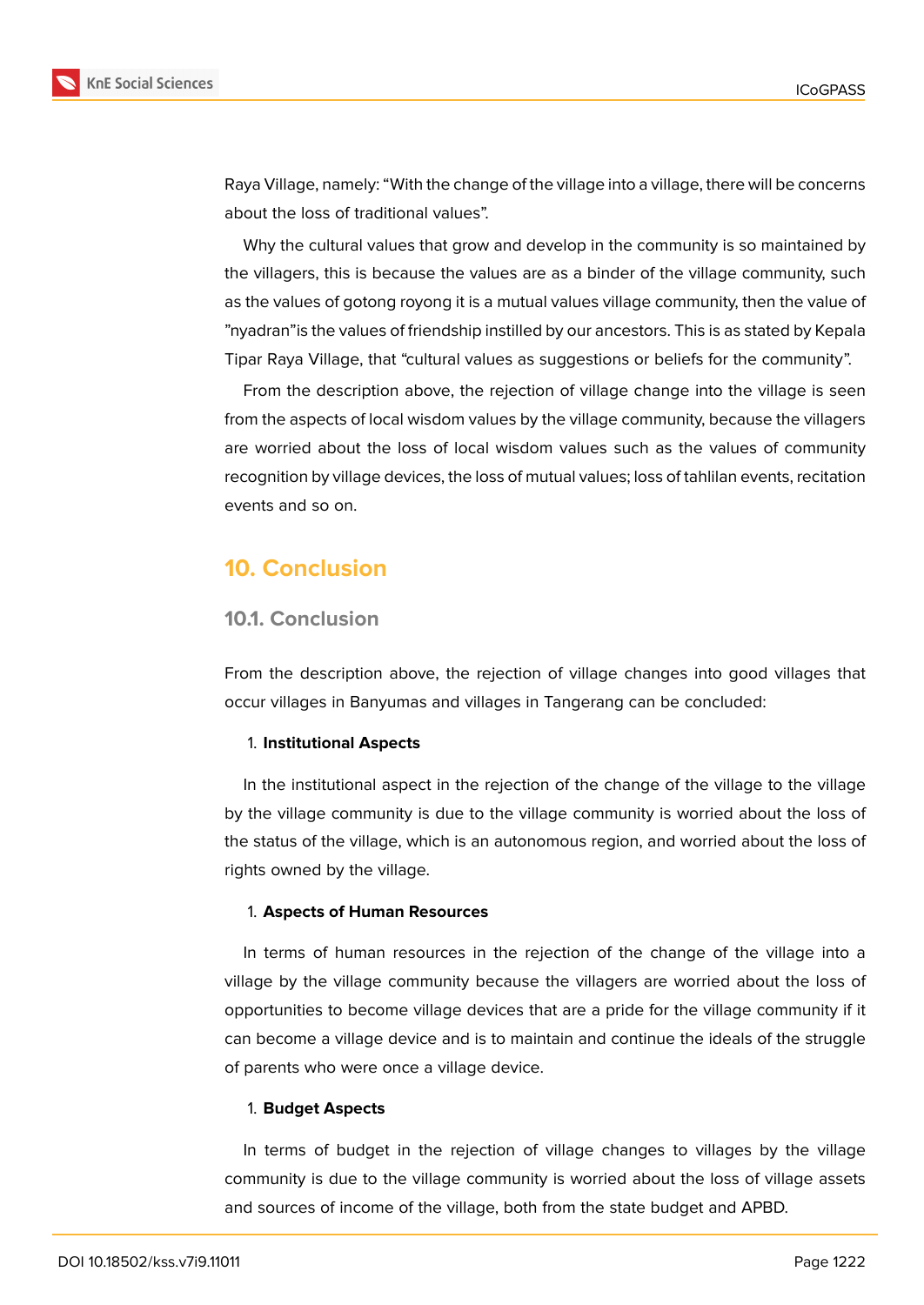

Raya Village, namely: "With the change of the village into a village, there will be concerns about the loss of traditional values".

Why the cultural values that grow and develop in the community is so maintained by the villagers, this is because the values are as a binder of the village community, such as the values of gotong royong it is a mutual values village community, then the value of "nyadran"is the values of friendship instilled by our ancestors. This is as stated by Kepala Tipar Raya Village, that "cultural values as suggestions or beliefs for the community".

From the description above, the rejection of village change into the village is seen from the aspects of local wisdom values by the village community, because the villagers are worried about the loss of local wisdom values such as the values of community recognition by village devices, the loss of mutual values; loss of tahlilan events, recitation events and so on.

## **10. Conclusion**

### **10.1. Conclusion**

From the description above, the rejection of village changes into good villages that occur villages in Banyumas and villages in Tangerang can be concluded:

#### 1. **Institutional Aspects**

In the institutional aspect in the rejection of the change of the village to the village by the village community is due to the village community is worried about the loss of the status of the village, which is an autonomous region, and worried about the loss of rights owned by the village.

#### 1. **Aspects of Human Resources**

In terms of human resources in the rejection of the change of the village into a village by the village community because the villagers are worried about the loss of opportunities to become village devices that are a pride for the village community if it can become a village device and is to maintain and continue the ideals of the struggle of parents who were once a village device.

#### 1. **Budget Aspects**

In terms of budget in the rejection of village changes to villages by the village community is due to the village community is worried about the loss of village assets and sources of income of the village, both from the state budget and APBD.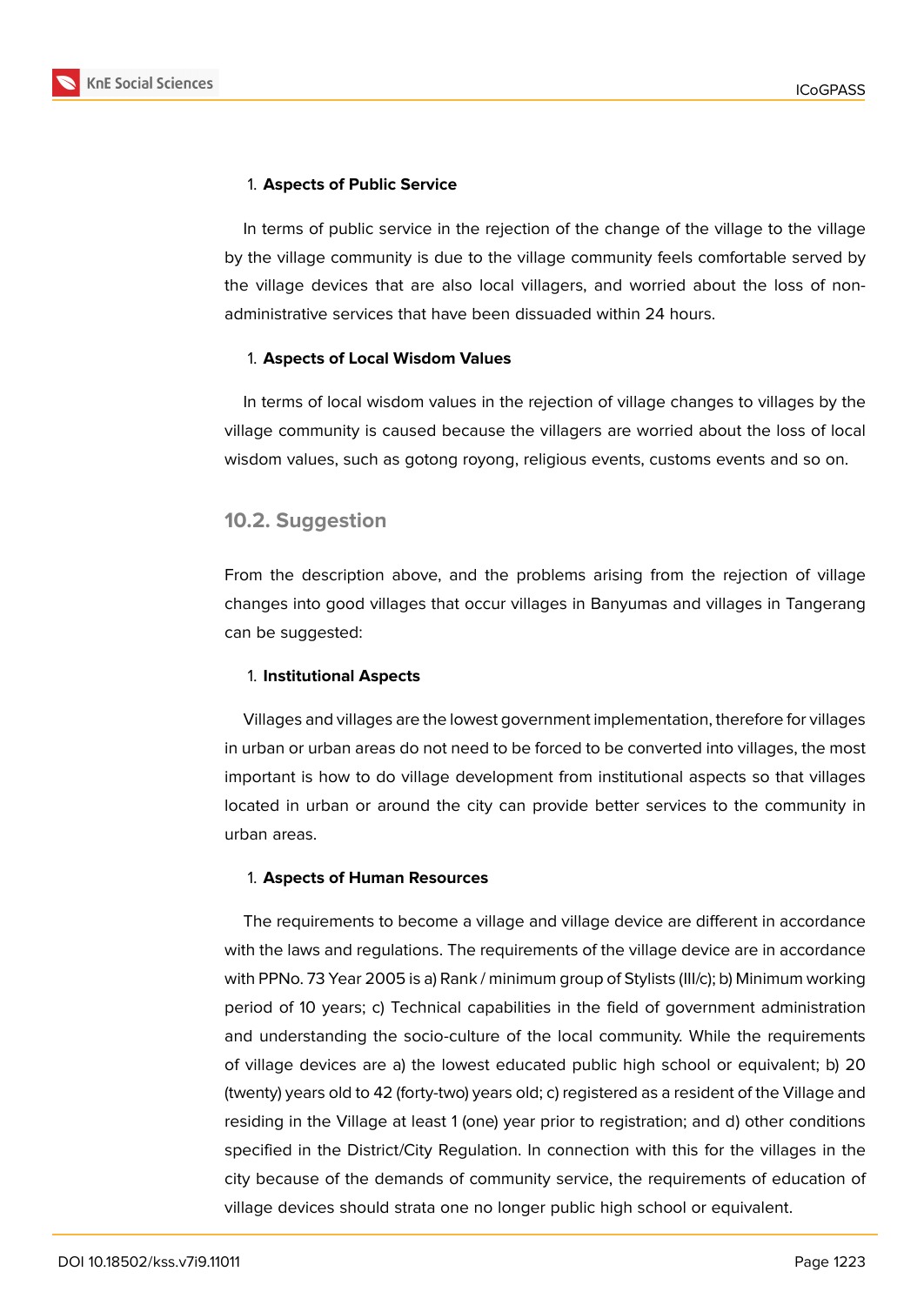

In terms of public service in the rejection of the change of the village to the village by the village community is due to the village community feels comfortable served by the village devices that are also local villagers, and worried about the loss of nonadministrative services that have been dissuaded within 24 hours.

#### 1. **Aspects of Local Wisdom Values**

In terms of local wisdom values in the rejection of village changes to villages by the village community is caused because the villagers are worried about the loss of local wisdom values, such as gotong royong, religious events, customs events and so on.

## **10.2. Suggestion**

From the description above, and the problems arising from the rejection of village changes into good villages that occur villages in Banyumas and villages in Tangerang can be suggested:

### 1. **Institutional Aspects**

Villages and villages are the lowest government implementation, therefore for villages in urban or urban areas do not need to be forced to be converted into villages, the most important is how to do village development from institutional aspects so that villages located in urban or around the city can provide better services to the community in urban areas.

### 1. **Aspects of Human Resources**

The requirements to become a village and village device are different in accordance with the laws and regulations. The requirements of the village device are in accordance with PPNo. 73 Year 2005 is a) Rank / minimum group of Stylists (III/c); b) Minimum working period of 10 years; c) Technical capabilities in the field of government administration and understanding the socio-culture of the local community. While the requirements of village devices are a) the lowest educated public high school or equivalent; b) 20 (twenty) years old to 42 (forty-two) years old; c) registered as a resident of the Village and residing in the Village at least 1 (one) year prior to registration; and d) other conditions specified in the District/City Regulation. In connection with this for the villages in the city because of the demands of community service, the requirements of education of village devices should strata one no longer public high school or equivalent.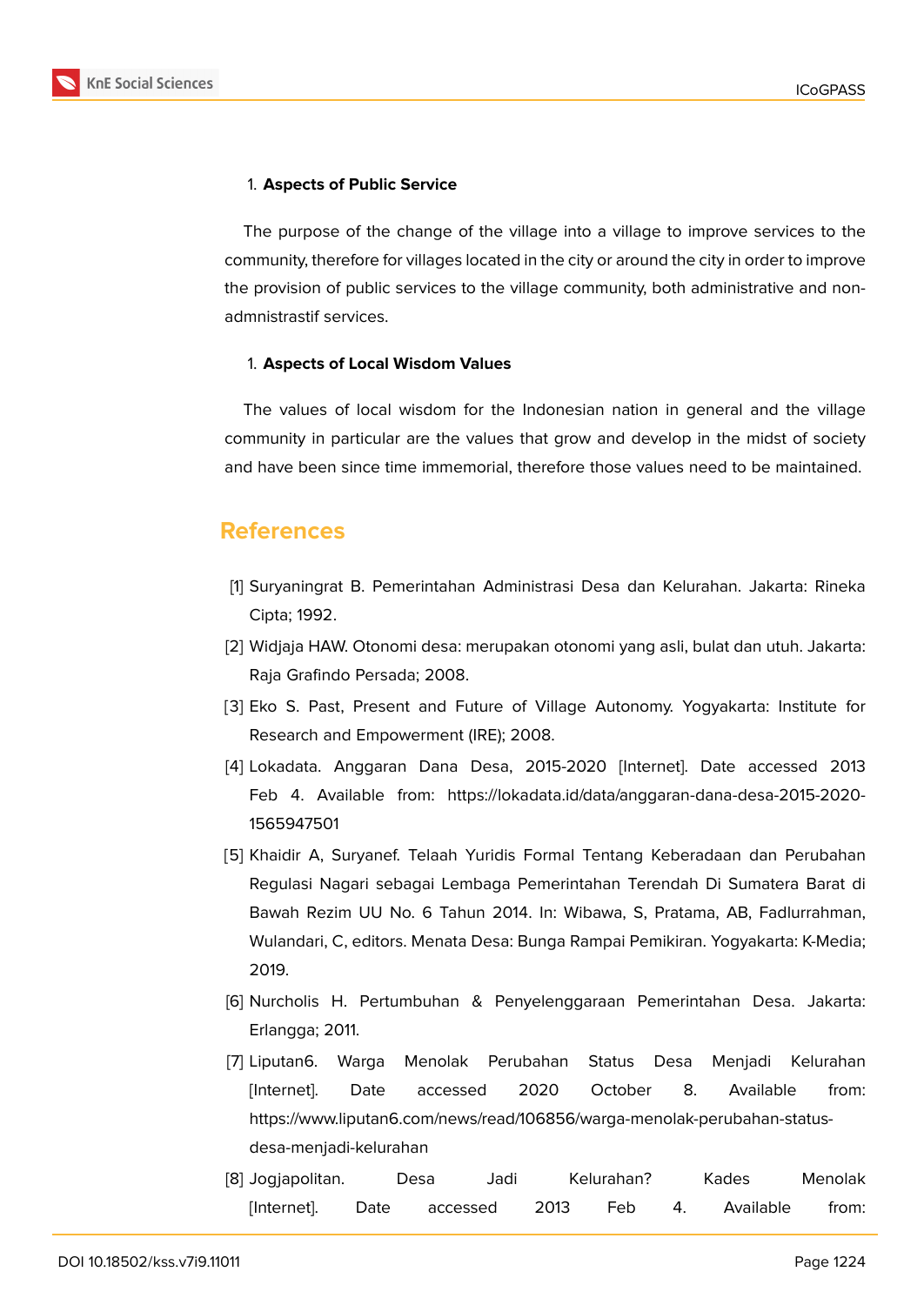

#### 1. **Aspects of Public Service**

The purpose of the change of the village into a village to improve services to the community, therefore for villages located in the city or around the city in order to improve the provision of public services to the village community, both administrative and nonadmnistrastif services.

#### 1. **Aspects of Local Wisdom Values**

The values of local wisdom for the Indonesian nation in general and the village community in particular are the values that grow and develop in the midst of society and have been since time immemorial, therefore those values need to be maintained.

## **References**

- [1] Suryaningrat B. Pemerintahan Administrasi Desa dan Kelurahan. Jakarta: Rineka Cipta; 1992.
- [2] Widjaja HAW. Otonomi desa: merupakan otonomi yang asli, bulat dan utuh. Jakarta: Raja Grafindo Persada; 2008.
- [3] Eko S. Past, Present and Future of Village Autonomy. Yogyakarta: Institute for Research and Empowerment (IRE); 2008.
- [4] Lokadata. Anggaran Dana Desa, 2015-2020 [Internet]. Date accessed 2013 Feb 4. Available from: https://lokadata.id/data/anggaran-dana-desa-2015-2020- 1565947501
- [5] Khaidir A, Suryanef. Telaah Yuridis Formal Tentang Keberadaan dan Perubahan Regulasi Nagari sebagai Lembaga Pemerintahan Terendah Di Sumatera Barat di Bawah Rezim UU No. 6 Tahun 2014. In: Wibawa, S, Pratama, AB, Fadlurrahman, Wulandari, C, editors. Menata Desa: Bunga Rampai Pemikiran. Yogyakarta: K-Media; 2019.
- [6] Nurcholis H. Pertumbuhan & Penyelenggaraan Pemerintahan Desa. Jakarta: Erlangga; 2011.
- [7] Liputan6. Warga Menolak Perubahan Status Desa Menjadi Kelurahan [Internet]. Date accessed 2020 October 8. Available from: https://www.liputan6.com/news/read/106856/warga-menolak-perubahan-statusdesa-menjadi-kelurahan
- [8] Jogjapolitan. Desa Jadi Kelurahan? Kades Menolak [Internet]. Date accessed 2013 Feb 4. Available from: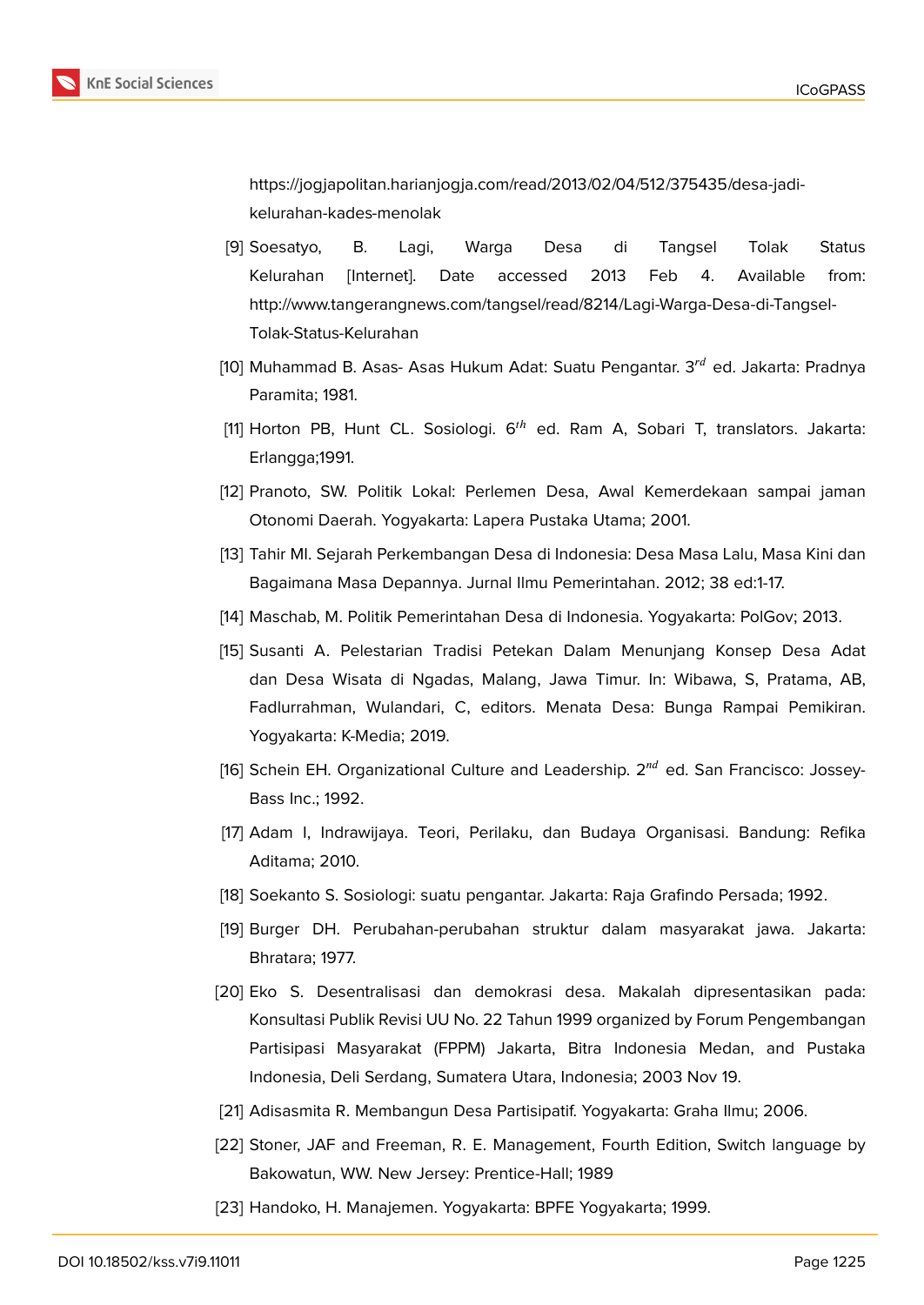

https://jogjapolitan.harianjogja.com/read/2013/02/04/512/375435/desa-jadikelurahan-kades-menolak

- [9] Soesatyo, B. Lagi, Warga Desa di Tangsel Tolak Status Kelurahan [Internet]. Date accessed 2013 Feb 4. Available from: http://www.tangerangnews.com/tangsel/read/8214/Lagi-Warga-Desa-di-Tangsel-Tolak-Status-Kelurahan
- [10] Muhammad B. Asas- Asas Hukum Adat: Suatu Pengantar.  $3^{rd}$  ed. Jakarta: Pradnya Paramita; 1981.
- [11] Horton PB, Hunt CL. Sosiologi.  $6<sup>th</sup>$  ed. Ram A, Sobari T, translators. Jakarta: Erlangga;1991.
- [12] Pranoto, SW. Politik Lokal: Perlemen Desa, Awal Kemerdekaan sampai jaman Otonomi Daerah. Yogyakarta: Lapera Pustaka Utama; 2001.
- [13] Tahir MI. Sejarah Perkembangan Desa di Indonesia: Desa Masa Lalu, Masa Kini dan Bagaimana Masa Depannya. Jurnal Ilmu Pemerintahan. 2012; 38 ed:1-17.
- [14] Maschab, M. Politik Pemerintahan Desa di Indonesia. Yogyakarta: PolGov; 2013.
- [15] Susanti A. Pelestarian Tradisi Petekan Dalam Menunjang Konsep Desa Adat dan Desa Wisata di Ngadas, Malang, Jawa Timur. In: Wibawa, S, Pratama, AB, Fadlurrahman, Wulandari, C, editors. Menata Desa: Bunga Rampai Pemikiran. Yogyakarta: K-Media; 2019.
- [16] Schein EH. Organizational Culture and Leadership.  $2^{nd}$  ed. San Francisco: Jossey-Bass Inc.; 1992.
- [17] Adam I, Indrawijaya. Teori, Perilaku, dan Budaya Organisasi. Bandung: Refika Aditama; 2010.
- [18] Soekanto S. Sosiologi: suatu pengantar. Jakarta: Raja Grafindo Persada; 1992.
- [19] Burger DH. Perubahan-perubahan struktur dalam masyarakat jawa. Jakarta: Bhratara; 1977.
- [20] Eko S. Desentralisasi dan demokrasi desa. Makalah dipresentasikan pada: Konsultasi Publik Revisi UU No. 22 Tahun 1999 organized by Forum Pengembangan Partisipasi Masyarakat (FPPM) Jakarta, Bitra Indonesia Medan, and Pustaka Indonesia, Deli Serdang, Sumatera Utara, Indonesia; 2003 Nov 19.
- [21] Adisasmita R. Membangun Desa Partisipatif. Yogyakarta: Graha Ilmu; 2006.
- [22] Stoner, JAF and Freeman, R. E. Management, Fourth Edition, Switch language by Bakowatun, WW. New Jersey: Prentice-Hall; 1989
- [23] Handoko, H. Manajemen. Yogyakarta: BPFE Yogyakarta; 1999.